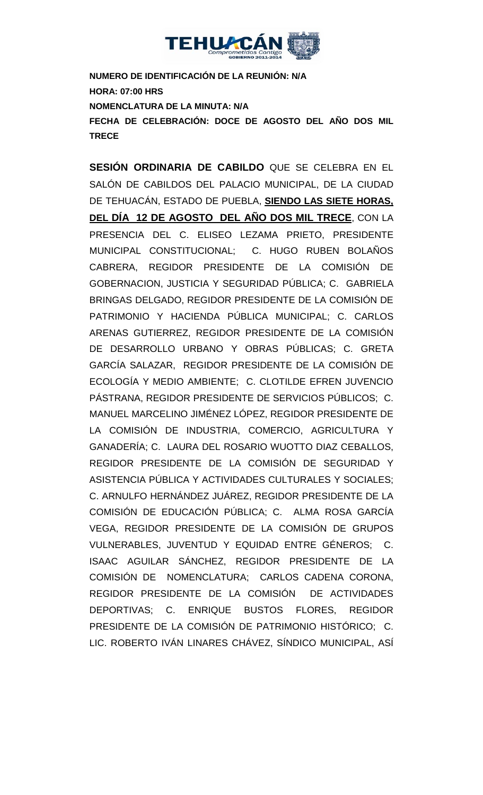

**NUMERO DE IDENTIFICACIÓN DE LA REUNIÓN: N/A HORA: 07:00 HRS NOMENCLATURA DE LA MINUTA: N/A FECHA DE CELEBRACIÓN: DOCE DE AGOSTO DEL AÑO DOS MIL TRECE** 

**SESIÓN ORDINARIA DE CABILDO** QUE SE CELEBRA EN EL SALÓN DE CABILDOS DEL PALACIO MUNICIPAL, DE LA CIUDAD DE TEHUACÁN, ESTADO DE PUEBLA, **SIENDO LAS SIETE HORAS, DEL DÍA 12 DE AGOSTO DEL AÑO DOS MIL TRECE**, CON LA PRESENCIA DEL C. ELISEO LEZAMA PRIETO, PRESIDENTE MUNICIPAL CONSTITUCIONAL; C. HUGO RUBEN BOLAÑOS CABRERA, REGIDOR PRESIDENTE DE LA COMISIÓN DE GOBERNACION, JUSTICIA Y SEGURIDAD PÚBLICA; C. GABRIELA BRINGAS DELGADO, REGIDOR PRESIDENTE DE LA COMISIÓN DE PATRIMONIO Y HACIENDA PÚBLICA MUNICIPAL; C. CARLOS ARENAS GUTIERREZ, REGIDOR PRESIDENTE DE LA COMISIÓN DE DESARROLLO URBANO Y OBRAS PÚBLICAS; C. GRETA GARCÍA SALAZAR, REGIDOR PRESIDENTE DE LA COMISIÓN DE ECOLOGÍA Y MEDIO AMBIENTE; C. CLOTILDE EFREN JUVENCIO PÁSTRANA, REGIDOR PRESIDENTE DE SERVICIOS PÚBLICOS; C. MANUEL MARCELINO JIMÉNEZ LÓPEZ, REGIDOR PRESIDENTE DE LA COMISIÓN DE INDUSTRIA, COMERCIO, AGRICULTURA Y GANADERÍA; C. LAURA DEL ROSARIO WUOTTO DIAZ CEBALLOS, REGIDOR PRESIDENTE DE LA COMISIÓN DE SEGURIDAD Y ASISTENCIA PÚBLICA Y ACTIVIDADES CULTURALES Y SOCIALES; C. ARNULFO HERNÁNDEZ JUÁREZ, REGIDOR PRESIDENTE DE LA COMISIÓN DE EDUCACIÓN PÚBLICA; C. ALMA ROSA GARCÍA VEGA, REGIDOR PRESIDENTE DE LA COMISIÓN DE GRUPOS VULNERABLES, JUVENTUD Y EQUIDAD ENTRE GÉNEROS; C. ISAAC AGUILAR SÁNCHEZ, REGIDOR PRESIDENTE DE LA COMISIÓN DE NOMENCLATURA; CARLOS CADENA CORONA, REGIDOR PRESIDENTE DE LA COMISIÓN DE ACTIVIDADES DEPORTIVAS; C. ENRIQUE BUSTOS FLORES, REGIDOR PRESIDENTE DE LA COMISIÓN DE PATRIMONIO HISTÓRICO; C. LIC. ROBERTO IVÁN LINARES CHÁVEZ, SÍNDICO MUNICIPAL, ASÍ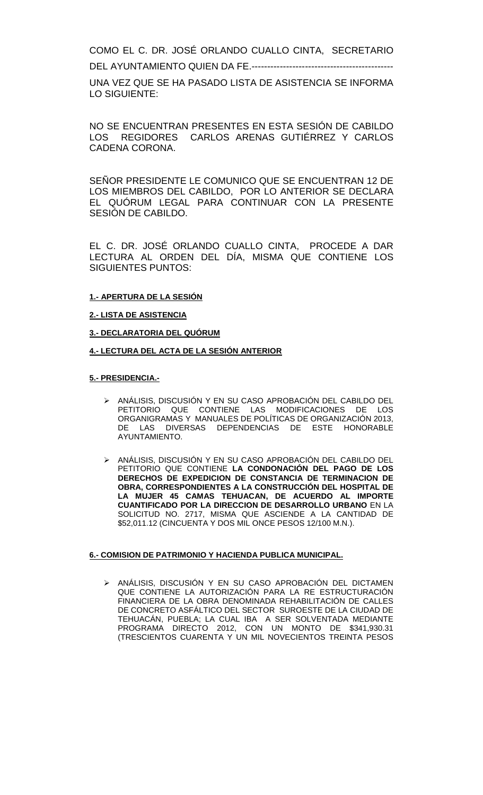COMO EL C. DR. JOSÉ ORLANDO CUALLO CINTA, SECRETARIO

DEL AYUNTAMIENTO QUIEN DA FE.---------------------------------------------

UNA VEZ QUE SE HA PASADO LISTA DE ASISTENCIA SE INFORMA LO SIGUIENTE:

NO SE ENCUENTRAN PRESENTES EN ESTA SESIÓN DE CABILDO LOS REGIDORES CARLOS ARENAS GUTIÉRREZ Y CARLOS CADENA CORONA.

SEÑOR PRESIDENTE LE COMUNICO QUE SE ENCUENTRAN 12 DE LOS MIEMBROS DEL CABILDO, POR LO ANTERIOR SE DECLARA EL QUÓRUM LEGAL PARA CONTINUAR CON LA PRESENTE SESIÓN DE CABILDO.

EL C. DR. JOSÉ ORLANDO CUALLO CINTA, PROCEDE A DAR LECTURA AL ORDEN DEL DÍA, MISMA QUE CONTIENE LOS SIGUIENTES PUNTOS:

#### $\overline{a}$ **1.- APERTURA DE LA SESIÓN**

**2.- LISTA DE ASISTENCIA**

**3.- DECLARATORIA DEL QUÓRUM**

#### **4.- LECTURA DEL ACTA DE LA SESIÓN ANTERIOR**

#### **5.- PRESIDENCIA.-**

- ANÁLISIS, DISCUSIÓN Y EN SU CASO APROBACIÓN DEL CABILDO DEL PETITORIO QUE CONTIENE LAS MODIFICACIONES DE LOS ORGANIGRAMAS Y MANUALES DE POLÍTICAS DE ORGANIZACIÓN 2013, DE LAS DIVERSAS DEPENDENCIAS DE ESTE HONORABLE AYUNTAMIENTO.
- ANÁLISIS, DISCUSIÓN Y EN SU CASO APROBACIÓN DEL CABILDO DEL PETITORIO QUE CONTIENE **LA CONDONACIÓN DEL PAGO DE LOS DERECHOS DE EXPEDICION DE CONSTANCIA DE TERMINACION DE OBRA, CORRESPONDIENTES A LA CONSTRUCCIÓN DEL HOSPITAL DE LA MUJER 45 CAMAS TEHUACAN, DE ACUERDO AL IMPORTE CUANTIFICADO POR LA DIRECCION DE DESARROLLO URBANO** EN LA SOLICITUD NO. 2717, MISMA QUE ASCIENDE A LA CANTIDAD DE \$52,011.12 (CINCUENTA Y DOS MIL ONCE PESOS 12/100 M.N.).

#### **6.- COMISION DE PATRIMONIO Y HACIENDA PUBLICA MUNICIPAL.**

> ANÁLISIS, DISCUSIÓN Y EN SU CASO APROBACIÓN DEL DICTAMEN QUE CONTIENE LA AUTORIZACIÓN PARA LA RE ESTRUCTURACIÓN FINANCIERA DE LA OBRA DENOMINADA REHABILITACIÓN DE CALLES DE CONCRETO ASFÁLTICO DEL SECTOR SUROESTE DE LA CIUDAD DE TEHUACÁN, PUEBLA; LA CUAL IBA A SER SOLVENTADA MEDIANTE PROGRAMA DIRECTO 2012, CON UN MONTO DE \$341,930.31 (TRESCIENTOS CUARENTA Y UN MIL NOVECIENTOS TREINTA PESOS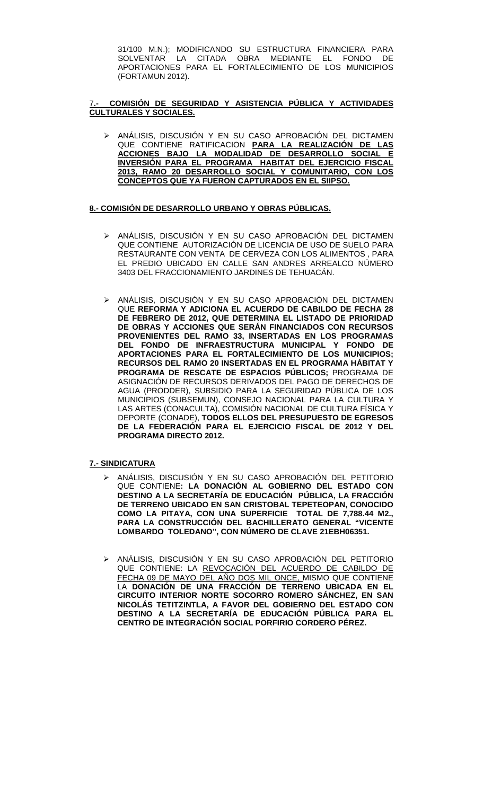31/100 M.N.); MODIFICANDO SU ESTRUCTURA FINANCIERA PARA SOLVENTAR LA CITADA OBRA MEDIANTE EL FONDO DE APORTACIONES PARA EL FORTALECIMIENTO DE LOS MUNICIPIOS (FORTAMUN 2012).

#### 7**.- COMISIÓN DE SEGURIDAD Y ASISTENCIA PÚBLICA Y ACTIVIDADES CULTURALES Y SOCIALES.**

> ANÁLISIS, DISCUSIÓN Y EN SU CASO APROBACIÓN DEL DICTAMEN QUE CONTIENE RATIFICACION **PARA LA REALIZACIÓN DE LAS ACCIONES BAJO LA MODALIDAD DE DESARROLLO SOCIAL E INVERSIÓN PARA EL PROGRAMA HABITAT DEL EJERCICIO FISCAL 2013, RAMO 20 DESARROLLO SOCIAL Y COMUNITARIO, CON LOS CONCEPTOS QUE YA FUERON CAPTURADOS EN EL SIIPSO.**

#### **8.- COMISIÓN DE DESARROLLO URBANO Y OBRAS PÚBLICAS.**

- > ANÁLISIS, DISCUSIÓN Y EN SU CASO APROBACIÓN DEL DICTAMEN QUE CONTIENE AUTORIZACIÓN DE LICENCIA DE USO DE SUELO PARA RESTAURANTE CON VENTA DE CERVEZA CON LOS ALIMENTOS , PARA EL PREDIO UBICADO EN CALLE SAN ANDRES ARREALCO NÚMERO 3403 DEL FRACCIONAMIENTO JARDINES DE TEHUACÁN.
- > ANÁLISIS, DISCUSIÓN Y EN SU CASO APROBACIÓN DEL DICTAMEN QUE **REFORMA Y ADICIONA EL ACUERDO DE CABILDO DE FECHA 28 DE FEBRERO DE 2012, QUE DETERMINA EL LISTADO DE PRIORIDAD DE OBRAS Y ACCIONES QUE SERÁN FINANCIADOS CON RECURSOS PROVENIENTES DEL RAMO 33, INSERTADAS EN LOS PROGRAMAS DEL FONDO DE INFRAESTRUCTURA MUNICIPAL Y FONDO DE APORTACIONES PARA EL FORTALECIMIENTO DE LOS MUNICIPIOS; RECURSOS DEL RAMO 20 INSERTADAS EN EL PROGRAMA HÁBITAT Y PROGRAMA DE RESCATE DE ESPACIOS PÚBLICOS;** PROGRAMA DE ASIGNACIÓN DE RECURSOS DERIVADOS DEL PAGO DE DERECHOS DE AGUA (PRODDER), SUBSIDIO PARA LA SEGURIDAD PÚBLICA DE LOS MUNICIPIOS (SUBSEMUN), CONSEJO NACIONAL PARA LA CULTURA Y LAS ARTES (CONACULTA), COMISIÓN NACIONAL DE CULTURA FÍSICA Y DEPORTE (CONADE), **TODOS ELLOS DEL PRESUPUESTO DE EGRESOS DE LA FEDERACIÓN PARA EL EJERCICIO FISCAL DE 2012 Y DEL PROGRAMA DIRECTO 2012.**

#### **7.- SINDICATURA**

- ANÁLISIS, DISCUSIÓN Y EN SU CASO APROBACIÓN DEL PETITORIO QUE CONTIENE**: LA DONACIÓN AL GOBIERNO DEL ESTADO CON DESTINO A LA SECRETARÍA DE EDUCACIÓN PÚBLICA, LA FRACCIÓN DE TERRENO UBICADO EN SAN CRISTOBAL TEPETEOPAN, CONOCIDO COMO LA PITAYA, CON UNA SUPERFICIE TOTAL DE 7,788.44 M2., PARA LA CONSTRUCCIÓN DEL BACHILLERATO GENERAL "VICENTE LOMBARDO TOLEDANO", CON NÚMERO DE CLAVE 21EBH06351.**
- ANÁLISIS, DISCUSIÓN Y EN SU CASO APROBACIÓN DEL PETITORIO QUE CONTIENE: LA REVOCACIÓN DEL ACUERDO DE CABILDO DE FECHA 09 DE MAYO DEL AÑO DOS MIL ONCE, MISMO QUE CONTIENE LA **DONACIÓN DE UNA FRACCIÓN DE TERRENO UBICADA EN EL CIRCUITO INTERIOR NORTE SOCORRO ROMERO SÁNCHEZ, EN SAN NICOLÁS TETITZINTLA, A FAVOR DEL GOBIERNO DEL ESTADO CON DESTINO A LA SECRETARÍA DE EDUCACIÓN PÚBLICA PARA EL CENTRO DE INTEGRACIÓN SOCIAL PORFIRIO CORDERO PÉREZ.**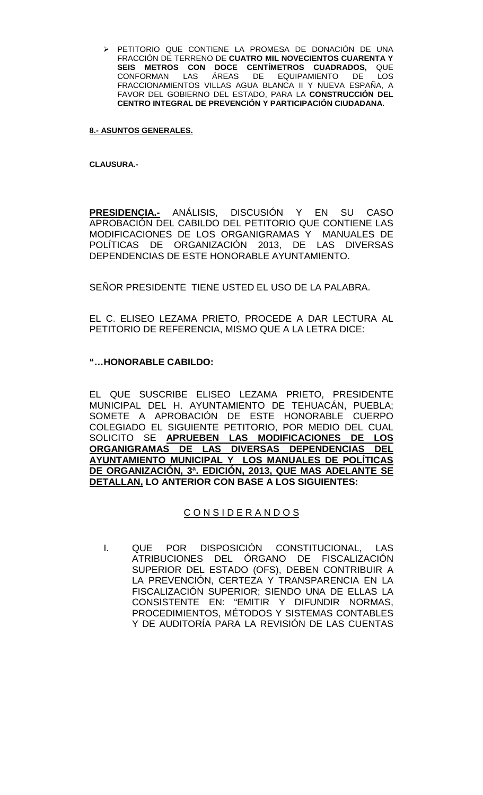PETITORIO QUE CONTIENE LA PROMESA DE DONACIÓN DE UNA FRACCIÓN DE TERRENO DE **CUATRO MIL NOVECIENTOS CUARENTA Y SEIS METROS CON DOCE CENTÍMETROS CUADRADOS,** QUE CONFORMAN LAS ÁREAS DE EQUIPAMIENTO DE LOS FRACCIONAMIENTOS VILLAS AGUA BLANCA II Y NUEVA ESPAÑA, A FAVOR DEL GOBIERNO DEL ESTADO, PARA LA **CONSTRUCCIÓN DEL CENTRO INTEGRAL DE PREVENCIÓN Y PARTICIPACIÓN CIUDADANA.**

#### **8.- ASUNTOS GENERALES.**

**CLAUSURA.-**

**PRESIDENCIA.-** ANÁLISIS, DISCUSIÓN Y EN SU CASO APROBACIÓN DEL CABILDO DEL PETITORIO QUE CONTIENE LAS MODIFICACIONES DE LOS ORGANIGRAMAS Y MANUALES DE POLÍTICAS DE ORGANIZACIÓN 2013, DE LAS DIVERSAS DEPENDENCIAS DE ESTE HONORABLE AYUNTAMIENTO.

SEÑOR PRESIDENTE TIENE USTED EL USO DE LA PALABRA.

EL C. ELISEO LEZAMA PRIETO, PROCEDE A DAR LECTURA AL PETITORIO DE REFERENCIA, MISMO QUE A LA LETRA DICE:

### **"…HONORABLE CABILDO:**

EL QUE SUSCRIBE ELISEO LEZAMA PRIETO, PRESIDENTE MUNICIPAL DEL H. AYUNTAMIENTO DE TEHUACÁN, PUEBLA; SOMETE A APROBACIÓN DE ESTE HONORABLE CUERPO COLEGIADO EL SIGUIENTE PETITORIO, POR MEDIO DEL CUAL SOLICITO SE **APRUEBEN LAS MODIFICACIONES DE LOS ORGANIGRAMAS DE LAS DIVERSAS DEPENDENCIAS DEL AYUNTAMIENTO MUNICIPAL Y LOS MANUALES DE POLÍTICAS DE ORGANIZACIÓN, 3ª. EDICIÓN, 2013, QUE MAS ADELANTE SE DETALLAN, LO ANTERIOR CON BASE A LOS SIGUIENTES:**

## C O N S I D E R A N D O S

I. QUE POR DISPOSICION CONSTITUCIONAL, LAS ATRIBUCIONES DEL ÓRGANO DE FISCALIZACIÓN SUPERIOR DEL ESTADO (OFS), DEBEN CONTRIBUIR A LA PREVENCIÓN, CERTEZA Y TRANSPARENCIA EN LA FISCALIZACIÓN SUPERIOR; SIENDO UNA DE ELLAS LA CONSISTENTE EN: "EMITIR Y DIFUNDIR NORMAS, PROCEDIMIENTOS, MÉTODOS Y SISTEMAS CONTABLES Y DE AUDITORÍA PARA LA REVISIÓN DE LAS CUENTAS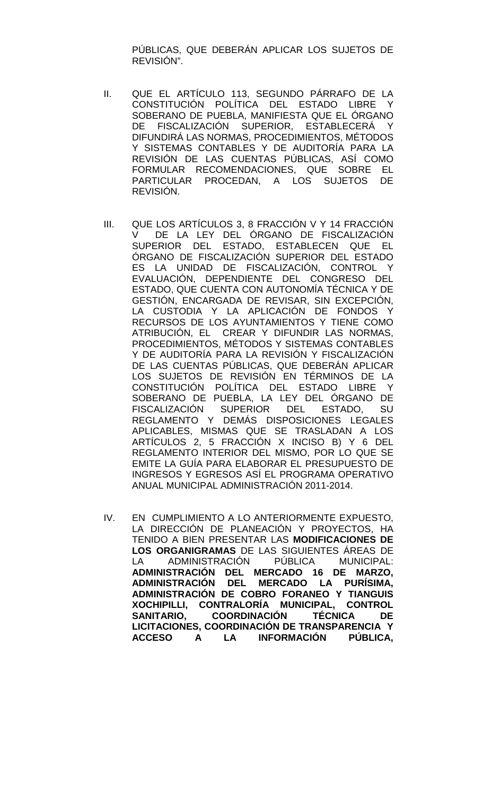PÚBLICAS, QUE DEBERÁN APLICAR LOS SUJETOS DE REVISIÓN".

- II. QUE EL ARTÍCULO 113, SEGUNDO PÁRRAFO DE LA CONSTITUCIÓN POLÍTICA DEL ESTADO LIBRE Y SOBERANO DE PUEBLA, MANIFIESTA QUE EL ÓRGANO DE FISCALIZACIÓN SUPERIOR, ESTABLECERÁ Y DIFUNDIRÁ LAS NORMAS, PROCEDIMIENTOS, MÉTODOS Y SISTEMAS CONTABLES Y DE AUDITORÍA PARA LA REVISIÓN DE LAS CUENTAS PÚBLICAS, ASÍ COMO FORMULAR RECOMENDACIONES, QUE SOBRE EL PARTICULAR PROCEDAN, A LOS SUJETOS DE REVISIÓN.
- III. QUE LOS ARTÍCULOS 3, 8 FRACCIÓN V Y 14 FRACCIÓN<br>VILLE LA LEY DEL ÓRGANO DE FISCALIZACIÓN DE LA LEY DEL ÓRGANO DE FISCALIZACIÓN SUPERIOR DEL ESTADO, ESTABLECEN QUE EL ÓRGANO DE FISCALIZACIÓN SUPERIOR DEL ESTADO ES LA UNIDAD DE FISCALIZACIÓN, CONTROL Y EVALUACIÓN, DEPENDIENTE DEL CONGRESO DEL ESTADO, QUE CUENTA CON AUTONOMÍA TÉCNICA Y DE GESTIÓN, ENCARGADA DE REVISAR, SIN EXCEPCIÓN, LA CUSTODIA Y LA APLICACIÓN DE FONDOS Y RECURSOS DE LOS AYUNTAMIENTOS Y TIENE COMO ATRIBUCIÓN, EL CREAR Y DIFUNDIR LAS NORMAS, PROCEDIMIENTOS, MÉTODOS Y SISTEMAS CONTABLES Y DE AUDITORÍA PARA LA REVISIÓN Y FISCALIZACIÓN DE LAS CUENTAS PÚBLICAS, QUE DEBERÁN APLICAR LOS SUJETOS DE REVISIÓN EN TÉRMINOS DE LA CONSTITUCIÓN POLÍTICA DEL ESTADO LIBRE Y SOBERANO DE PUEBLA, LA LEY DEL ÓRGANO DE FISCALIZACIÓN SUPERIOR DEL ESTADO, SU REGLAMENTO Y DEMÁS DISPOSICIONES LEGALES APLICABLES, MISMAS QUE SE TRASLADAN A LOS ARTÍCULOS 2, 5 FRACCIÓN X INCISO B) Y 6 DEL REGLAMENTO INTERIOR DEL MISMO, POR LO QUE SE EMITE LA GUÍA PARA ELABORAR EL PRESUPUESTO DE INGRESOS Y EGRESOS ASÍ EL PROGRAMA OPERATIVO ANUAL MUNICIPAL ADMINISTRACIÓN 2011-2014.
- IV. EN CUMPLIMIENTO A LO ANTERIORMENTE EXPUESTO, LA DIRECCIÓN DE PLANEACIÓN Y PROYECTOS, HA TENIDO A BIEN PRESENTAR LAS **MODIFICACIONES DE LOS ORGANIGRAMAS** DE LAS SIGUIENTES ÁREAS DE LA ADMINISTRACIÓN PÚBLICA MUNICIPAL: **ADMINISTRACIÓN DEL MERCADO 16 DE MARZO, ADMINISTRACIÓN DEL MERCADO LA PURÍSIMA, ADMINISTRACIÓN DE COBRO FORANEO Y TIANGUIS XOCHIPILLI, CONTRALORÍA MUNICIPAL, CONTROL SANITARIO, COORDINACIÓN TÉCNICA DE LICITACIONES, COORDINACIÓN DE TRANSPARENCIA Y ACCESO A LA INFORMACIÓN PÚBLICA,**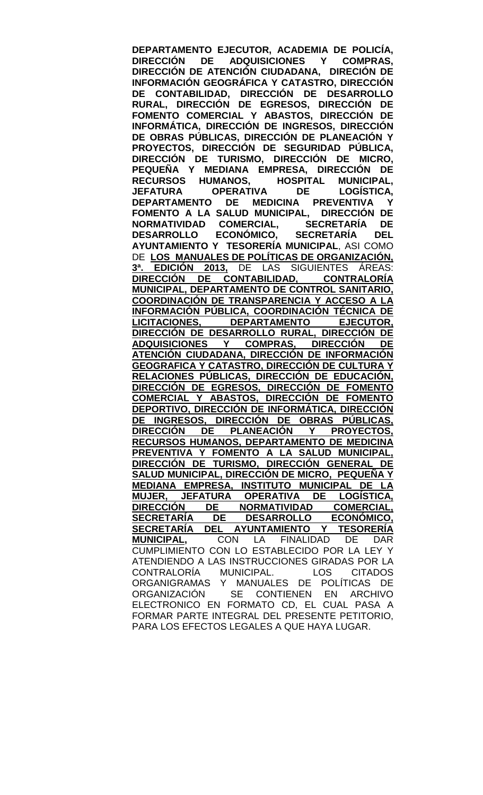**DEPARTAMENTO EJECUTOR, ACADEMIA DE POLICÍA, ADQUISICIONES Y DIRECCIÓN DE ATENCIÓN CIUDADANA, DIRECIÓN DE INFORMACIÓN GEOGRÁFICA Y CATASTRO, DIRECCIÓN DE CONTABILIDAD, DIRECCIÓN DE DESARROLLO RURAL, DIRECCIÓN DE EGRESOS, DIRECCIÓN DE FOMENTO COMERCIAL Y ABASTOS, DIRECCIÓN DE INFORMÁTICA, DIRECCIÓN DE INGRESOS, DIRECCIÓN DE OBRAS PÚBLICAS, DIRECCIÓN DE PLANEACIÓN Y PROYECTOS, DIRECCIÓN DE SEGURIDAD PÚBLICA, DIRECCIÓN DE TURISMO, DIRECCIÓN DE MICRO, PEQUEÑA Y MEDIANA EMPRESA, DIRECCIÓN DE RECURSOS HUMANOS, HOSPITAL MUNICIPAL, JEFATURA OPERATIVA DE LOGÍSTICA, DE MEDICINA PREVENTIVA FOMENTO A LA SALUD MUNICIPAL, DIRECCIÓN DE NORMATIVIDAD COMERCIAL, SECRETARÍA DE DESARROLLO ECONÓMICO, SECRETARÍA DEL AYUNTAMIENTO Y TESORERÍA MUNICIPAL**, ASI COMO DE **LOS MANUALES DE POLÍTICAS DE ORGANIZACIÓN, 3ª. EDICIÓN 2013,** DE LAS SIGUIENTES ÁREAS: **DIRECCIÓN DE CONTABILIDAD, CONTRALORÍA MUNICIPAL, DEPARTAMENTO DE CONTROL SANITARIO, COORDINACIÓN DE TRANSPARENCIA Y ACCESO A LA INFORMACIÓN PÚBLICA, COORDINACIÓN TÉCNICA DE DEPARTAMENTO EJECUTOR, DIRECCIÓN DE DESARROLLO RURAL, DIRECCIÓN DE ADQUISICIONES Y COMPRAS, DIRECCIÓN DE ATENCIÓN CIUDADANA, DIRECCIÓN DE INFORMACIÓN GEOGRAFICA Y CATASTRO, DIRECCIÓN DE CULTURA Y RELACIONES PÚBLICAS, DIRECCIÓN DE EDUCACIÓN, DIRECCIÓN DE EGRESOS, DIRECCIÓN DE FOMENTO COMERCIAL Y ABASTOS, DIRECCIÓN DE FOMENTO DEPORTIVO, DIRECCIÓN DE INFORMÁTICA, DIRECCIÓN DE INGRESOS, DIRECCIÓN DE OBRAS PÚBLICAS,**  <u>DIRECCIÓN DE PLANEACIÓN</u> **RECURSOS HUMANOS, DEPARTAMENTO DE MEDICINA PREVENTIVA Y FOMENTO A LA SALUD MUNICIPAL, DIRECCIÓN DE TURISMO, DIRECCIÓN GENERAL DE SALUD MUNICIPAL, DIRECCIÓN DE MICRO, PEQUEÑA Y MEDIANA EMPRESA, INSTITUTO MUNICIPAL DE LA MUJER, JEFATURA OPERATIVA DE LOGÍSTICA, DIRECCIÓN DE NORMATIVIDAD COMERCIAL, SECONO DESARROLLO<br>SECONÓMICADO EN ORIGINAL DE DESARROLLO Y SECRETARÍA DEL AYUNTAMIENTO Y TESORERÍA MUNICIPAL,** CON LA FINALIDAD DE DAR CUMPLIMIENTO CON LO ESTABLECIDO POR LA LEY Y ATENDIENDO A LAS INSTRUCCIONES GIRADAS POR LA CONTRALORÍA MUNICIPAL. LOS CITADOS ORGANIGRAMAS Y MANUALES DE POLÍTICAS DE ORGANIZACIÓN SE CONTIENEN EN ARCHIVO ELECTRONICO EN FORMATO CD, EL CUAL PASA A FORMAR PARTE INTEGRAL DEL PRESENTE PETITORIO, PARA LOS EFECTOS LEGALES A QUE HAYA LUGAR.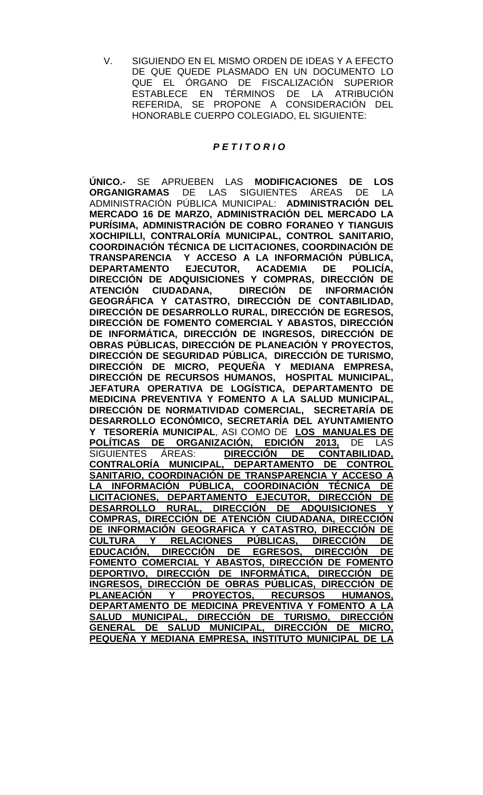V. SIGUIENDO EN EL MISMO ORDEN DE IDEAS Y A EFECTO DE QUE QUEDE PLASMADO EN UN DOCUMENTO LO QUE EL ÓRGANO DE FISCALIZACIÓN SUPERIOR ESTABLECE EN TÉRMINOS DE LA ATRIBUCIÓN REFERIDA, SE PROPONE A CONSIDERACIÓN DEL HONORABLE CUERPO COLEGIADO, EL SIGUIENTE:

### *P E T I T O R I O*

**ÚNICO.-** SE APRUEBEN LAS **MODIFICACIONES DE LOS ORGANIGRAMAS** DE LAS SIGUIENTES ÁREAS DE LA ADMINISTRACIÓN PÚBLICA MUNICIPAL: **ADMINISTRACIÓN DEL MERCADO 16 DE MARZO, ADMINISTRACIÓN DEL MERCADO LA PURÍSIMA, ADMINISTRACIÓN DE COBRO FORANEO Y TIANGUIS XOCHIPILLI, CONTRALORÍA MUNICIPAL, CONTROL SANITARIO, COORDINACIÓN TÉCNICA DE LICITACIONES, COORDINACIÓN DE TRANSPARENCIA Y ACCESO A LA INFORMACIÓN PÚBLICA, DEPARTAMENTO EJECUTOR, ACADEMIA DE POLICÍA, DIRECCIÓN DE ADQUISICIONES Y COMPRAS, DIRECCIÓN DE ATENCIÓN CIUDADANA, DIRECIÓN DE INFORMACIÓN GEOGRÁFICA Y CATASTRO, DIRECCIÓN DE CONTABILIDAD, DIRECCIÓN DE DESARROLLO RURAL, DIRECCIÓN DE EGRESOS, DIRECCIÓN DE FOMENTO COMERCIAL Y ABASTOS, DIRECCIÓN DE INFORMÁTICA, DIRECCIÓN DE INGRESOS, DIRECCIÓN DE OBRAS PÚBLICAS, DIRECCIÓN DE PLANEACIÓN Y PROYECTOS, DIRECCIÓN DE SEGURIDAD PÚBLICA, DIRECCIÓN DE TURISMO,**  DIRECCIÓN DE MICRO, PEQUENA Y MEDIANA EMPRESA, **DIRECCIÓN DE RECURSOS HUMANOS, HOSPITAL MUNICIPAL, JEFATURA OPERATIVA DE LOGÍSTICA, DEPARTAMENTO DE MEDICINA PREVENTIVA Y FOMENTO A LA SALUD MUNICIPAL, DIRECCIÓN DE NORMATIVIDAD COMERCIAL, SECRETARÍA DE DESARROLLO ECONÓMICO, SECRETARÍA DEL AYUNTAMIENTO Y TESORERÍA MUNICIPAL**, ASI COMO DE **LOS MANUALES DE POLÍTICAS DE ORGANIZACIÓN, EDICIÓN 2013,** DE LAS SIGUIENTES ÁREAS: **CONTRALORÍA MUNICIPAL, DEPARTAMENTO DE CONTROL SANITARIO, COORDINACIÓN DE TRANSPARENCIA Y ACCESO A LA INFORMACIÓN PÚBLICA, COORDINACIÓN TÉCNICA DE LICITACIONES, DEPARTAMENTO EJECUTOR, DIRECCIÓN DE**  DESARROLLO RURAL, DIRECCIÓN DE ADQUISICIONES **COMPRAS, DIRECCIÓN DE ATENCIÓN CIUDADANA, DIRECCIÓN DE INFORMACIÓN GEOGRAFICA Y CATASTRO, DIRECCIÓN DE CULTURA Y RELACIONES PÚBLICAS, DIRECCIÓN DE EDUCACIÓN, DIRECCIÓN DE EGRESOS, DIRECCIÓN DE FOMENTO COMERCIAL Y ABASTOS, DIRECCIÓN DE FOMENTO DEPORTIVO, DIRECCIÓN DE INFORMÁTICA, DIRECCIÓN DE INGRESOS, DIRECCIÓN DE OBRAS PÚBLICAS, DIRECCIÓN DE PROYECTOS, DEPARTAMENTO DE MEDICINA PREVENTIVA Y FOMENTO A LA SALUD MUNICIPAL, DIRECCIÓN DE TURISMO, DIRECCIÓN GENERAL DE SALUD MUNICIPAL, DIRECCIÓN DE MICRO, PEQUEÑA Y MEDIANA EMPRESA, INSTITUTO MUNICIPAL DE LA**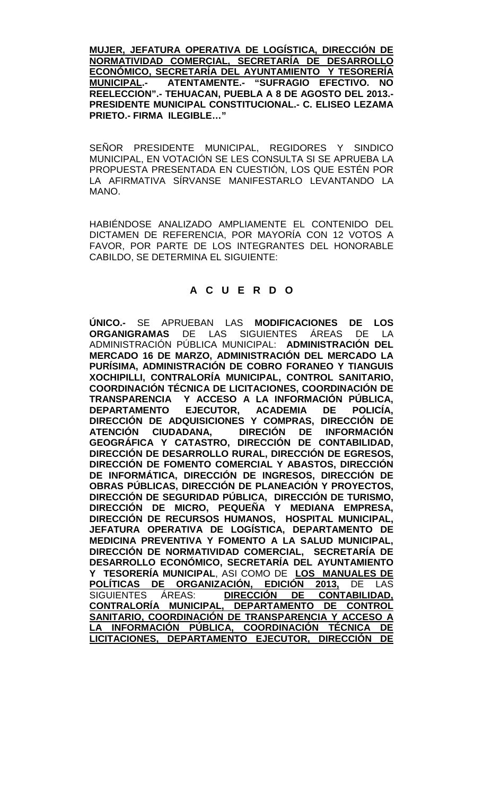**MUJER, JEFATURA OPERATIVA DE LOGÍSTICA, DIRECCIÓN DE NORMATIVIDAD COMERCIAL, SECRETARÍA DE DESARROLLO ECONÓMICO, SECRETARÍA DEL AYUNTAMIENTO Y TESORERÍA MUNICIPAL.- ATENTAMENTE.- "SUFRAGIO EFECTIVO. NO REELECCION".- TEHUACAN, PUEBLA A 8 DE AGOSTO DEL 2013.- PRESIDENTE MUNICIPAL CONSTITUCIONAL.- C. ELISEO LEZAMA PRIETO.- FIRMA ILEGIBLE…"**

SEÑOR PRESIDENTE MUNICIPAL, REGIDORES Y SINDICO MUNICIPAL, EN VOTACIÓN SE LES CONSULTA SI SE APRUEBA LA PROPUESTA PRESENTADA EN CUESTIÓN, LOS QUE ESTÉN POR LA AFIRMATIVA SÍRVANSE MANIFESTARLO LEVANTANDO LA MANO.

HABIÉNDOSE ANALIZADO AMPLIAMENTE EL CONTENIDO DEL DICTAMEN DE REFERENCIA, POR MAYORÍA CON 12 VOTOS A FAVOR, POR PARTE DE LOS INTEGRANTES DEL HONORABLE CABILDO, SE DETERMINA EL SIGUIENTE:

## **A C U E R D O**

**ÚNICO.-** SE APRUEBAN LAS **MODIFICACIONES DE LOS ORGANIGRAMAS** DE LAS SIGUIENTES ÁREAS DE LA ADMINISTRACIÓN PÚBLICA MUNICIPAL: **ADMINISTRACIÓN DEL MERCADO 16 DE MARZO, ADMINISTRACIÓN DEL MERCADO LA PURÍSIMA, ADMINISTRACIÓN DE COBRO FORANEO Y TIANGUIS XOCHIPILLI, CONTRALORÍA MUNICIPAL, CONTROL SANITARIO, COORDINACIÓN TÉCNICA DE LICITACIONES, COORDINACIÓN DE TRANSPARENCIA Y ACCESO A LA INFORMACIÓN PÚBLICA, DEPARTAMENTO EJECUTOR, ACADEMIA DE POLICÍA, DIRECCIÓN DE ADQUISICIONES Y COMPRAS, DIRECCIÓN DE ATENCIÓN CIUDADANA, DIRECIÓN DE INFORMACIÓN GEOGRÁFICA Y CATASTRO, DIRECCIÓN DE CONTABILIDAD, DIRECCIÓN DE DESARROLLO RURAL, DIRECCIÓN DE EGRESOS, DIRECCIÓN DE FOMENTO COMERCIAL Y ABASTOS, DIRECCIÓN DE INFORMÁTICA, DIRECCIÓN DE INGRESOS, DIRECCIÓN DE OBRAS PÚBLICAS, DIRECCIÓN DE PLANEACIÓN Y PROYECTOS, DIRECCIÓN DE SEGURIDAD PÚBLICA, DIRECCIÓN DE TURISMO, DIRECCIÓN DE MICRO, PEQUEÑA Y MEDIANA EMPRESA, DIRECCIÓN DE RECURSOS HUMANOS, HOSPITAL MUNICIPAL, JEFATURA OPERATIVA DE LOGÍSTICA, DEPARTAMENTO DE MEDICINA PREVENTIVA Y FOMENTO A LA SALUD MUNICIPAL, DIRECCIÓN DE NORMATIVIDAD COMERCIAL, SECRETARÍA DE DESARROLLO ECONÓMICO, SECRETARÍA DEL AYUNTAMIENTO Y TESORERÍA MUNICIPAL**, ASI COMO DE **LOS MANUALES DE POLÍTICAS DE ORGANIZACIÓN, EDICIÓN 2013,** DE LAS **CONTABILIDAD, CONTRALORÍA MUNICIPAL, DEPARTAMENTO DE CONTROL SANITARIO, COORDINACIÓN DE TRANSPARENCIA Y ACCESO A LA INFORMACIÓN PÚBLICA, COORDINACIÓN TÉCNICA DE LICITACIONES, DEPARTAMENTO EJECUTOR, DIRECCIÓN DE**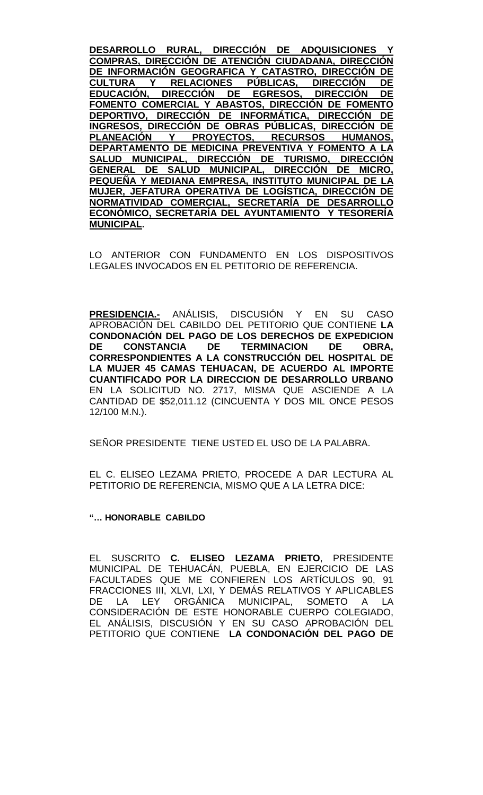**DESARROLLO RURAL, DIRECCIÓN DE ADQUISICIONES COMPRAS, DIRECCIÓN DE ATENCIÓN CIUDADANA, DIRECCIÓN DE INFORMACIÓN GEOGRAFICA Y CATASTRO, DIRECCIÓN DE CULTURA Y RELACIONES PÚBLICAS, DIRECCIÓN DE EDUCACIÓN, DIRECCIÓN DE EGRESOS, DIRECCIÓN DE FOMENTO COMERCIAL Y ABASTOS, DIRECCIÓN DE FOMENTO DEPORTIVO, DIRECCIÓN DE INFORMÁTICA, DIRECCIÓN DE INGRESOS, DIRECCIÓN DE OBRAS PÚBLICAS, DIRECCIÓN DE PLANEACIÓN Y PROYECTOS, RECURSOS HUMANOS, DEPARTAMENTO DE MEDICINA PREVENTIVA Y FOMENTO A LA SALUD MUNICIPAL, DIRECCIÓN DE TURISMO, DIRECCIÓN GENERAL DE SALUD MUNICIPAL, DIRECCIÓN DE MICRO, PEQUEÑA Y MEDIANA EMPRESA, INSTITUTO MUNICIPAL DE LA MUJER, JEFATURA OPERATIVA DE LOGÍSTICA, DIRECCIÓN DE NORMATIVIDAD COMERCIAL, SECRETARÍA DE DESARROLLO ECONÓMICO, SECRETARÍA DEL AYUNTAMIENTO Y TESORERÍA MUNICIPAL.**

LO ANTERIOR CON FUNDAMENTO EN LOS DISPOSITIVOS LEGALES INVOCADOS EN EL PETITORIO DE REFERENCIA.

**PRESIDENCIA.-** ANÁLISIS, DISCUSIÓN Y EN SU CASO APROBACIÓN DEL CABILDO DEL PETITORIO QUE CONTIENE **LA CONDONACIÓN DEL PAGO DE LOS DERECHOS DE EXPEDICION DE CONSTANCIA DE TERMINACION DE OBRA, CORRESPONDIENTES A LA CONSTRUCCIÓN DEL HOSPITAL DE LA MUJER 45 CAMAS TEHUACAN, DE ACUERDO AL IMPORTE CUANTIFICADO POR LA DIRECCION DE DESARROLLO URBANO**  EN LA SOLICITUD NO. 2717, MISMA QUE ASCIENDE A LA CANTIDAD DE \$52,011.12 (CINCUENTA Y DOS MIL ONCE PESOS 12/100 M.N.).

SEÑOR PRESIDENTE TIENE USTED EL USO DE LA PALABRA.

EL C. ELISEO LEZAMA PRIETO, PROCEDE A DAR LECTURA AL PETITORIO DE REFERENCIA, MISMO QUE A LA LETRA DICE:

**"… HONORABLE CABILDO** 

EL SUSCRITO **C. ELISEO LEZAMA PRIETO**, PRESIDENTE MUNICIPAL DE TEHUACÁN, PUEBLA, EN EJERCICIO DE LAS FACULTADES QUE ME CONFIEREN LOS ARTÍCULOS 90, 91 FRACCIONES III, XLVI, LXI, Y DEMÁS RELATIVOS Y APLICABLES ORGÁNICA MUNICIPAL, SOMETO A LA CONSIDERACIÓN DE ESTE HONORABLE CUERPO COLEGIADO, EL ANÁLISIS, DISCUSIÓN Y EN SU CASO APROBACIÓN DEL PETITORIO QUE CONTIENE **LA CONDONACIÓN DEL PAGO DE**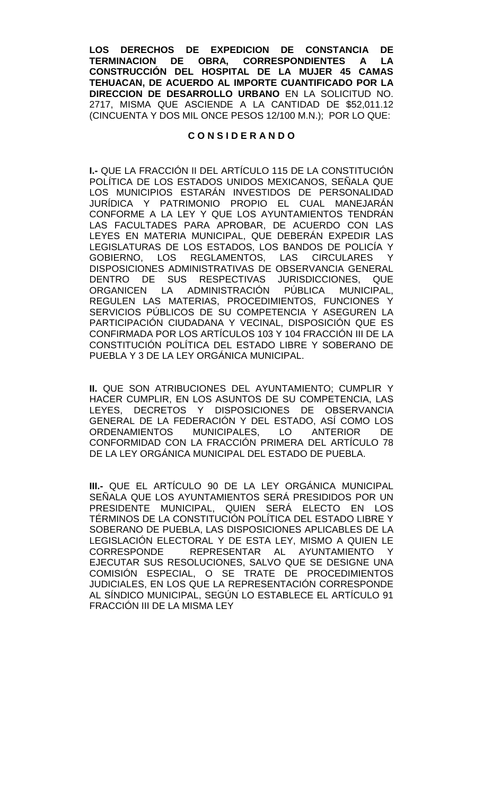**LOS DERECHOS DE EXPEDICION DE CONSTANCIA DE OBRA, CORRESPONDIENTES A LA CONSTRUCCIÓN DEL HOSPITAL DE LA MUJER 45 CAMAS TEHUACAN, DE ACUERDO AL IMPORTE CUANTIFICADO POR LA DIRECCION DE DESARROLLO URBANO** EN LA SOLICITUD NO. 2717, MISMA QUE ASCIENDE A LA CANTIDAD DE \$52,011.12 (CINCUENTA Y DOS MIL ONCE PESOS 12/100 M.N.); POR LO QUE:

### **C O N S I D E R A N D O**

**I.-** QUE LA FRACCIÓN II DEL ARTÍCULO 115 DE LA CONSTITUCIÓN POLÍTICA DE LOS ESTADOS UNIDOS MEXICANOS, SEÑALA QUE LOS MUNICIPIOS ESTARÁN INVESTIDOS DE PERSONALIDAD JURÍDICA Y PATRIMONIO PROPIO EL CUAL MANEJARÁN CONFORME A LA LEY Y QUE LOS AYUNTAMIENTOS TENDRÁN LAS FACULTADES PARA APROBAR, DE ACUERDO CON LAS LEYES EN MATERIA MUNICIPAL, QUE DEBERÁN EXPEDIR LAS LEGISLATURAS DE LOS ESTADOS, LOS BANDOS DE POLICÍA Y GOBIERNO, LOS REGLAMENTOS, LAS DISPOSICIONES ADMINISTRATIVAS DE OBSERVANCIA GENERAL DENTRO DE SUS RESPECTIVAS JURISDICCIONES, QUE<br>ORGANICEN LA ADMINISTRACIÓN PÚBLICA MUNICIPAL, ORGANICEN LA ADMINISTRACIÓN PÚBLICA MUNICIPAL, REGULEN LAS MATERIAS, PROCEDIMIENTOS, FUNCIONES Y SERVICIOS PÚBLICOS DE SU COMPETENCIA Y ASEGUREN LA PARTICIPACIÓN CIUDADANA Y VECINAL, DISPOSICIÓN QUE ES CONFIRMADA POR LOS ARTÍCULOS 103 Y 104 FRACCIÓN III DE LA CONSTITUCIÓN POLÍTICA DEL ESTADO LIBRE Y SOBERANO DE PUEBLA Y 3 DE LA LEY ORGÁNICA MUNICIPAL.

**II.** QUE SON ATRIBUCIONES DEL AYUNTAMIENTO; CUMPLIR Y HACER CUMPLIR, EN LOS ASUNTOS DE SU COMPETENCIA, LAS LEYES, DECRETOS Y DISPOSICIONES DE OBSERVANCIA GENERAL DE LA FEDERACIÓN Y DEL ESTADO, ASÍ COMO LOS ORDENAMIENTOS MUNICIPALES, LO ANTERIOR DE CONFORMIDAD CON LA FRACCIÓN PRIMERA DEL ARTÍCULO 78 DE LA LEY ORGÁNICA MUNICIPAL DEL ESTADO DE PUEBLA.

**III.-** QUE EL ARTÍCULO 90 DE LA LEY ORGÁNICA MUNICIPAL SEÑALA QUE LOS AYUNTAMIENTOS SERÁ PRESIDIDOS POR UN PRESIDENTE MUNICIPAL, QUIEN SERÁ ELECTO EN LOS TÉRMINOS DE LA CONSTITUCIÓN POLÍTICA DEL ESTADO LIBRE Y SOBERANO DE PUEBLA, LAS DISPOSICIONES APLICABLES DE LA LEGISLACIÓN ELECTORAL Y DE ESTA LEY, MISMO A QUIEN LE CORRESPONDE REPRESENTAR AL AYUNTAMIENTO Y EJECUTAR SUS RESOLUCIONES, SALVO QUE SE DESIGNE UNA COMISIÓN ESPECIAL, O SE TRATE DE PROCEDIMIENTOS JUDICIALES, EN LOS QUE LA REPRESENTACIÓN CORRESPONDE AL SÍNDICO MUNICIPAL, SEGÚN LO ESTABLECE EL ARTÍCULO 91 FRACCIÓN III DE LA MISMA LEY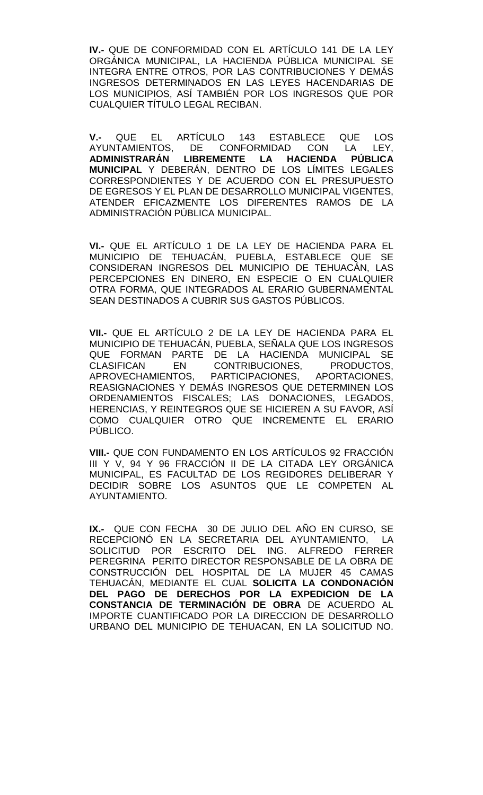**IV.-** QUE DE CONFORMIDAD CON EL ARTÍCULO 141 DE LA LEY ORGÁNICA MUNICIPAL, LA HACIENDA PÚBLICA MUNICIPAL SE INTEGRA ENTRE OTROS, POR LAS CONTRIBUCIONES Y DEMÁS INGRESOS DETERMINADOS EN LAS LEYES HACENDARIAS DE LOS MUNICIPIOS, ASÍ TAMBIÉN POR LOS INGRESOS QUE POR CUALQUIER TÍTULO LEGAL RECIBAN.

**V.-** QUE EL ARTÍCULO 143 ESTABLECE QUE LOS AYUNTAMIENTOS, DE CONFORMIDAD CON LA LEY,<br>**ADMINISTRARÁN LIBREMENTE LA HACIENDA PÚBLICA** LIBREMENTE LA HACIENDA **MUNICIPAL** Y DEBERÁN, DENTRO DE LOS LÍMITES LEGALES CORRESPONDIENTES Y DE ACUERDO CON EL PRESUPUESTO DE EGRESOS Y EL PLAN DE DESARROLLO MUNICIPAL VIGENTES, ATENDER EFICAZMENTE LOS DIFERENTES RAMOS DE LA ADMINISTRACIÓN PÚBLICA MUNICIPAL.

**VI.-** QUE EL ARTÍCULO 1 DE LA LEY DE HACIENDA PARA EL MUNICIPIO DE TEHUACÁN, PUEBLA, ESTABLECE QUE SE CONSIDERAN INGRESOS DEL MUNICIPIO DE TEHUACÁN, LAS PERCEPCIONES EN DINERO, EN ESPECIE O EN CUALQUIER OTRA FORMA, QUE INTEGRADOS AL ERARIO GUBERNAMENTAL SEAN DESTINADOS A CUBRIR SUS GASTOS PÚBLICOS.

**VII.-** QUE EL ARTÍCULO 2 DE LA LEY DE HACIENDA PARA EL MUNICIPIO DE TEHUACÁN, PUEBLA, SEÑALA QUE LOS INGRESOS QUE FORMAN PARTE DE LA HACIENDA MUNICIPAL SE<br>CLASIFICAN EN CONTRIBUCIONES. PRODUCTOS. CONTRIBUCIONES, PRODUCTOS, APROVECHAMIENTOS, PARTICIPACIONES, APORTACIONES, REASIGNACIONES Y DEMÁS INGRESOS QUE DETERMINEN LOS ORDENAMIENTOS FISCALES; LAS DONACIONES, LEGADOS, HERENCIAS, Y REINTEGROS QUE SE HICIEREN A SU FAVOR, ASÍ COMO CUALQUIER OTRO QUE INCREMENTE EL ERARIO PÚBLICO.

**VIII.-** QUE CON FUNDAMENTO EN LOS ARTÍCULOS 92 FRACCIÓN III Y V, 94 Y 96 FRACCIÓN II DE LA CITADA LEY ORGÁNICA MUNICIPAL, ES FACULTAD DE LOS REGIDORES DELIBERAR Y DECIDIR SOBRE LOS ASUNTOS QUE LE COMPETEN AL AYUNTAMIENTO.

**IX.-** QUE CON FECHA 30 DE JULIO DEL AÑO EN CURSO, SE RECEPCIONÓ EN LA SECRETARIA DEL AYUNTAMIENTO, LA SOLICITUD POR ESCRITO DEL ING. ALFREDO FERRER PEREGRINA PERITO DIRECTOR RESPONSABLE DE LA OBRA DE CONSTRUCCIÓN DEL HOSPITAL DE LA MUJER 45 CAMAS TEHUACÁN, MEDIANTE EL CUAL **SOLICITA LA CONDONACIÓN DEL PAGO DE DERECHOS POR LA EXPEDICION DE LA CONSTANCIA DE TERMINACIÓN DE OBRA** DE ACUERDO AL IMPORTE CUANTIFICADO POR LA DIRECCION DE DESARROLLO URBANO DEL MUNICIPIO DE TEHUACAN, EN LA SOLICITUD NO.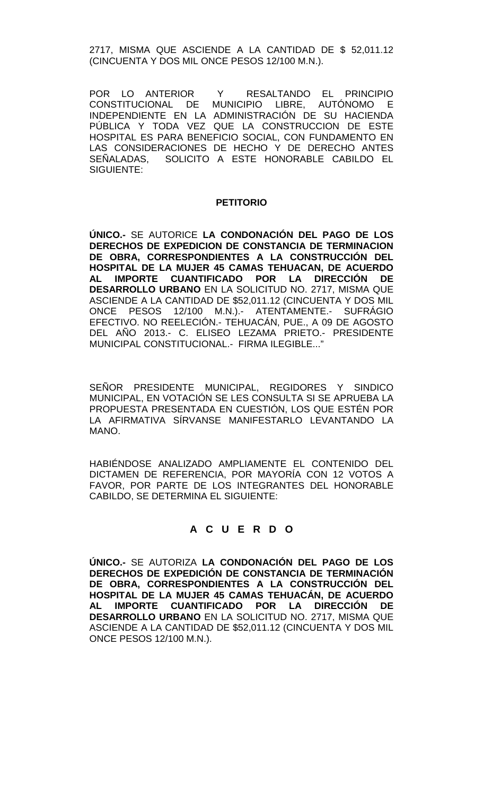2717, MISMA QUE ASCIENDE A LA CANTIDAD DE \$ 52,011.12 (CINCUENTA Y DOS MIL ONCE PESOS 12/100 M.N.).

POR LO ANTERIOR Y RESALTANDO EL PRINCIPIO CONSTITUCIONAL DE MUNICIPIO LIBRE, AUTÓNOMO E INDEPENDIENTE EN LA ADMINISTRACIÓN DE SU HACIENDA PÚBLICA Y TODA VEZ QUE LA CONSTRUCCION DE ESTE HOSPITAL ES PARA BENEFICIO SOCIAL, CON FUNDAMENTO EN LAS CONSIDERACIONES DE HECHO Y DE DERECHO ANTES SEÑALADAS, SOLICITO A ESTE HONORABLE CABILDO EL SIGUIENTE:

#### **PETITORIO**

**ÚNICO.-** SE AUTORICE **LA CONDONACIÓN DEL PAGO DE LOS DERECHOS DE EXPEDICION DE CONSTANCIA DE TERMINACION DE OBRA, CORRESPONDIENTES A LA CONSTRUCCIÓN DEL HOSPITAL DE LA MUJER 45 CAMAS TEHUACAN, DE ACUERDO AL IMPORTE CUANTIFICADO POR LA DIRECCIÓN DE DESARROLLO URBANO** EN LA SOLICITUD NO. 2717, MISMA QUE ASCIENDE A LA CANTIDAD DE \$52,011.12 (CINCUENTA Y DOS MIL ONCE PESOS 12/100 M.N.).- ATENTAMENTE.- SUFRÁGIO EFECTIVO. NO REELECIÓN.- TEHUACÁN, PUE., A 09 DE AGOSTO DEL AÑO 2013.- C. ELISEO LEZAMA PRIETO.- PRESIDENTE MUNICIPAL CONSTITUCIONAL.- FIRMA ILEGIBLE..."

SEÑOR PRESIDENTE MUNICIPAL, REGIDORES Y SINDICO MUNICIPAL, EN VOTACIÓN SE LES CONSULTA SI SE APRUEBA LA PROPUESTA PRESENTADA EN CUESTIÓN, LOS QUE ESTÉN POR LA AFIRMATIVA SÍRVANSE MANIFESTARLO LEVANTANDO LA MANO.

HABIÉNDOSE ANALIZADO AMPLIAMENTE EL CONTENIDO DEL DICTAMEN DE REFERENCIA, POR MAYORÍA CON 12 VOTOS A FAVOR, POR PARTE DE LOS INTEGRANTES DEL HONORABLE CABILDO, SE DETERMINA EL SIGUIENTE:

# **A C U E R D O**

**ÚNICO.-** SE AUTORIZA **LA CONDONACIÓN DEL PAGO DE LOS DERECHOS DE EXPEDICIÓN DE CONSTANCIA DE TERMINACIÓN DE OBRA, CORRESPONDIENTES A LA CONSTRUCCIÓN DEL HOSPITAL DE LA MUJER 45 CAMAS TEHUACÁN, DE ACUERDO**  AL IMPORTE CUANTIFICADO POR LA DIRECCIÓN **DESARROLLO URBANO** EN LA SOLICITUD NO. 2717, MISMA QUE ASCIENDE A LA CANTIDAD DE \$52,011.12 (CINCUENTA Y DOS MIL ONCE PESOS 12/100 M.N.).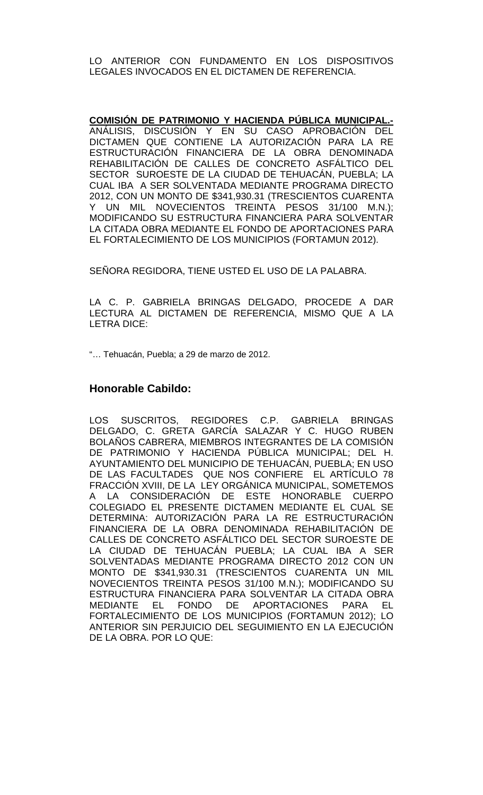LO ANTERIOR CON FUNDAMENTO EN LOS DISPOSITIVOS LEGALES INVOCADOS EN EL DICTAMEN DE REFERENCIA.

**COMISIÓN DE PATRIMONIO Y HACIENDA PÚBLICA MUNICIPAL.-** ANÁLISIS, DISCUSIÓN Y EN SU CASO APROBACIÓN DEL DICTAMEN QUE CONTIENE LA AUTORIZACIÓN PARA LA RE ESTRUCTURACIÓN FINANCIERA DE LA OBRA DENOMINADA REHABILITACIÓN DE CALLES DE CONCRETO ASFÁLTICO DEL SECTOR SUROESTE DE LA CIUDAD DE TEHUACÁN, PUEBLA; LA CUAL IBA A SER SOLVENTADA MEDIANTE PROGRAMA DIRECTO 2012, CON UN MONTO DE \$341,930.31 (TRESCIENTOS CUARENTA Y UN MIL NOVECIENTOS TREINTA PESOS 31/100 M.N.); MODIFICANDO SU ESTRUCTURA FINANCIERA PARA SOLVENTAR LA CITADA OBRA MEDIANTE EL FONDO DE APORTACIONES PARA EL FORTALECIMIENTO DE LOS MUNICIPIOS (FORTAMUN 2012).

SEÑORA REGIDORA, TIENE USTED EL USO DE LA PALABRA.

LA C. P. GABRIELA BRINGAS DELGADO, PROCEDE A DAR LECTURA AL DICTAMEN DE REFERENCIA, MISMO QUE A LA LETRA DICE:

"… Tehuacán, Puebla; a 29 de marzo de 2012.

## **Honorable Cabildo:**

LOS SUSCRITOS, REGIDORES C.P. GABRIELA BRINGAS DELGADO, C. GRETA GARCÍA SALAZAR Y C. HUGO RUBEN BOLAÑOS CABRERA, MIEMBROS INTEGRANTES DE LA COMISIÓN DE PATRIMONIO Y HACIENDA PÚBLICA MUNICIPAL; DEL H. AYUNTAMIENTO DEL MUNICIPIO DE TEHUACÁN, PUEBLA; EN USO DE LAS FACULTADES QUE NOS CONFIERE EL ARTÍCULO 78 FRACCIÓN XVIII, DE LA LEY ORGÁNICA MUNICIPAL, SOMETEMOS A LA CONSIDERACIÓN DE ESTE HONORABLE CUERPO COLEGIADO EL PRESENTE DICTAMEN MEDIANTE EL CUAL SE DETERMINA: AUTORIZACIÓN PARA LA RE ESTRUCTURACIÓN FINANCIERA DE LA OBRA DENOMINADA REHABILITACIÓN DE CALLES DE CONCRETO ASFÁLTICO DEL SECTOR SUROESTE DE LA CIUDAD DE TEHUACÁN PUEBLA; LA CUAL IBA A SER SOLVENTADAS MEDIANTE PROGRAMA DIRECTO 2012 CON UN MONTO DE \$341,930.31 (TRESCIENTOS CUARENTA UN MIL NOVECIENTOS TREINTA PESOS 31/100 M.N.); MODIFICANDO SU ESTRUCTURA FINANCIERA PARA SOLVENTAR LA CITADA OBRA MEDIANTE EL FONDO DE APORTACIONES PARA EL FORTALECIMIENTO DE LOS MUNICIPIOS (FORTAMUN 2012); LO ANTERIOR SIN PERJUICIO DEL SEGUIMIENTO EN LA EJECUCIÓN DE LA OBRA. POR LO QUE: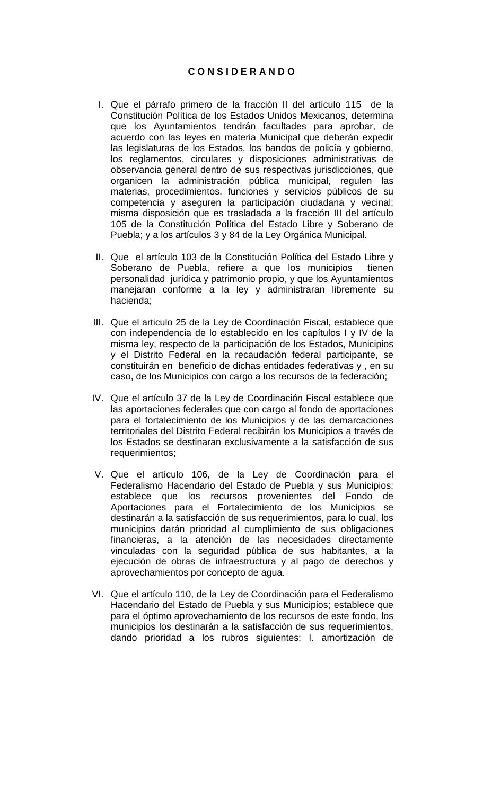## **C O N S I D E R A N D O**

- I. Que el párrafo primero de la fracción II del artículo 115 de la Constitución Política de los Estados Unidos Mexicanos, determina que los Ayuntamientos tendrán facultades para aprobar, de acuerdo con las leyes en materia Municipal que deberán expedir las legislaturas de los Estados, los bandos de policía y gobierno, los reglamentos, circulares y disposiciones administrativas de observancia general dentro de sus respectivas jurisdicciones, que organicen la administración pública municipal, regulen las materias, procedimientos, funciones y servicios públicos de su competencia y aseguren la participación ciudadana y vecinal; misma disposición que es trasladada a la fracción III del artículo 105 de la Constitución Política del Estado Libre y Soberano de Puebla; y a los artículos 3 y 84 de la Ley Orgánica Municipal.
- II. Que el artículo 103 de la Constitución Política del Estado Libre y Soberano de Puebla, refiere a que los municipios tienen personalidad jurídica y patrimonio propio, y que los Ayuntamientos manejaran conforme a la ley y administraran libremente su hacienda;
- III. Que el articulo 25 de la Ley de Coordinación Fiscal, establece que con independencia de lo establecido en los capítulos I y IV de la misma ley, respecto de la participación de los Estados, Municipios y el Distrito Federal en la recaudación federal participante, se constituirán en beneficio de dichas entidades federativas y , en su caso, de los Municipios con cargo a los recursos de la federación;
- IV. Que el artículo 37 de la Ley de Coordinación Fiscal establece que las aportaciones federales que con cargo al fondo de aportaciones para el fortalecimiento de los Municipios y de las demarcaciones territoriales del Distrito Federal recibirán los Municipios a través de los Estados se destinaran exclusivamente a la satisfacción de sus requerimientos;
- V. Que el artículo 106, de la Ley de Coordinación para el Federalismo Hacendario del Estado de Puebla y sus Municipios; establece que los recursos provenientes del Fondo de Aportaciones para el Fortalecimiento de los Municipios se destinarán a la satisfacción de sus requerimientos, para lo cual, los municipios darán prioridad al cumplimiento de sus obligaciones financieras, a la atención de las necesidades directamente vinculadas con la seguridad pública de sus habitantes, a la ejecución de obras de infraestructura y al pago de derechos y aprovechamientos por concepto de agua.
- VI. Que el artículo 110, de la Ley de Coordinación para el Federalismo Hacendario del Estado de Puebla y sus Municipios; establece que para el óptimo aprovechamiento de los recursos de este fondo, los municipios los destinarán a la satisfacción de sus requerimientos, dando prioridad a los rubros siguientes: I. amortización de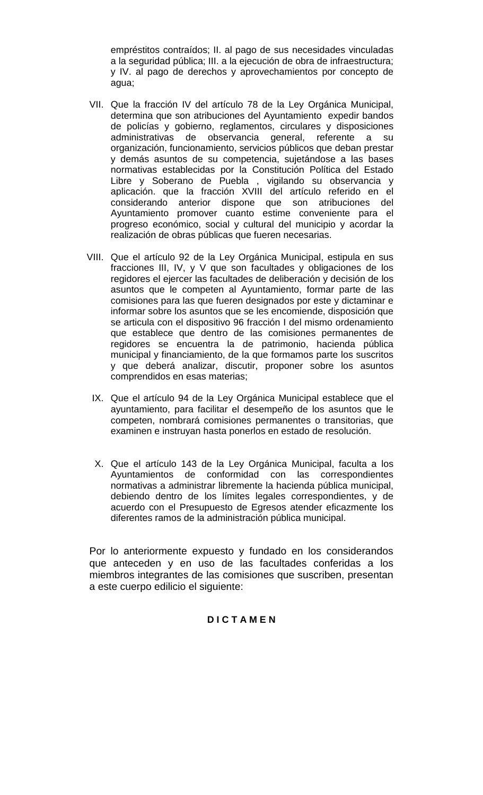empréstitos contraídos; II. al pago de sus necesidades vinculadas a la seguridad pública; III. a la ejecución de obra de infraestructura; y IV. al pago de derechos y aprovechamientos por concepto de agua;

- VII. Que la fracción IV del artículo 78 de la Ley Orgánica Municipal, determina que son atribuciones del Ayuntamiento expedir bandos de policías y gobierno, reglamentos, circulares y disposiciones administrativas de observancia general, referente a su organización, funcionamiento, servicios públicos que deban prestar y demás asuntos de su competencia, sujetándose a las bases normativas establecidas por la Constitución Política del Estado Libre y Soberano de Puebla , vigilando su observancia y aplicación. que la fracción XVIII del artículo referido en el considerando anterior dispone que son atribuciones del Ayuntamiento promover cuanto estime conveniente para el progreso económico, social y cultural del municipio y acordar la realización de obras públicas que fueren necesarias.
- VIII. Que el artículo 92 de la Ley Orgánica Municipal, estipula en sus fracciones III, IV, y V que son facultades y obligaciones de los regidores el ejercer las facultades de deliberación y decisión de los asuntos que le competen al Ayuntamiento, formar parte de las comisiones para las que fueren designados por este y dictaminar e informar sobre los asuntos que se les encomiende, disposición que se articula con el dispositivo 96 fracción I del mismo ordenamiento que establece que dentro de las comisiones permanentes de regidores se encuentra la de patrimonio, hacienda pública municipal y financiamiento, de la que formamos parte los suscritos y que deberá analizar, discutir, proponer sobre los asuntos comprendidos en esas materias;
- IX. Que el artículo 94 de la Ley Orgánica Municipal establece que el ayuntamiento, para facilitar el desempeño de los asuntos que le competen, nombrará comisiones permanentes o transitorias, que examinen e instruyan hasta ponerlos en estado de resolución.
- X. Que el artículo 143 de la Ley Orgánica Municipal, faculta a los Ayuntamientos de conformidad con las correspondientes normativas a administrar libremente la hacienda pública municipal, debiendo dentro de los límites legales correspondientes, y de acuerdo con el Presupuesto de Egresos atender eficazmente los diferentes ramos de la administración pública municipal.

Por lo anteriormente expuesto y fundado en los considerandos que anteceden y en uso de las facultades conferidas a los miembros integrantes de las comisiones que suscriben, presentan a este cuerpo edilicio el siguiente:

# **D I C T A M E N**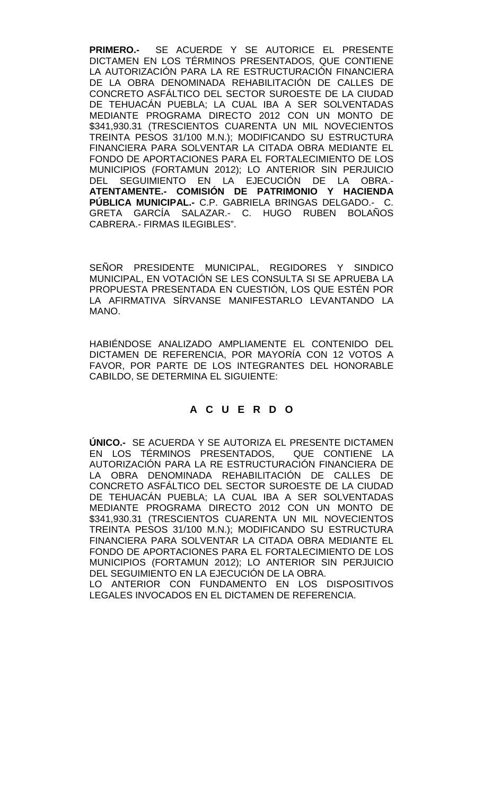**PRIMERO.-** SE ACUERDE Y SE AUTORICE EL PRESENTE DICTAMEN EN LOS TÉRMINOS PRESENTADOS, QUE CONTIENE LA AUTORIZACIÓN PARA LA RE ESTRUCTURACIÓN FINANCIERA DE LA OBRA DENOMINADA REHABILITACIÓN DE CALLES DE CONCRETO ASFÁLTICO DEL SECTOR SUROESTE DE LA CIUDAD DE TEHUACÁN PUEBLA; LA CUAL IBA A SER SOLVENTADAS MEDIANTE PROGRAMA DIRECTO 2012 CON UN MONTO DE \$341,930.31 (TRESCIENTOS CUARENTA UN MIL NOVECIENTOS TREINTA PESOS 31/100 M.N.); MODIFICANDO SU ESTRUCTURA FINANCIERA PARA SOLVENTAR LA CITADA OBRA MEDIANTE EL FONDO DE APORTACIONES PARA EL FORTALECIMIENTO DE LOS MUNICIPIOS (FORTAMUN 2012); LO ANTERIOR SIN PERJUICIO DEL SEGUIMIENTO EN LA EJECUCIÓN DE LA OBRA.- **ATENTAMENTE.- COMISIÓN DE PATRIMONIO Y HACIENDA PÚBLICA MUNICIPAL.-** C.P. GABRIELA BRINGAS DELGADO.- C. GRETA GARCÍA SALAZAR.- C. HUGO RUBEN BOLAÑOS CABRERA.- FIRMAS ILEGIBLES".

SEÑOR PRESIDENTE MUNICIPAL, REGIDORES Y SINDICO MUNICIPAL, EN VOTACIÓN SE LES CONSULTA SI SE APRUEBA LA PROPUESTA PRESENTADA EN CUESTIÓN, LOS QUE ESTÉN POR LA AFIRMATIVA SÍRVANSE MANIFESTARLO LEVANTANDO LA MANO.

HABIÉNDOSE ANALIZADO AMPLIAMENTE EL CONTENIDO DEL DICTAMEN DE REFERENCIA, POR MAYORÍA CON 12 VOTOS A FAVOR, POR PARTE DE LOS INTEGRANTES DEL HONORABLE CABILDO, SE DETERMINA EL SIGUIENTE:

## **A C U E R D O**

**ÚNICO.-** SE ACUERDA Y SE AUTORIZA EL PRESENTE DICTAMEN EN LOS TÉRMINOS PRESENTADOS, QUE CONTIENE LA AUTORIZACIÓN PARA LA RE ESTRUCTURACIÓN FINANCIERA DE LA OBRA DENOMINADA REHABILITACIÓN DE CALLES DE CONCRETO ASFÁLTICO DEL SECTOR SUROESTE DE LA CIUDAD DE TEHUACÁN PUEBLA; LA CUAL IBA A SER SOLVENTADAS MEDIANTE PROGRAMA DIRECTO 2012 CON UN MONTO DE \$341,930.31 (TRESCIENTOS CUARENTA UN MIL NOVECIENTOS TREINTA PESOS 31/100 M.N.); MODIFICANDO SU ESTRUCTURA FINANCIERA PARA SOLVENTAR LA CITADA OBRA MEDIANTE EL FONDO DE APORTACIONES PARA EL FORTALECIMIENTO DE LOS MUNICIPIOS (FORTAMUN 2012); LO ANTERIOR SIN PERJUICIO DEL SEGUIMIENTO EN LA EJECUCIÓN DE LA OBRA. LO ANTERIOR CON FUNDAMENTO EN LOS DISPOSITIVOS

LEGALES INVOCADOS EN EL DICTAMEN DE REFERENCIA.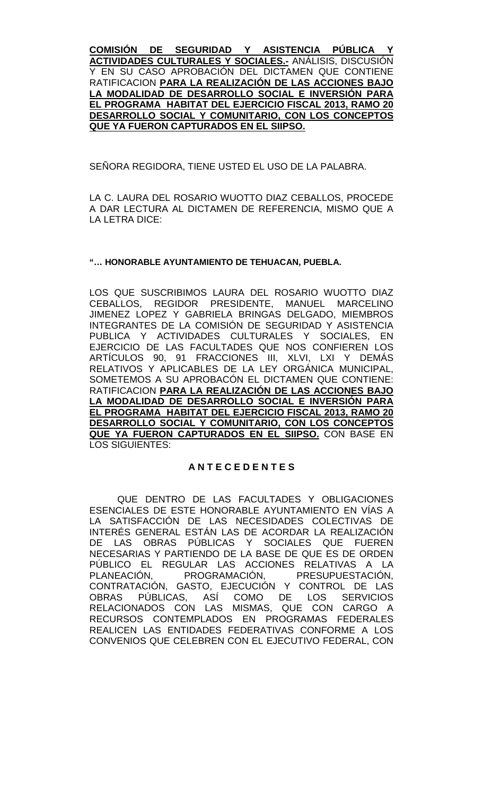**COMISIÓN DE SEGURIDAD Y ASISTENCIA PÚBLICA Y ACTIVIDADES CULTURALES Y SOCIALES.-** ANÁLISIS, DISCUSIÓN Y EN SU CASO APROBACIÓN DEL DICTAMEN QUE CONTIENE RATIFICACION **PARA LA REALIZACIÓN DE LAS ACCIONES BAJO LA MODALIDAD DE DESARROLLO SOCIAL E INVERSIÓN PARA EL PROGRAMA HABITAT DEL EJERCICIO FISCAL 2013, RAMO 20 DESARROLLO SOCIAL Y COMUNITARIO, CON LOS CONCEPTOS QUE YA FUERON CAPTURADOS EN EL SIIPSO.**

SEÑORA REGIDORA, TIENE USTED EL USO DE LA PALABRA.

LA C. LAURA DEL ROSARIO WUOTTO DIAZ CEBALLOS, PROCEDE A DAR LECTURA AL DICTAMEN DE REFERENCIA, MISMO QUE A LA LETRA DICE:

### **"… HONORABLE AYUNTAMIENTO DE TEHUACAN, PUEBLA.**

LOS QUE SUSCRIBIMOS LAURA DEL ROSARIO WUOTTO DIAZ CEBALLOS, REGIDOR PRESIDENTE, MANUEL MARCELINO JIMENEZ LOPEZ Y GABRIELA BRINGAS DELGADO, MIEMBROS INTEGRANTES DE LA COMISIÓN DE SEGURIDAD Y ASISTENCIA PUBLICA Y ACTIVIDADES CULTURALES Y SOCIALES, EN EJERCICIO DE LAS FACULTADES QUE NOS CONFIEREN LOS ARTÍCULOS 90, 91 FRACCIONES III, XLVI, LXI Y DEMÁS RELATIVOS Y APLICABLES DE LA LEY ORGÁNICA MUNICIPAL, SOMETEMOS A SU APROBACÓN EL DICTAMEN QUE CONTIENE: RATIFICACION **PARA LA REALIZACIÓN DE LAS ACCIONES BAJO LA MODALIDAD DE DESARROLLO SOCIAL E INVERSIÓN PARA EL PROGRAMA HABITAT DEL EJERCICIO FISCAL 2013, RAMO 20 DESARROLLO SOCIAL Y COMUNITARIO, CON LOS CONCEPTOS QUE YA FUERON CAPTURADOS EN EL SIIPSO.** CON BASE EN LOS SIGUIENTES:

#### **A N T E C E D E N T E S**

QUE DENTRO DE LAS FACULTADES Y OBLIGACIONES ESENCIALES DE ESTE HONORABLE AYUNTAMIENTO EN VÍAS A LA SATISFACCIÓN DE LAS NECESIDADES COLECTIVAS DE INTERÉS GENERAL ESTÁN LAS DE ACORDAR LA REALIZACIÓN DE LAS OBRAS PÚBLICAS Y SOCIALES QUE FUEREN NECESARIAS Y PARTIENDO DE LA BASE DE QUE ES DE ORDEN PÚBLICO EL REGULAR LAS ACCIONES RELATIVAS A LA PLANEACIÓN, PROGRAMACIÓN, PRESUPUESTACIÓN, CONTRATACIÓN, GASTO, EJECUCIÓN Y CONTROL DE LAS OBRAS PÚBLICAS, ASÍ COMO DE LOS SERVICIOS RELACIONADOS CON LAS MISMAS, QUE CON CARGO A RECURSOS CONTEMPLADOS EN PROGRAMAS FEDERALES REALICEN LAS ENTIDADES FEDERATIVAS CONFORME A LOS CONVENIOS QUE CELEBREN CON EL EJECUTIVO FEDERAL, CON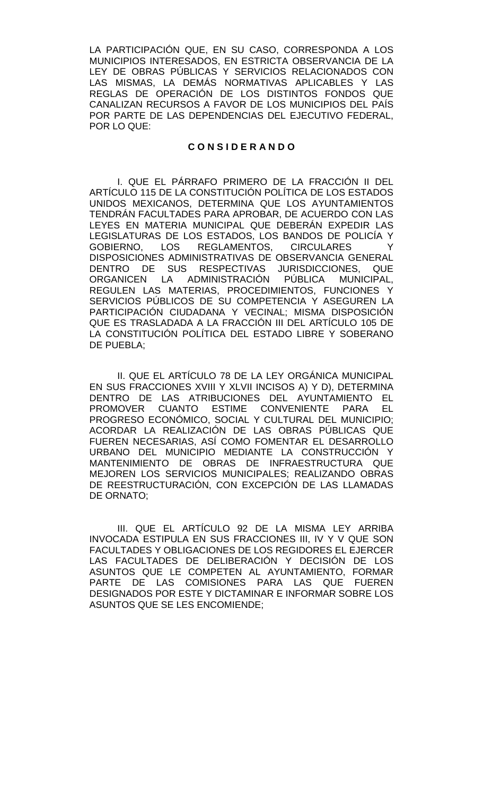LA PARTICIPACIÓN QUE, EN SU CASO, CORRESPONDA A LOS MUNICIPIOS INTERESADOS, EN ESTRICTA OBSERVANCIA DE LA LEY DE OBRAS PÚBLICAS Y SERVICIOS RELACIONADOS CON LAS MISMAS, LA DEMÁS NORMATIVAS APLICABLES Y LAS REGLAS DE OPERACIÓN DE LOS DISTINTOS FONDOS QUE CANALIZAN RECURSOS A FAVOR DE LOS MUNICIPIOS DEL PAÍS POR PARTE DE LAS DEPENDENCIAS DEL EJECUTIVO FEDERAL, POR LO QUE:

### **C O N S I D E R A N D O**

I. QUE EL PÁRRAFO PRIMERO DE LA FRACCIÓN II DEL ARTÍCULO 115 DE LA CONSTITUCIÓN POLÍTICA DE LOS ESTADOS UNIDOS MEXICANOS, DETERMINA QUE LOS AYUNTAMIENTOS TENDRÁN FACULTADES PARA APROBAR, DE ACUERDO CON LAS LEYES EN MATERIA MUNICIPAL QUE DEBERÁN EXPEDIR LAS LEGISLATURAS DE LOS ESTADOS, LOS BANDOS DE POLICÍA Y GOBIERNO, LOS REGLAMENTOS, CIRCULARES Y DISPOSICIONES ADMINISTRATIVAS DE OBSERVANCIA GENERAL DENTRO DE SUS RESPECTIVAS JURISDICCIONES, QUE ORGANICEN LA ADMINISTRACIÓN PÚBLICA MUNICIPAL, REGULEN LAS MATERIAS, PROCEDIMIENTOS, FUNCIONES Y SERVICIOS PÚBLICOS DE SU COMPETENCIA Y ASEGUREN LA PARTICIPACIÓN CIUDADANA Y VECINAL; MISMA DISPOSICIÓN QUE ES TRASLADADA A LA FRACCIÓN III DEL ARTÍCULO 105 DE LA CONSTITUCIÓN POLÍTICA DEL ESTADO LIBRE Y SOBERANO DE PUEBLA;

II. QUE EL ARTÍCULO 78 DE LA LEY ORGÁNICA MUNICIPAL EN SUS FRACCIONES XVIII Y XLVII INCISOS A) Y D), DETERMINA DENTRO DE LAS ATRIBUCIONES DEL AYUNTAMIENTO EL PROMOVER CUANTO ESTIME CONVENIENTE PARA EL PROGRESO ECONÓMICO, SOCIAL Y CULTURAL DEL MUNICIPIO; ACORDAR LA REALIZACIÓN DE LAS OBRAS PÚBLICAS QUE FUEREN NECESARIAS, ASÍ COMO FOMENTAR EL DESARROLLO URBANO DEL MUNICIPIO MEDIANTE LA CONSTRUCCIÓN Y MANTENIMIENTO DE OBRAS DE INFRAESTRUCTURA QUE MEJOREN LOS SERVICIOS MUNICIPALES; REALIZANDO OBRAS DE REESTRUCTURACIÓN, CON EXCEPCIÓN DE LAS LLAMADAS DE ORNATO;

III. QUE EL ARTÍCULO 92 DE LA MISMA LEY ARRIBA INVOCADA ESTIPULA EN SUS FRACCIONES III, IV Y V QUE SON FACULTADES Y OBLIGACIONES DE LOS REGIDORES EL EJERCER LAS FACULTADES DE DELIBERACIÓN Y DECISIÓN DE LOS ASUNTOS QUE LE COMPETEN AL AYUNTAMIENTO, FORMAR PARTE DE LAS COMISIONES PARA LAS QUE FUEREN DESIGNADOS POR ESTE Y DICTAMINAR E INFORMAR SOBRE LOS ASUNTOS QUE SE LES ENCOMIENDE;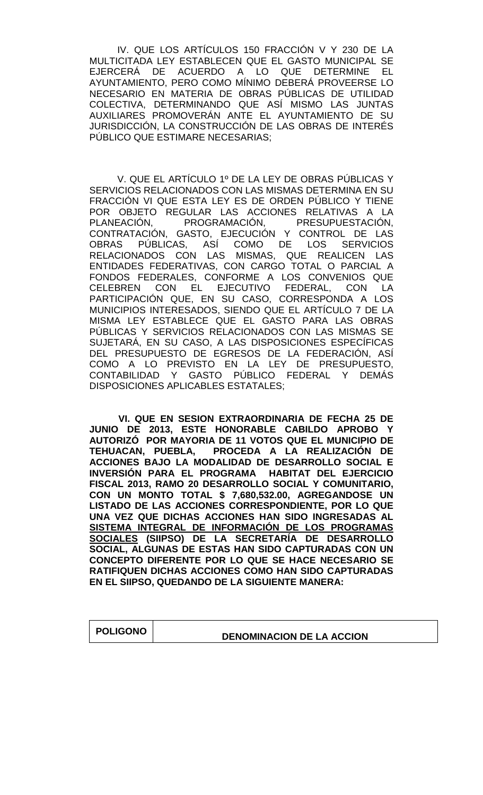IV. QUE LOS ARTÍCULOS 150 FRACCIÓN V Y 230 DE LA MULTICITADA LEY ESTABLECEN QUE EL GASTO MUNICIPAL SE EJERCERÁ DE ACUERDO A LO QUE DETERMINE EL AYUNTAMIENTO, PERO COMO MÍNIMO DEBERÁ PROVEERSE LO NECESARIO EN MATERIA DE OBRAS PÚBLICAS DE UTILIDAD COLECTIVA, DETERMINANDO QUE ASÍ MISMO LAS JUNTAS AUXILIARES PROMOVERÁN ANTE EL AYUNTAMIENTO DE SU JURISDICCIÓN, LA CONSTRUCCIÓN DE LAS OBRAS DE INTERÉS PÚBLICO QUE ESTIMARE NECESARIAS;

V. QUE EL ARTÍCULO 1º DE LA LEY DE OBRAS PÚBLICAS Y SERVICIOS RELACIONADOS CON LAS MISMAS DETERMINA EN SU FRACCIÓN VI QUE ESTA LEY ES DE ORDEN PÚBLICO Y TIENE POR OBJETO REGULAR LAS ACCIONES RELATIVAS A LA PLANEACIÓN, PROGRAMACIÓN, PRESUPUESTACIÓN, CONTRATACIÓN, GASTO, EJECUCIÓN Y CONTROL DE LAS OBRAS PÚBLICAS, ASÍ COMO DE LOS SERVICIOS RELACIONADOS CON LAS MISMAS, QUE REALICEN LAS ENTIDADES FEDERATIVAS, CON CARGO TOTAL O PARCIAL A FONDOS FEDERALES, CONFORME A LOS CONVENIOS QUE CELEBREN CON EL EJECUTIVO FEDERAL, CON LA PARTICIPACIÓN QUE, EN SU CASO, CORRESPONDA A LOS MUNICIPIOS INTERESADOS, SIENDO QUE EL ARTÍCULO 7 DE LA MISMA LEY ESTABLECE QUE EL GASTO PARA LAS OBRAS PÚBLICAS Y SERVICIOS RELACIONADOS CON LAS MISMAS SE SUJETARÁ, EN SU CASO, A LAS DISPOSICIONES ESPECÍFICAS DEL PRESUPUESTO DE EGRESOS DE LA FEDERACIÓN, ASÍ COMO A LO PREVISTO EN LA LEY DE PRESUPUESTO, CONTABILIDAD Y GASTO PÚBLICO FEDERAL Y DEMÁS DISPOSICIONES APLICABLES ESTATALES;

 **VI. QUE EN SESION EXTRAORDINARIA DE FECHA 25 DE JUNIO DE 2013, ESTE HONORABLE CABILDO APROBO Y AUTORIZÓ POR MAYORIA DE 11 VOTOS QUE EL MUNICIPIO DE TEHUACAN, PUEBLA, PROCEDA A LA REALIZACIÓN DE ACCIONES BAJO LA MODALIDAD DE DESARROLLO SOCIAL E INVERSIÓN PARA EL PROGRAMA HABITAT DEL EJERCICIO FISCAL 2013, RAMO 20 DESARROLLO SOCIAL Y COMUNITARIO, CON UN MONTO TOTAL \$ 7,680,532.00, AGREGANDOSE UN LISTADO DE LAS ACCIONES CORRESPONDIENTE, POR LO QUE UNA VEZ QUE DICHAS ACCIONES HAN SIDO INGRESADAS AL SISTEMA INTEGRAL DE INFORMACIÓN DE LOS PROGRAMAS SOCIALES (SIIPSO) DE LA SECRETARÍA DE DESARROLLO SOCIAL, ALGUNAS DE ESTAS HAN SIDO CAPTURADAS CON UN CONCEPTO DIFERENTE POR LO QUE SE HACE NECESARIO SE RATIFIQUEN DICHAS ACCIONES COMO HAN SIDO CAPTURADAS EN EL SIIPSO, QUEDANDO DE LA SIGUIENTE MANERA:**

| <b>POLIGONO</b> | <b>DENOMINACION DE LA ACCION</b> |
|-----------------|----------------------------------|
|                 |                                  |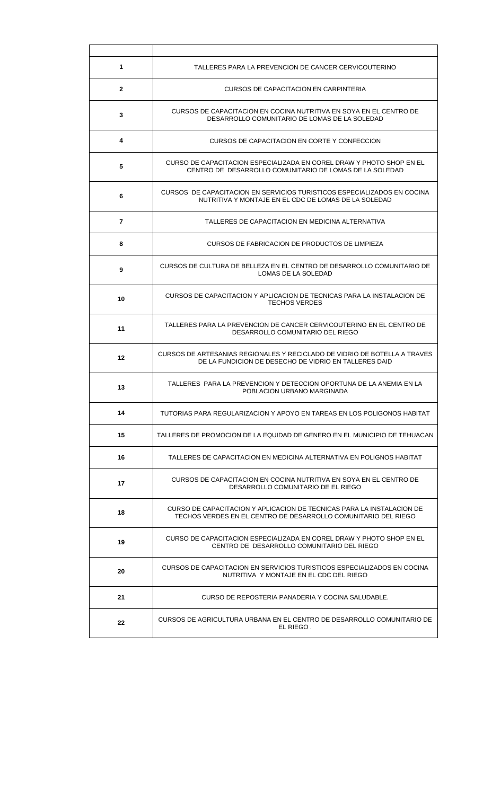| 1               | TALLERES PARA LA PREVENCION DE CANCER CERVICOUTERINO                                                                                    |  |  |  |
|-----------------|-----------------------------------------------------------------------------------------------------------------------------------------|--|--|--|
| $\mathbf{2}$    | CURSOS DE CAPACITACION EN CARPINTERIA                                                                                                   |  |  |  |
| 3               | CURSOS DE CAPACITACION EN COCINA NUTRITIVA EN SOYA EN EL CENTRO DE<br>DESARROLLO COMUNITARIO DE LOMAS DE LA SOLEDAD                     |  |  |  |
| 4               | CURSOS DE CAPACITACION EN CORTE Y CONFECCION                                                                                            |  |  |  |
| 5               | CURSO DE CAPACITACION ESPECIALIZADA EN COREL DRAW Y PHOTO SHOP EN EL<br>CENTRO DE DESARROLLO COMUNITARIO DE LOMAS DE LA SOLEDAD         |  |  |  |
| 6               | CURSOS DE CAPACITACION EN SERVICIOS TURISTICOS ESPECIALIZADOS EN COCINA<br>NUTRITIVA Y MONTAJE EN EL CDC DE LOMAS DE LA SOLEDAD         |  |  |  |
| 7               | TALLERES DE CAPACITACION EN MEDICINA ALTERNATIVA                                                                                        |  |  |  |
| 8               | CURSOS DE FABRICACION DE PRODUCTOS DE LIMPIEZA                                                                                          |  |  |  |
| 9               | CURSOS DE CULTURA DE BELLEZA EN EL CENTRO DE DESARROLLO COMUNITARIO DE<br>LOMAS DE LA SOLEDAD                                           |  |  |  |
| 10              | CURSOS DE CAPACITACION Y APLICACION DE TECNICAS PARA LA INSTALACION DE<br><b>TECHOS VERDES</b>                                          |  |  |  |
| 11              | TALLERES PARA LA PREVENCION DE CANCER CERVICOUTERINO EN EL CENTRO DE<br>DESARROLLO COMUNITARIO DEL RIEGO                                |  |  |  |
| 12 <sup>°</sup> | CURSOS DE ARTESANIAS REGIONALES Y RECICLADO DE VIDRIO DE BOTELLA A TRAVES<br>DE LA FUNDICION DE DESECHO DE VIDRIO EN TALLERES DAID      |  |  |  |
| 13              | TALLERES  PARA LA PREVENCION Y DETECCION OPORTUNA DE LA ANEMIA EN LA<br>POBLACION URBANO MARGINADA                                      |  |  |  |
| 14              | TUTORIAS PARA REGULARIZACION Y APOYO EN TAREAS EN LOS POLIGONOS HABITAT                                                                 |  |  |  |
| 15              | TALLERES DE PROMOCION DE LA EQUIDAD DE GENERO EN EL MUNICIPIO DE TEHUACAN                                                               |  |  |  |
| 16              | TALLERES DE CAPACITACION EN MEDICINA ALTERNATIVA EN POLIGNOS HABITAT                                                                    |  |  |  |
| 17              | CURSOS DE CAPACITACION EN COCINA NUTRITIVA EN SOYA EN EL CENTRO DE<br>DESARROLLO COMUNITARIO DE EL RIEGO                                |  |  |  |
| 18              | CURSO DE CAPACITACIÓN Y APLICACIÓN DE TECNICAS PARA LA INSTALACIÓN DE<br>TECHOS VERDES EN EL CENTRO DE DESARROLLO COMUNITARIO DEL RIEGO |  |  |  |
| 19              | CURSO DE CAPACITACION ESPECIALIZADA EN COREL DRAW Y PHOTO SHOP EN EL<br>CENTRO DE DESARROLLO COMUNITARIO DEL RIEGO                      |  |  |  |
| 20              | CURSOS DE CAPACITACION EN SERVICIOS TURISTICOS ESPECIALIZADOS EN COCINA<br>NUTRITIVA Y MONTAJE EN EL CDC DEL RIEGO                      |  |  |  |
| 21              | CURSO DE REPOSTERIA PANADERIA Y COCINA SALUDABLE.                                                                                       |  |  |  |
| 22              | CURSOS DE AGRICULTURA URBANA EN EL CENTRO DE DESARROLLO COMUNITARIO DE<br>EL RIEGO.                                                     |  |  |  |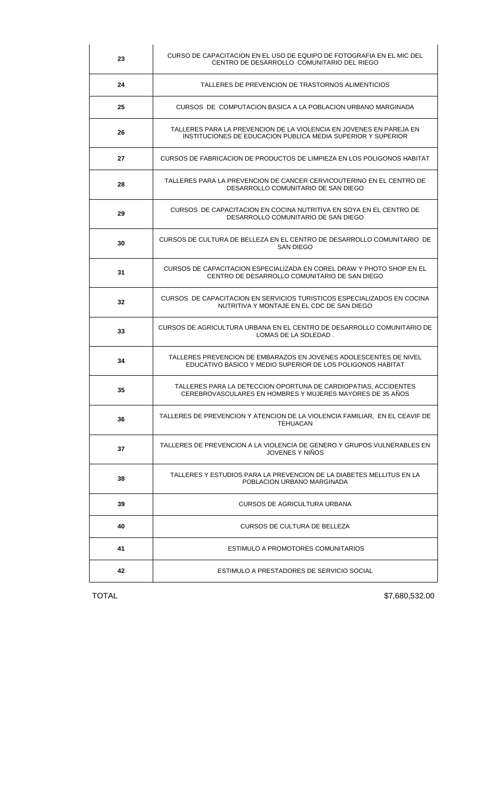| 23 | CURSO DE CAPACITACION EN EL USO DE EQUIPO DE FOTOGRAFIA EN EL MIC DEL<br>CENTRO DE DESARROLLO COMUNITARIO DEL RIEGO                 |  |  |  |  |
|----|-------------------------------------------------------------------------------------------------------------------------------------|--|--|--|--|
| 24 | TALLERES DE PREVENCION DE TRASTORNOS ALIMENTICIOS                                                                                   |  |  |  |  |
| 25 | CURSOS DE COMPUTACION BASICA A LA POBLACION URBANO MARGINADA                                                                        |  |  |  |  |
| 26 | TALLERES PARA LA PREVENCION DE LA VIOLENCIA EN JOVENES EN PAREJA EN<br>INSTITUCIONES DE EDUCACION PUBLICA MEDIA SUPERIOR Y SUPERIOR |  |  |  |  |
| 27 | CURSOS DE FABRICACION DE PRODUCTOS DE LIMPIEZA EN LOS POLIGONOS HABITAT                                                             |  |  |  |  |
| 28 | TALLERES PARA LA PREVENCION DE CANCER CERVICOUTERINO EN EL CENTRO DE<br>DESARROLLO COMUNITARIO DE SAN DIEGO                         |  |  |  |  |
| 29 | CURSOS DE CAPACITACION EN COCINA NUTRITIVA EN SOYA EN EL CENTRO DE<br>DESARROLLO COMUNITARIO DE SAN DIEGO                           |  |  |  |  |
| 30 | CURSOS DE CULTURA DE BELLEZA EN EL CENTRO DE DESARROLLO COMUNITARIO DE<br>SAN DIEGO                                                 |  |  |  |  |
| 31 | CURSOS DE CAPACITACION ESPECIALIZADA EN COREL DRAW Y PHOTO SHOP EN EL<br>CENTRO DE DESARROLLO COMUNITARIO DE SAN DIEGO              |  |  |  |  |
| 32 | CURSOS DE CAPACITACION EN SERVICIOS TURISTICOS ESPECIALIZADOS EN COCINA<br>NUTRITIVA Y MONTAJE EN EL CDC DE SAN DIEGO               |  |  |  |  |
| 33 | CURSOS DE AGRICULTURA URBANA EN EL CENTRO DE DESARROLLO COMUNITARIO DE<br>LOMAS DE LA SOLEDAD.                                      |  |  |  |  |
| 34 | TALLERES PREVENCION DE EMBARAZOS EN JOVENES ADOLESCENTES DE NIVEL<br>EDUCATIVO BASICO Y MEDIO SUPERIOR DE LOS POLIGONOS HABITAT     |  |  |  |  |
| 35 | TALLERES PARA LA DETECCION OPORTUNA DE CARDIOPATIAS, ACCIDENTES<br>CEREBROVASCULARES EN HOMBRES Y MUJERES MAYORES DE 35 AÑOS        |  |  |  |  |
| 36 | TALLERES DE PREVENCION Y ATENCION DE LA VIOLENCIA FAMILIAR, EN EL CEAVIF DE<br><b>TEHUACAN</b>                                      |  |  |  |  |
| 37 | TALLERES DE PREVENCION A LA VIOLENCIA DE GENERO Y GRUPOS VULNERABLES EN<br>JOVENES Y NIÑOS                                          |  |  |  |  |
| 38 | TALLERES Y ESTUDIOS PARA LA PREVENCION DE LA DIABETES MELLITUS EN LA<br>POBLACION URBANO MARGINADA                                  |  |  |  |  |
| 39 | CURSOS DE AGRICULTURA URBANA                                                                                                        |  |  |  |  |
| 40 | CURSOS DE CULTURA DE BELLEZA                                                                                                        |  |  |  |  |
| 41 | ESTIMULO A PROMOTORES COMUNITARIOS                                                                                                  |  |  |  |  |
| 42 | ESTIMULO A PRESTADORES DE SERVICIO SOCIAL                                                                                           |  |  |  |  |

TOTAL \$7,680,532.00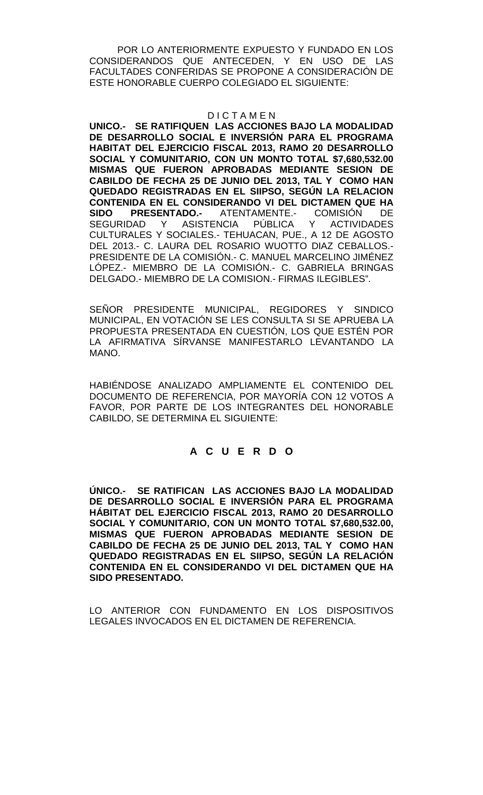POR LO ANTERIORMENTE EXPUESTO Y FUNDADO EN LOS CONSIDERANDOS QUE ANTECEDEN, Y EN USO DE LAS FACULTADES CONFERIDAS SE PROPONE A CONSIDERACIÓN DE ESTE HONORABLE CUERPO COLEGIADO EL SIGUIENTE:

### D I C T A M E N

**UNICO.- SE RATIFIQUEN LAS ACCIONES BAJO LA MODALIDAD DE DESARROLLO SOCIAL E INVERSIÓN PARA EL PROGRAMA HABITAT DEL EJERCICIO FISCAL 2013, RAMO 20 DESARROLLO SOCIAL Y COMUNITARIO, CON UN MONTO TOTAL \$7,680,532.00 MISMAS QUE FUERON APROBADAS MEDIANTE SESION DE CABILDO DE FECHA 25 DE JUNIO DEL 2013, TAL Y COMO HAN QUEDADO REGISTRADAS EN EL SIIPSO, SEGÚN LA RELACION CONTENIDA EN EL CONSIDERANDO VI DEL DICTAMEN QUE HA**  ATENTAMENTE.- COMISIÓN DE<br>NCIA PÚBLICA Y ACTIVIDADES<sup>.</sup> SEGURIDAD Y ASISTENCIA PÚBLICA Y ACTIVIDADES CULTURALES Y SOCIALES.- TEHUACAN, PUE., A 12 DE AGOSTO DEL 2013.- C. LAURA DEL ROSARIO WUOTTO DIAZ CEBALLOS.- PRESIDENTE DE LA COMISIÓN.- C. MANUEL MARCELINO JIMÉNEZ LÓPEZ.- MIEMBRO DE LA COMISIÓN.- C. GABRIELA BRINGAS DELGADO.- MIEMBRO DE LA COMISION.- FIRMAS ILEGIBLES".

SEÑOR PRESIDENTE MUNICIPAL, REGIDORES Y SINDICO MUNICIPAL, EN VOTACIÓN SE LES CONSULTA SI SE APRUEBA LA PROPUESTA PRESENTADA EN CUESTIÓN, LOS QUE ESTÉN POR LA AFIRMATIVA SÍRVANSE MANIFESTARLO LEVANTANDO LA MANO.

HABIÉNDOSE ANALIZADO AMPLIAMENTE EL CONTENIDO DEL DOCUMENTO DE REFERENCIA, POR MAYORÍA CON 12 VOTOS A FAVOR, POR PARTE DE LOS INTEGRANTES DEL HONORABLE CABILDO, SE DETERMINA EL SIGUIENTE:

## **A C U E R D O**

**ÚNICO.- SE RATIFICAN LAS ACCIONES BAJO LA MODALIDAD DE DESARROLLO SOCIAL E INVERSIÓN PARA EL PROGRAMA HÁBITAT DEL EJERCICIO FISCAL 2013, RAMO 20 DESARROLLO SOCIAL Y COMUNITARIO, CON UN MONTO TOTAL \$7,680,532.00, MISMAS QUE FUERON APROBADAS MEDIANTE SESION DE CABILDO DE FECHA 25 DE JUNIO DEL 2013, TAL Y COMO HAN QUEDADO REGISTRADAS EN EL SIIPSO, SEGÚN LA RELACIÓN CONTENIDA EN EL CONSIDERANDO VI DEL DICTAMEN QUE HA SIDO PRESENTADO.**

LO ANTERIOR CON FUNDAMENTO EN LOS DISPOSITIVOS LEGALES INVOCADOS EN EL DICTAMEN DE REFERENCIA.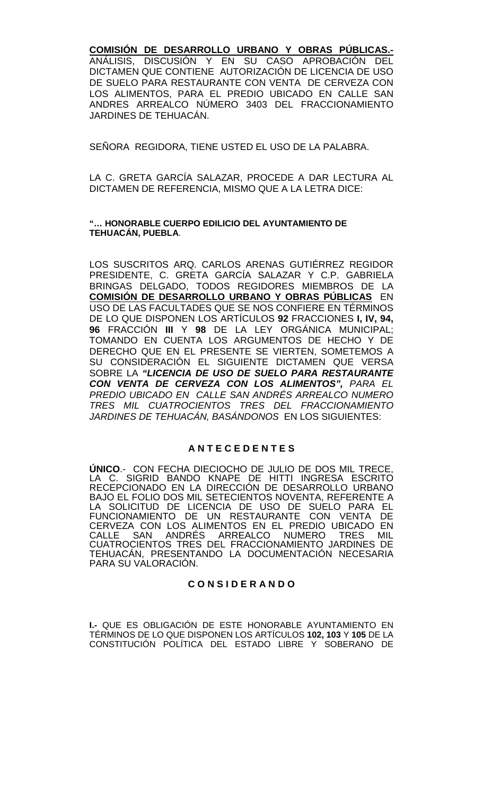### **COMISIÓN DE DESARROLLO URBANO Y OBRAS PÚBLICAS.-**

ANÁLISIS, DISCUSIÓN Y EN SU CASO APROBACIÓN DEL DICTAMEN QUE CONTIENE AUTORIZACIÓN DE LICENCIA DE USO DE SUELO PARA RESTAURANTE CON VENTA DE CERVEZA CON LOS ALIMENTOS, PARA EL PREDIO UBICADO EN CALLE SAN ANDRES ARREALCO NÚMERO 3403 DEL FRACCIONAMIENTO JARDINES DE TEHUACÁN.

SEÑORA REGIDORA, TIENE USTED EL USO DE LA PALABRA.

LA C. GRETA GARCÍA SALAZAR, PROCEDE A DAR LECTURA AL DICTAMEN DE REFERENCIA, MISMO QUE A LA LETRA DICE:

#### **"… HONORABLE CUERPO EDILICIO DEL AYUNTAMIENTO DE TEHUACÁN, PUEBLA**.

LOS SUSCRITOS ARQ. CARLOS ARENAS GUTIÉRREZ REGIDOR PRESIDENTE, C. GRETA GARCÍA SALAZAR Y C.P. GABRIELA BRINGAS DELGADO, TODOS REGIDORES MIEMBROS DE LA **COMISIÓN DE DESARROLLO URBANO Y OBRAS PÚBLICAS** EN USO DE LAS FACULTADES QUE SE NOS CONFIERE EN TÉRMINOS DE LO QUE DISPONEN LOS ARTÍCULOS **92** FRACCIONES **I, IV, 94, 96** FRACCIÓN **III** Y **98** DE LA LEY ORGÁNICA MUNICIPAL; TOMANDO EN CUENTA LOS ARGUMENTOS DE HECHO Y DE DERECHO QUE EN EL PRESENTE SE VIERTEN, SOMETEMOS A SU CONSIDERACIÓN EL SIGUIENTE DICTAMEN QUE VERSA SOBRE LA *"LICENCIA DE USO DE SUELO PARA RESTAURANTE CON VENTA DE CERVEZA CON LOS ALIMENTOS", PARA EL PREDIO UBICADO EN CALLE SAN ANDRÉS ARREALCO NUMERO TRES MIL CUATROCIENTOS TRES DEL FRACCIONAMIENTO JARDINES DE TEHUACÁN, BASÁNDONOS* EN LOS SIGUIENTES:

#### **A N T E C E D E N T E S**

**ÚNICO**.- CON FECHA DIECIOCHO DE JULIO DE DOS MIL TRECE, LA C. SIGRID BANDO KNAPE DE HITTI INGRESA ESCRITO RECEPCIONADO EN LA DIRECCIÓN DE DESARROLLO URBANO BAJO EL FOLIO DOS MIL SETECIENTOS NOVENTA, REFERENTE A LA SOLICITUD DE LICENCIA DE USO DE SUELO PARA EL FUNCIONAMIENTO DE UN RESTAURANTE CON VENTA DE CERVEZA CON LOS ALIMENTOS EN EL PREDIO UBICADO EN<br>CALLE SAN ANDRÉS ARREALCO NUMERO TRES MIL CALLE SAN ANDRÉS ARREALCO NUMERO TRES MIL CUATROCIENTOS TRES DEL FRACCIONAMIENTO JARDINES DE TEHUACÁN, PRESENTANDO LA DOCUMENTACIÓN NECESARIA PARA SU VALORACIÓN.

## **C O N S I D E R A N D O**

**I.-** QUE ES OBLIGACIÓN DE ESTE HONORABLE AYUNTAMIENTO EN TÉRMINOS DE LO QUE DISPONEN LOS ARTÍCULOS **102, 103** Y **105** DE LA CONSTITUCIÓN POLÍTICA DEL ESTADO LIBRE Y SOBERANO DE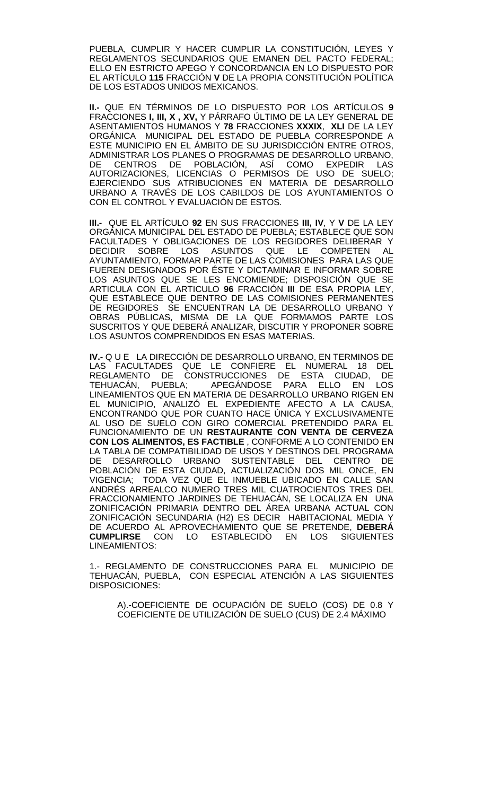PUEBLA, CUMPLIR Y HACER CUMPLIR LA CONSTITUCIÓN, LEYES Y REGLAMENTOS SECUNDARIOS QUE EMANEN DEL PACTO FEDERAL; ELLO EN ESTRICTO APEGO Y CONCORDANCIA EN LO DISPUESTO POR EL ARTÍCULO **115** FRACCIÓN **V** DE LA PROPIA CONSTITUCIÓN POLÍTICA DE LOS ESTADOS UNIDOS MEXICANOS.

**II.-** QUE EN TÉRMINOS DE LO DISPUESTO POR LOS ARTÍCULOS **9**  FRACCIONES **I, III, X , XV,** Y PÁRRAFO ÚLTIMO DE LA LEY GENERAL DE ASENTAMIENTOS HUMANOS Y **78** FRACCIONES **XXXIX**, **XLI** DE LA LEY ORGÁNICA MUNICIPAL DEL ESTADO DE PUEBLA CORRESPONDE A ESTE MUNICIPIO EN EL ÁMBITO DE SU JURISDICCIÓN ENTRE OTROS, ADMINISTRAR LOS PLANES O PROGRAMAS DE DESARROLLO URBANO,<br>DE CENTROS DE POBLACIÓN. ASÍ COMO EXPEDIR LAS CENTROS DE POBLACIÓN, ASÍ AUTORIZACIONES, LICENCIAS O PERMISOS DE USO DE SUELO; EJERCIENDO SUS ATRIBUCIONES EN MATERIA DE DESARROLLO URBANO A TRAVÉS DE LOS CABILDOS DE LOS AYUNTAMIENTOS O CON EL CONTROL Y EVALUACIÓN DE ESTOS.

**III.-** QUE EL ARTÍCULO **92** EN SUS FRACCIONES **III, IV**, Y **V** DE LA LEY ORGÁNICA MUNICIPAL DEL ESTADO DE PUEBLA; ESTABLECE QUE SON FACULTADES Y OBLIGACIONES DE LOS REGIDORES DELIBERAR Y DECIDIR SOBRE LOS ASUNTOS QUE LE COMPETEN AL ASUNTOS QUE LE COMPETEN AL AYUNTAMIENTO, FORMAR PARTE DE LAS COMISIONES PARA LAS QUE FUEREN DESIGNADOS POR ÉSTE Y DICTAMINAR E INFORMAR SOBRE LOS ASUNTOS QUE SE LES ENCOMIENDE; DISPOSICIÓN QUE SE ARTICULA CON EL ARTICULO **96** FRACCIÓN **III** DE ESA PROPIA LEY, QUE ESTABLECE QUE DENTRO DE LAS COMISIONES PERMANENTES DE REGIDORES SE ENCUENTRAN LA DE DESARROLLO URBANO Y OBRAS PUBLICAS, MISMA DE LA QUE FORMAMOS PARTE LOS SUSCRITOS Y QUE DEBERÁ ANALIZAR, DISCUTIR Y PROPONER SOBRE LOS ASUNTOS COMPRENDIDOS EN ESAS MATERIAS.

**IV.-** Q U E LA DIRECCIÓN DE DESARROLLO URBANO, EN TERMINOS DE LAS FACULTADES QUE LE CONFIERE EL NUMERAL 18 DEL REGLAMENTO DE CONSTRUCCIONES DE ESTA CIUDAD, DE TEHUACÁN, PUEBLA; APEGÁNDOSE PARA ELLO EN LOS LINEAMIENTOS QUE EN MATERIA DE DESARROLLO URBANO RIGEN EN EL MUNICIPIO, ANALIZÓ EL EXPEDIENTE AFECTO A LA CAUSA, ENCONTRANDO QUE POR CUANTO HACE ÚNICA Y EXCLUSIVAMENTE AL USO DE SUELO CON GIRO COMERCIAL PRETENDIDO PARA EL FUNCIONAMIENTO DE UN **RESTAURANTE CON VENTA DE CERVEZA CON LOS ALIMENTOS, ES FACTIBLE** , CONFORME A LO CONTENIDO EN LA TABLA DE COMPATIBILIDAD DE USOS Y DESTINOS DEL PROGRAMA DE DESARROLLO URBANO SUSTENTABLE DEL CENTRO DE POBLACIÓN DE ESTA CIUDAD, ACTUALIZACIÓN DOS MIL ONCE, EN VIGENCIA; TODA VEZ QUE EL INMUEBLE UBICADO EN CALLE SAN ANDRÉS ARREALCO NUMERO TRES MIL CUATROCIENTOS TRES DEL FRACCIONAMIENTO JARDINES DE TEHUACÁN, SE LOCALIZA EN UNA ZONIFICACIÓN PRIMARIA DENTRO DEL ÁREA URBANA ACTUAL CON ZONIFICACIÓN SECUNDARIA (H2) ES DECIR HABITACIONAL MEDIA Y DE ACUERDO AL APROVECHAMIENTO QUE SE PRETENDE, **DEBERÁ**  CON LO ESTABLECIDO EN LOS LINEAMIENTOS:

1.- REGLAMENTO DE CONSTRUCCIONES PARA EL MUNICIPIO DE TEHUACÁN, PUEBLA, CON ESPECIAL ATENCIÓN A LAS SIGUIENTES DISPOSICIONES:

A).-COEFICIENTE DE OCUPACIÓN DE SUELO (COS) DE 0.8 Y COEFICIENTE DE UTILIZACIÓN DE SUELO (CUS) DE 2.4 MÁXIMO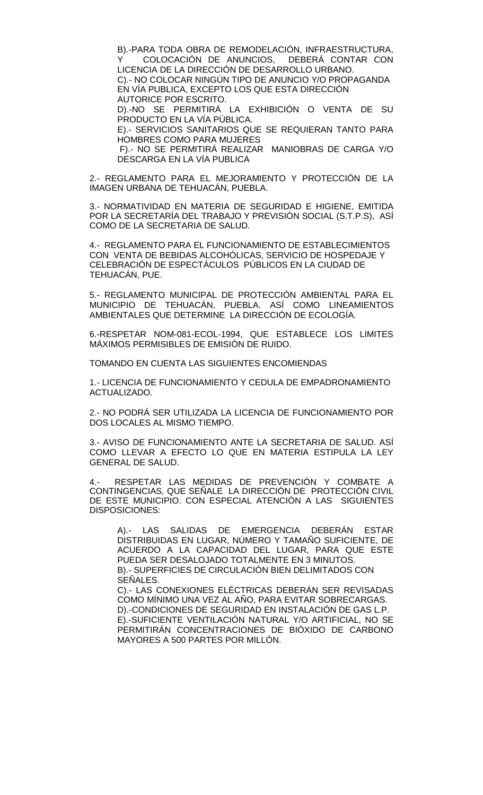B).-PARA TODA OBRA DE REMODELACIÓN, INFRAESTRUCTURA,<br>Y COLOCACIÓN DE ANUNCIOS, DEBERÁ CONTAR CON COLOCACIÓN DE ANUNCIOS, LICENCIA DE LA DIRECCIÓN DE DESARROLLO URBANO. C).- NO COLOCAR NINGÚN TIPO DE ANUNCIO Y/O PROPAGANDA EN VÍA PUBLICA, EXCEPTO LOS QUE ESTA DIRECCIÓN AUTORICE POR ESCRITO.

D).-NO SE PERMITIRÁ LA EXHIBICIÓN O VENTA DE SU PRODUCTO EN LA VÍA PÚBLICA.

E).- SERVICIOS SANITARIOS QUE SE REQUIERAN TANTO PARA HOMBRES COMO PARA MUJERES

F).- NO SE PERMITIRÁ REALIZAR MANIOBRAS DE CARGA Y/O DESCARGA EN LA VÍA PUBLICA

2.- REGLAMENTO PARA EL MEJORAMIENTO Y PROTECCIÓN DE LA IMAGEN URBANA DE TEHUACÁN, PUEBLA.

3.- NORMATIVIDAD EN MATERIA DE SEGURIDAD E HIGIENE, EMITIDA POR LA SECRETARÍA DEL TRABAJO Y PREVISIÓN SOCIAL (S.T.P.S), ASÍ COMO DE LA SECRETARIA DE SALUD.

4.- REGLAMENTO PARA EL FUNCIONAMIENTO DE ESTABLECIMIENTOS CON VENTA DE BEBIDAS ALCOHÓLICAS, SERVICIO DE HOSPEDAJE Y CELEBRACIÓN DE ESPECTÁCULOS PÚBLICOS EN LA CIUDAD DE TEHUACÁN, PUE.

5.- REGLAMENTO MUNICIPAL DE PROTECCIÓN AMBIENTAL PARA EL MUNICIPIO DE TEHUACÁN, PUEBLA. ASÍ COMO LINEAMIENTOS AMBIENTALES QUE DETERMINE LA DIRECCIÓN DE ECOLOGÍA.

6.-RESPETAR NOM-081-ECOL-1994, QUE ESTABLECE LOS LIMITES MÁXIMOS PERMISIBLES DE EMISIÓN DE RUIDO.

TOMANDO EN CUENTA LAS SIGUIENTES ENCOMIENDAS

1.- LICENCIA DE FUNCIONAMIENTO Y CEDULA DE EMPADRONAMIENTO ACTUALIZADO.

2.- NO PODRÁ SER UTILIZADA LA LICENCIA DE FUNCIONAMIENTO POR DOS LOCALES AL MISMO TIEMPO.

3.- AVISO DE FUNCIONAMIENTO ANTE LA SECRETARIA DE SALUD. ASÍ COMO LLEVAR A EFECTO LO QUE EN MATERIA ESTIPULA LA LEY GENERAL DE SALUD.

RESPETAR LAS MEDIDAS DE PREVENCIÓN Y COMBATE A CONTINGENCIAS, QUE SEÑALE LA DIRECCIÓN DE PROTECCIÓN CIVIL DE ESTE MUNICIPIO. CON ESPECIAL ATENCIÓN A LAS SIGUIENTES DISPOSICIONES:

A).- LAS SALIDAS DE EMERGENCIA DEBERÁN ESTAR DISTRIBUIDAS EN LUGAR, NÚMERO Y TAMAÑO SUFICIENTE, DE ACUERDO A LA CAPACIDAD DEL LUGAR, PARA QUE ESTE PUEDA SER DESALOJADO TOTALMENTE EN 3 MINUTOS. B).- SUPERFICIES DE CIRCULACIÓN BIEN DELIMITADOS CON SEÑALES.

C).- LAS CONEXIONES ELÉCTRICAS DEBERÁN SER REVISADAS COMO MÍNIMO UNA VEZ AL AÑO, PARA EVITAR SOBRECARGAS. D).-CONDICIONES DE SEGURIDAD EN INSTALACIÓN DE GAS L.P. E).-SUFICIENTE VENTILACIÓN NATURAL Y/O ARTIFICIAL, NO SE PERMITIRÁN CONCENTRACIONES DE BIÓXIDO DE CARBONO MAYORES A 500 PARTES POR MILLÓN.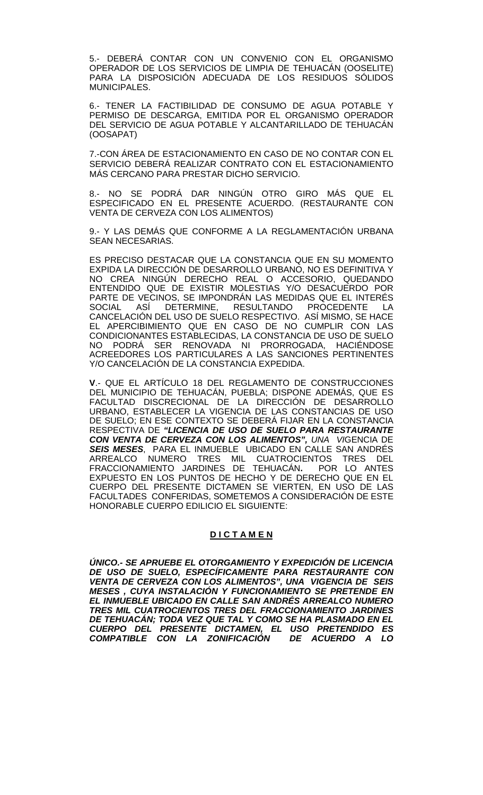5.- DEBERÁ CONTAR CON UN CONVENIO CON EL ORGANISMO OPERADOR DE LOS SERVICIOS DE LIMPIA DE TEHUACÁN (OOSELITE) PARA LA DISPOSICIÓN ADECUADA DE LOS RESIDUOS SÓLIDOS MUNICIPALES.

6.- TENER LA FACTIBILIDAD DE CONSUMO DE AGUA POTABLE Y PERMISO DE DESCARGA, EMITIDA POR EL ORGANISMO OPERADOR DEL SERVICIO DE AGUA POTABLE Y ALCANTARILLADO DE TEHUACÁN (OOSAPAT)

7.-CON ÁREA DE ESTACIONAMIENTO EN CASO DE NO CONTAR CON EL SERVICIO DEBERÁ REALIZAR CONTRATO CON EL ESTACIONAMIENTO MÁS CERCANO PARA PRESTAR DICHO SERVICIO.

8.- NO SE PODRÁ DAR NINGÚN OTRO GIRO MÁS QUE EL ESPECIFICADO EN EL PRESENTE ACUERDO. (RESTAURANTE CON VENTA DE CERVEZA CON LOS ALIMENTOS)

9.- Y LAS DEMÁS QUE CONFORME A LA REGLAMENTACIÓN URBANA SEAN NECESARIAS.

ES PRECISO DESTACAR QUE LA CONSTANCIA QUE EN SU MOMENTO EXPIDA LA DIRECCIÓN DE DESARROLLO URBANO, NO ES DEFINITIVA Y NO CREA NINGÚN DERECHO REAL O ACCESORIO, QUEDANDO ENTENDIDO QUE DE EXISTIR MOLESTIAS Y/O DESACUERDO POR PARTE DE VECINOS, SE IMPONDRÁN LAS MEDIDAS QUE EL INTERÉS<br>SOCIAL ASÍ DETERMINE, RESULTANDO PROCEDENTE LA RESULTANDO PROCEDENTE LA CANCELACIÓN DEL USO DE SUELO RESPECTIVO. ASÍ MISMO, SE HACE EL APERCIBIMIENTO QUE EN CASO DE NO CUMPLIR CON LAS CONDICIONANTES ESTABLECIDAS, LA CONSTANCIA DE USO DE SUELO NO PODRÁ SER RENOVADA NI PRORROGADA, HACIÉNDOSE ACREEDORES LOS PARTICULARES A LAS SANCIONES PERTINENTES Y/O CANCELACIÓN DE LA CONSTANCIA EXPEDIDA.

**V**.- QUE EL ARTÍCULO 18 DEL REGLAMENTO DE CONSTRUCCIONES DEL MUNICIPIO DE TEHUACAN, PUEBLA; DISPONE ADEMAS, QUE ES FACULTAD DISCRECIONAL DE LA DIRECCIÓN DE DESARROLLO URBANO, ESTABLECER LA VIGENCIA DE LAS CONSTANCIAS DE USO DE SUELO; EN ESE CONTEXTO SE DEBERÁ FIJAR EN LA CONSTANCIA RESPECTIVA DE *"LICENCIA DE USO DE SUELO PARA RESTAURANTE CON VENTA DE CERVEZA CON LOS ALIMENTOS", UNA VI*GENCIA DE *SEIS MESES*, PARA EL INMUEBLE UBICADO EN CALLE SAN ANDRÉS ARREALCO NUMERO TRES MIL CUATROCIENTOS TRES DEL<br>FRACCIONAMIENTO JARDINES DE TEHUACÁN. POR LO ANTES FRACCIONAMIENTO JARDINES DE TEHUACÁN. EXPUESTO EN LOS PUNTOS DE HECHO Y DE DERECHO QUE EN EL CUERPO DEL PRESENTE DICTAMEN SE VIERTEN, EN USO DE LAS FACULTADES CONFERIDAS, SOMETEMOS A CONSIDERACIÓN DE ESTE HONORABLE CUERPO EDILICIO EL SIGUIENTE:

#### **D I C T A M E N**

*ÚNICO.- SE APRUEBE EL OTORGAMIENTO Y EXPEDICIÓN DE LICENCIA DE USO DE SUELO, ESPECÍFICAMENTE PARA RESTAURANTE CON VENTA DE CERVEZA CON LOS ALIMENTOS", UNA VIGENCIA DE SEIS MESES , CUYA INSTALACIÓN Y FUNCIONAMIENTO SE PRETENDE EN EL INMUEBLE UBICADO EN CALLE SAN ANDRÉS ARREALCO NUMERO TRES MIL CUATROCIENTOS TRES DEL FRACCIONAMIENTO JARDINES DE TEHUACÁN; TODA VEZ QUE TAL Y COMO SE HA PLASMADO EN EL CUERPO DEL PRESENTE DICTAMEN, EL USO PRETENDIDO ES COMPATIBLE CON LA ZONIFICACIÓN DE ACUERDO A LO*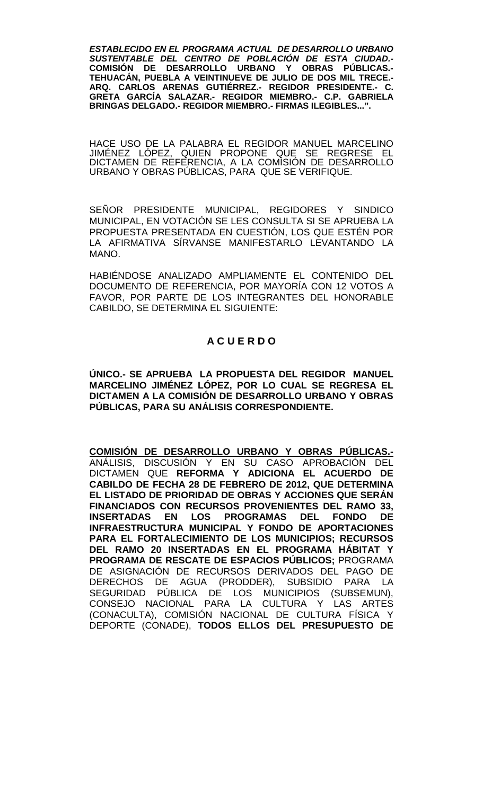*ESTABLECIDO EN EL PROGRAMA ACTUAL DE DESARROLLO URBANO SUSTENTABLE DEL CENTRO DE POBLACIÓN DE ESTA CIUDAD.-* **COMISIÓN DE DESARROLLO URBANO Y OBRAS PÚBLICAS.- TEHUACÁN, PUEBLA A VEINTINUEVE DE JULIO DE DOS MIL TRECE.- ARQ. CARLOS ARENAS GUTIÉRREZ.- REGIDOR PRESIDENTE.- C. GRETA GARCÍA SALAZAR.- REGIDOR MIEMBRO.- C.P. GABRIELA BRINGAS DELGADO.- REGIDOR MIEMBRO.- FIRMAS ILEGIBLES...".**

HACE USO DE LA PALABRA EL REGIDOR MANUEL MARCELINO JIMÉNEZ LÓPEZ, QUIEN PROPONE QUE SE REGRESE EL DICTAMEN DE REFERENCIA, A LA COMISION DE DESARROLLO URBANO Y OBRAS PÚBLICAS, PARA QUE SE VERIFIQUE.

SEÑOR PRESIDENTE MUNICIPAL, REGIDORES Y SINDICO MUNICIPAL, EN VOTACIÓN SE LES CONSULTA SI SE APRUEBA LA PROPUESTA PRESENTADA EN CUESTIÓN, LOS QUE ESTÉN POR LA AFIRMATIVA SÍRVANSE MANIFESTARLO LEVANTANDO LA MANO.

HABIÉNDOSE ANALIZADO AMPLIAMENTE EL CONTENIDO DEL DOCUMENTO DE REFERENCIA, POR MAYORÍA CON 12 VOTOS A FAVOR, POR PARTE DE LOS INTEGRANTES DEL HONORABLE CABILDO, SE DETERMINA EL SIGUIENTE:

### **A C U E R D O**

**ÚNICO.- SE APRUEBA LA PROPUESTA DEL REGIDOR MANUEL MARCELINO JIMÉNEZ LÓPEZ, POR LO CUAL SE REGRESA EL DICTAMEN A LA COMISIÓN DE DESARROLLO URBANO Y OBRAS PÚBLICAS, PARA SU ANÁLISIS CORRESPONDIENTE.**

**COMISIÓN DE DESARROLLO URBANO Y OBRAS PÚBLICAS.-** ANÁLISIS, DISCUSIÓN Y EN SU CASO APROBACIÓN DEL DICTAMEN QUE **REFORMA Y ADICIONA EL ACUERDO DE CABILDO DE FECHA 28 DE FEBRERO DE 2012, QUE DETERMINA EL LISTADO DE PRIORIDAD DE OBRAS Y ACCIONES QUE SERÁN FINANCIADOS CON RECURSOS PROVENIENTES DEL RAMO 33, INSERTADAS EN LOS PROGRAMAS DEL FONDO DE INFRAESTRUCTURA MUNICIPAL Y FONDO DE APORTACIONES PARA EL FORTALECIMIENTO DE LOS MUNICIPIOS; RECURSOS DEL RAMO 20 INSERTADAS EN EL PROGRAMA HÁBITAT Y PROGRAMA DE RESCATE DE ESPACIOS PÚBLICOS;** PROGRAMA DE ASIGNACIÓN DE RECURSOS DERIVADOS DEL PAGO DE DERECHOS DE AGUA (PRODDER), SUBSIDIO PARA LA SEGURIDAD PÚBLICA DE LOS MUNICIPIOS (SUBSEMUN), CONSEJO NACIONAL PARA LA CULTURA Y LAS ARTES (CONACULTA), COMISIÓN NACIONAL DE CULTURA FÍSICA Y DEPORTE (CONADE), **TODOS ELLOS DEL PRESUPUESTO DE**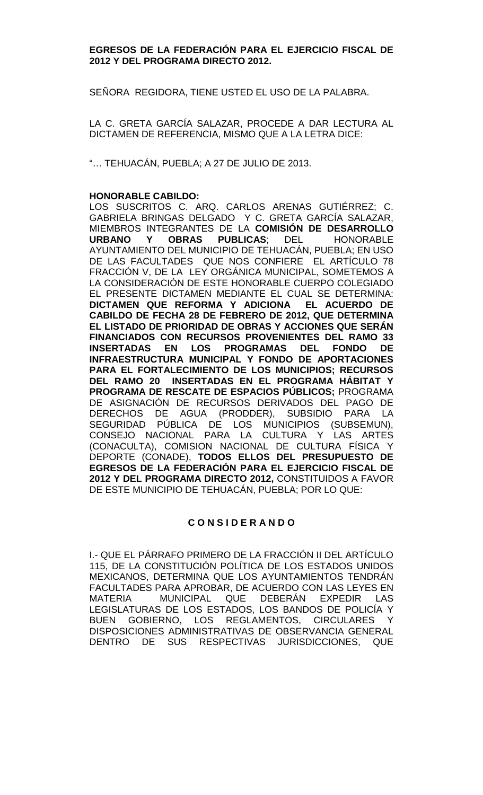#### **EGRESOS DE LA FEDERACIÓN PARA EL EJERCICIO FISCAL DE 2012 Y DEL PROGRAMA DIRECTO 2012.**

SEÑORA REGIDORA, TIENE USTED EL USO DE LA PALABRA.

LA C. GRETA GARCÍA SALAZAR, PROCEDE A DAR LECTURA AL DICTAMEN DE REFERENCIA, MISMO QUE A LA LETRA DICE:

"… TEHUACÁN, PUEBLA; A 27 DE JULIO DE 2013.

#### **HONORABLE CABILDO:**

LOS SUSCRITOS C. ARQ. CARLOS ARENAS GUTIÉRREZ; C. GABRIELA BRINGAS DELGADO Y C. GRETA GARCÍA SALAZAR, MIEMBROS INTEGRANTES DE LA **COMISIÓN DE DESARROLLO URBANO Y OBRAS PUBLICAS**; DEL HONORABLE AYUNTAMIENTO DEL MUNICIPIO DE TEHUACÁN, PUEBLA; EN USO DE LAS FACULTADES QUE NOS CONFIERE EL ARTÍCULO 78 FRACCIÓN V, DE LA LEY ORGÁNICA MUNICIPAL, SOMETEMOS A LA CONSIDERACIÓN DE ESTE HONORABLE CUERPO COLEGIADO EL PRESENTE DICTAMEN MEDIANTE EL CUAL SE DETERMINA: **DICTAMEN QUE REFORMA Y ADICIONA EL ACUERDO DE CABILDO DE FECHA 28 DE FEBRERO DE 2012, QUE DETERMINA EL LISTADO DE PRIORIDAD DE OBRAS Y ACCIONES QUE SERÁN FINANCIADOS CON RECURSOS PROVENIENTES DEL RAMO 33 INSERTADAS EN LOS PROGRAMAS DEL FONDO DE INFRAESTRUCTURA MUNICIPAL Y FONDO DE APORTACIONES PARA EL FORTALECIMIENTO DE LOS MUNICIPIOS; RECURSOS DEL RAMO 20 INSERTADAS EN EL PROGRAMA HÁBITAT Y PROGRAMA DE RESCATE DE ESPACIOS PÚBLICOS;** PROGRAMA DE ASIGNACIÓN DE RECURSOS DERIVADOS DEL PAGO DE DERECHOS DE AGUA (PRODDER), SUBSIDIO PARA LA SEGURIDAD PÚBLICA DE LOS MUNICIPIOS (SUBSEMUN), CONSEJO NACIONAL PARA LA CULTURA Y LAS ARTES (CONACULTA), COMISION NACIONAL DE CULTURA FÍSICA Y DEPORTE (CONADE), **TODOS ELLOS DEL PRESUPUESTO DE EGRESOS DE LA FEDERACIÓN PARA EL EJERCICIO FISCAL DE 2012 Y DEL PROGRAMA DIRECTO 2012,** CONSTITUIDOS A FAVOR DE ESTE MUNICIPIO DE TEHUACÁN, PUEBLA; POR LO QUE:

### **C O N S I D E R A N D O**

I.- QUE EL PÁRRAFO PRIMERO DE LA FRACCIÓN II DEL ARTÍCULO 115, DE LA CONSTITUCIÓN POLÍTICA DE LOS ESTADOS UNIDOS MEXICANOS, DETERMINA QUE LOS AYUNTAMIENTOS TENDRÁN FACULTADES PARA APROBAR, DE ACUERDO CON LAS LEYES EN MATERIA MUNICIPAL QUE DEBERÁN EXPEDIR LAS LEGISLATURAS DE LOS ESTADOS, LOS BANDOS DE POLICÍA Y BUEN GOBIERNO, LOS REGLAMENTOS, CIRCULARES DISPOSICIONES ADMINISTRATIVAS DE OBSERVANCIA GENERAL DENTRO DE SUS RESPECTIVAS JURISDICCIONES, QUE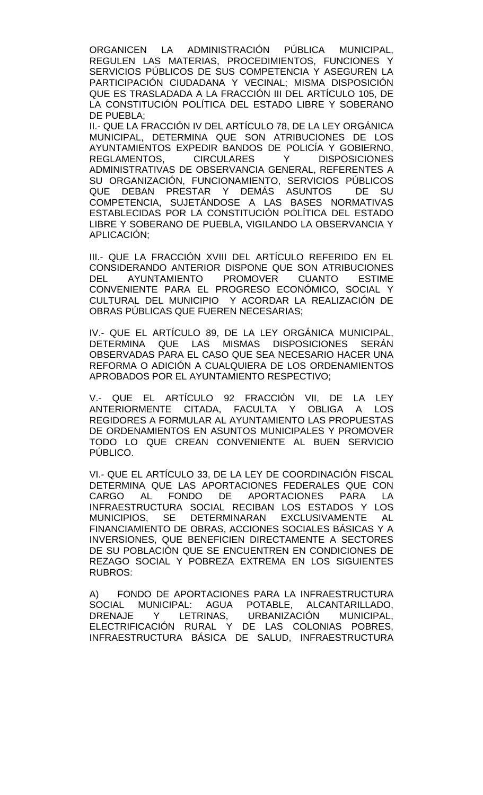ORGANICEN LA ADMINISTRACIÓN PÚBLICA MUNICIPAL, REGULEN LAS MATERIAS, PROCEDIMIENTOS, FUNCIONES Y SERVICIOS PÚBLICOS DE SUS COMPETENCIA Y ASEGUREN LA PARTICIPACIÓN CIUDADANA Y VECINAL; MISMA DISPOSICIÓN QUE ES TRASLADADA A LA FRACCIÓN III DEL ARTÍCULO 105, DE LA CONSTITUCIÓN POLÍTICA DEL ESTADO LIBRE Y SOBERANO DE PUEBLA;

II.- QUE LA FRACCIÓN IV DEL ARTÍCULO 78, DE LA LEY ORGÁNICA MUNICIPAL, DETERMINA QUE SON ATRIBUCIONES DE LOS AYUNTAMIENTOS EXPEDIR BANDOS DE POLICÍA Y GOBIERNO, REGLAMENTOS, CIRCULARES Y DISPOSICIONES ADMINISTRATIVAS DE OBSERVANCIA GENERAL, REFERENTES A SU ORGANIZACIÓN, FUNCIONAMIENTO, SERVICIOS PÚBLICOS<br>QUE DEBAN PRESTAR Y DEMÁS ASUNTOS DE SU DEBAN PRESTAR Y DEMÁS ASUNTOS DE SU COMPETENCIA, SUJETÁNDOSE A LAS BASES NORMATIVAS ESTABLECIDAS POR LA CONSTITUCIÓN POLÍTICA DEL ESTADO LIBRE Y SOBERANO DE PUEBLA, VIGILANDO LA OBSERVANCIA Y APLICACIÓN;

III.- QUE LA FRACCIÓN XVIII DEL ARTÍCULO REFERIDO EN EL CONSIDERANDO ANTERIOR DISPONE QUE SON ATRIBUCIONES DEL AYUNTAMIENTO PROMOVER CUANTO ESTIME CONVENIENTE PARA EL PROGRESO ECONÓMICO, SOCIAL Y CULTURAL DEL MUNICIPIO Y ACORDAR LA REALIZACIÓN DE OBRAS PÚBLICAS QUE FUEREN NECESARIAS;

IV.- QUE EL ARTÍCULO 89, DE LA LEY ORGÁNICA MUNICIPAL, DETERMINA QUE LAS MISMAS DISPOSICIONES SERÁN OBSERVADAS PARA EL CASO QUE SEA NECESARIO HACER UNA REFORMA O ADICIÓN A CUALQUIERA DE LOS ORDENAMIENTOS APROBADOS POR EL AYUNTAMIENTO RESPECTIVO;

V.- QUE EL ARTÍCULO 92 FRACCIÓN VII, DE LA LEY ANTERIORMENTE CITADA, FACULTA Y OBLIGA A LOS REGIDORES A FORMULAR AL AYUNTAMIENTO LAS PROPUESTAS DE ORDENAMIENTOS EN ASUNTOS MUNICIPALES Y PROMOVER TODO LO QUE CREAN CONVENIENTE AL BUEN SERVICIO PÚBLICO.

VI.- QUE EL ARTÍCULO 33, DE LA LEY DE COORDINACIÓN FISCAL DETERMINA QUE LAS APORTACIONES FEDERALES QUE CON<br>CARGO AL FONDO DE APORTACIONES PARA LA CARGO AL FONDO DE APORTACIONES PARA INFRAESTRUCTURA SOCIAL RECIBAN LOS ESTADOS Y LOS MUNICIPIOS, SE DETERMINARAN EXCLUSIVAMENTE AL FINANCIAMIENTO DE OBRAS, ACCIONES SOCIALES BÁSICAS Y A INVERSIONES, QUE BENEFICIEN DIRECTAMENTE A SECTORES DE SU POBLACIÓN QUE SE ENCUENTREN EN CONDICIONES DE REZAGO SOCIAL Y POBREZA EXTREMA EN LOS SIGUIENTES RUBROS:

A) FONDO DE APORTACIONES PARA LA INFRAESTRUCTURA SOCIAL MUNICIPAL: AGUA POTABLE, ALCANTARILLADO,<br>DRENAJE Y LETRINAS, URBANIZACIÓN MUNICIPAL, DRENAJE Y LETRINAS, URBANIZACIÓN MUNICIPAL, ELECTRIFICACIÓN RURAL Y DE LAS COLONIAS POBRES, INFRAESTRUCTURA BÁSICA DE SALUD, INFRAESTRUCTURA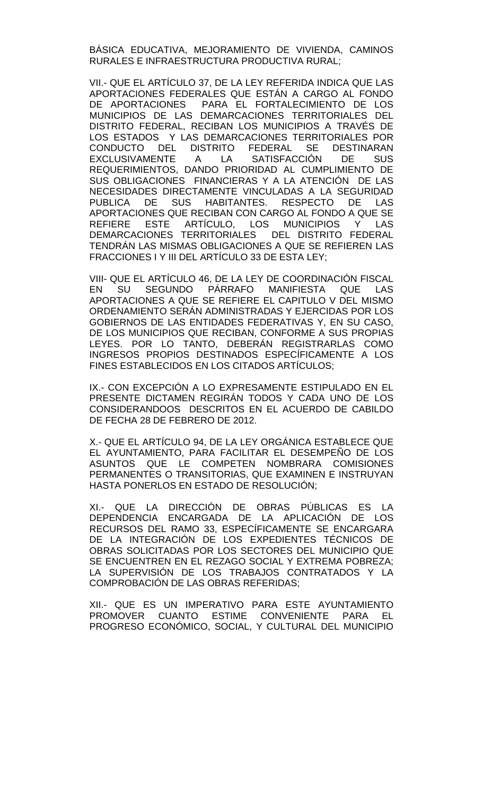BÁSICA EDUCATIVA, MEJORAMIENTO DE VIVIENDA, CAMINOS RURALES E INFRAESTRUCTURA PRODUCTIVA RURAL;

VII.- QUE EL ARTÍCULO 37, DE LA LEY REFERIDA INDICA QUE LAS APORTACIONES FEDERALES QUE ESTÁN A CARGO AL FONDO DE APORTACIONES PARA EL FORTALECIMIENTO DE LOS MUNICIPIOS DE LAS DEMARCACIONES TERRITORIALES DEL DISTRITO FEDERAL, RECIBAN LOS MUNICIPIOS A TRAVÉS DE LOS ESTADOS Y LAS DEMARCACIONES TERRITORIALES POR CONDUCTO DEL DISTRITO FEDERAL SE DESTINARAN<br>EXCLUSIVAMENTE A LA SATISFACCIÓN DE SUS EXCLUSIVAMENTE A LA SATISFACCIÓN DE SUS REQUERIMIENTOS, DANDO PRIORIDAD AL CUMPLIMIENTO DE SUS OBLIGACIONES FINANCIERAS Y A LA ATENCIÓN DE LAS NECESIDADES DIRECTAMENTE VINCULADAS A LA SEGURIDAD PUBLICA DE SUS HABITANTES. RESPECTO DE LAS APORTACIONES QUE RECIBAN CON CARGO AL FONDO A QUE SE REFIERE ESTE ARTÍCULO, LOS MUNICIPIOS Y LAS DEMARCACIONES TERRITORIALES DEL DISTRITO FEDERAL TENDRÁN LAS MISMAS OBLIGACIONES A QUE SE REFIEREN LAS FRACCIONES I Y III DEL ARTÍCULO 33 DE ESTA LEY;

VIII- QUE EL ARTÍCULO 46, DE LA LEY DE COORDINACIÓN FISCAL<br>EN SU SEGUNDO PÁRRAFO MANIFIESTA QUE LAS EN SU SEGUNDO PÁRRAFO MANIFIESTA QUE LAS APORTACIONES A QUE SE REFIERE EL CAPITULO V DEL MISMO ORDENAMIENTO SERÁN ADMINISTRADAS Y EJERCIDAS POR LOS GOBIERNOS DE LAS ENTIDADES FEDERATIVAS Y, EN SU CASO, DE LOS MUNICIPIOS QUE RECIBAN, CONFORME A SUS PROPIAS LEYES. POR LO TANTO, DEBERÁN REGISTRARLAS COMO INGRESOS PROPIOS DESTINADOS ESPECÍFICAMENTE A LOS FINES ESTABLECIDOS EN LOS CITADOS ARTÍCULOS;

IX.- CON EXCEPCIÓN A LO EXPRESAMENTE ESTIPULADO EN EL PRESENTE DICTAMEN REGIRÁN TODOS Y CADA UNO DE LOS CONSIDERANDOOS DESCRITOS EN EL ACUERDO DE CABILDO DE FECHA 28 DE FEBRERO DE 2012.

X.- QUE EL ARTÍCULO 94, DE LA LEY ORGÁNICA ESTABLECE QUE EL AYUNTAMIENTO, PARA FACILITAR EL DESEMPEÑO DE LOS ASUNTOS QUE LE COMPETEN NOMBRARA COMISIONES PERMANENTES O TRANSITORIAS, QUE EXAMINEN E INSTRUYAN HASTA PONERLOS EN ESTADO DE RESOLUCIÓN;

XI.- QUE LA DIRECCIÓN DE OBRAS PÚBLICAS ES LA DEPENDENCIA ENCARGADA DE LA APLICACIÓN DE LOS RECURSOS DEL RAMO 33, ESPECÍFICAMENTE SE ENCARGARA DE LA INTEGRACIÓN DE LOS EXPEDIENTES TÉCNICOS DE OBRAS SOLICITADAS POR LOS SECTORES DEL MUNICIPIO QUE SE ENCUENTREN EN EL REZAGO SOCIAL Y EXTREMA POBREZA; LA SUPERVISIÓN DE LOS TRABAJOS CONTRATADOS Y LA COMPROBACIÓN DE LAS OBRAS REFERIDAS;

XII.- QUE ES UN IMPERATIVO PARA ESTE AYUNTAMIENTO PROMOVER CUANTO ESTIME CONVENIENTE PARA EL PROGRESO ECONÓMICO, SOCIAL, Y CULTURAL DEL MUNICIPIO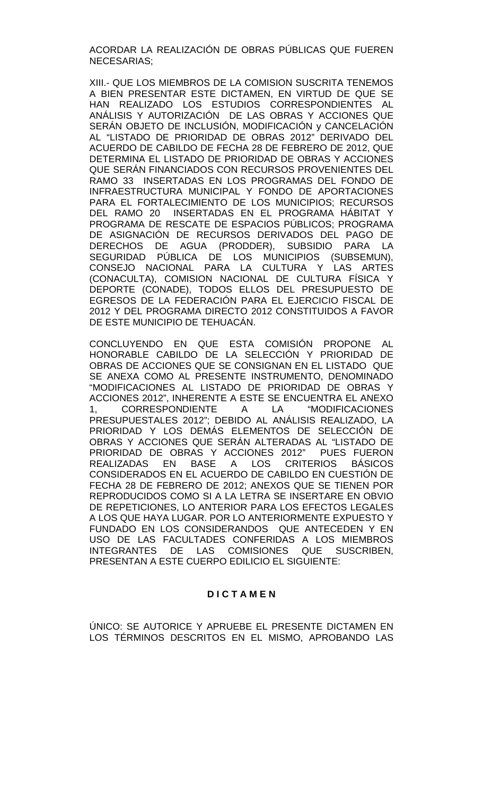ACORDAR LA REALIZACIÓN DE OBRAS PÚBLICAS QUE FUEREN NECESARIAS;

XIII.- QUE LOS MIEMBROS DE LA COMISION SUSCRITA TENEMOS A BIEN PRESENTAR ESTE DICTAMEN, EN VIRTUD DE QUE SE HAN REALIZADO LOS ESTUDIOS CORRESPONDIENTES AL ANÁLISIS Y AUTORIZACIÓN DE LAS OBRAS Y ACCIONES QUE SERÁN OBJETO DE INCLUSIÓN, MODIFICACIÓN y CANCELACIÓN AL "LISTADO DE PRIORIDAD DE OBRAS 2012" DERIVADO DEL ACUERDO DE CABILDO DE FECHA 28 DE FEBRERO DE 2012, QUE DETERMINA EL LISTADO DE PRIORIDAD DE OBRAS Y ACCIONES QUE SERÁN FINANCIADOS CON RECURSOS PROVENIENTES DEL RAMO 33 INSERTADAS EN LOS PROGRAMAS DEL FONDO DE INFRAESTRUCTURA MUNICIPAL Y FONDO DE APORTACIONES PARA EL FORTALECIMIENTO DE LOS MUNICIPIOS; RECURSOS DEL RAMO 20 INSERTADAS EN EL PROGRAMA HÁBITAT Y PROGRAMA DE RESCATE DE ESPACIOS PÚBLICOS; PROGRAMA DE ASIGNACIÓN DE RECURSOS DERIVADOS DEL PAGO DE DERECHOS DE AGUA (PRODDER), SUBSIDIO PARA LA SEGURIDAD PÚBLICA DE LOS MUNICIPIOS (SUBSEMUN), CONSEJO NACIONAL PARA LA CULTURA Y LAS ARTES (CONACULTA), COMISION NACIONAL DE CULTURA FÍSICA Y DEPORTE (CONADE), TODOS ELLOS DEL PRESUPUESTO DE EGRESOS DE LA FEDERACIÓN PARA EL EJERCICIO FISCAL DE 2012 Y DEL PROGRAMA DIRECTO 2012 CONSTITUIDOS A FAVOR DE ESTE MUNICIPIO DE TEHUACÁN.

CONCLUYENDO EN QUE ESTA COMISIÓN PROPONE AL HONORABLE CABILDO DE LA SELECCIÓN Y PRIORIDAD DE OBRAS DE ACCIONES QUE SE CONSIGNAN EN EL LISTADO QUE SE ANEXA COMO AL PRESENTE INSTRUMENTO, DENOMINADO "MODIFICACIONES AL LISTADO DE PRIORIDAD DE OBRAS Y ACCIONES 2012", INHERENTE A ESTE SE ENCUENTRA EL ANEXO 1, CORRESPONDIENTE A LA "MODIFICACIONES PRESUPUESTALES 2012"; DEBIDO AL ANÁLISIS REALIZADO, LA PRIORIDAD Y LOS DEMÁS ELEMENTOS DE SELECCIÓN DE OBRAS Y ACCIONES QUE SERÁN ALTERADAS AL "LISTADO DE PRIORIDAD DE OBRAS Y ACCIONES 2012" PUES FUERON **CRITERIOS** CONSIDERADOS EN EL ACUERDO DE CABILDO EN CUESTIÓN DE FECHA 28 DE FEBRERO DE 2012; ANEXOS QUE SE TIENEN POR REPRODUCIDOS COMO SI A LA LETRA SE INSERTARE EN OBVIO DE REPETICIONES, LO ANTERIOR PARA LOS EFECTOS LEGALES A LOS QUE HAYA LUGAR. POR LO ANTERIORMENTE EXPUESTO Y FUNDADO EN LOS CONSIDERANDOS QUE ANTECEDEN Y EN USO DE LAS FACULTADES CONFERIDAS A LOS MIEMBROS<br>INTEGRANTES DE LAS COMISIONES QUE SUSCRIBEN, INTEGRANTES DE LAS COMISIONES QUE PRESENTAN A ESTE CUERPO EDILICIO EL SIGUIENTE:

#### **D I C T A M E N**

ÚNICO: SE AUTORICE Y APRUEBE EL PRESENTE DICTAMEN EN LOS TÉRMINOS DESCRITOS EN EL MISMO, APROBANDO LAS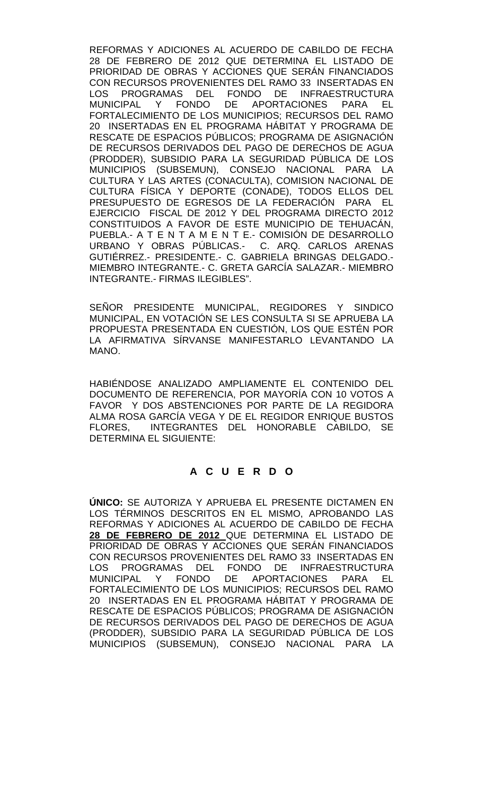REFORMAS Y ADICIONES AL ACUERDO DE CABILDO DE FECHA 28 DE FEBRERO DE 2012 QUE DETERMINA EL LISTADO DE PRIORIDAD DE OBRAS Y ACCIONES QUE SERÁN FINANCIADOS CON RECURSOS PROVENIENTES DEL RAMO 33 INSERTADAS EN LOS PROGRAMAS DEL FONDO DE INFRAESTRUCTURA<br>MUNICIPAL Y FONDO DE APORTACIONES PARA EL MUNICIPAL Y FONDO DE APORTACIONES FORTALECIMIENTO DE LOS MUNICIPIOS; RECURSOS DEL RAMO 20 INSERTADAS EN EL PROGRAMA HÁBITAT Y PROGRAMA DE RESCATE DE ESPACIOS PÚBLICOS; PROGRAMA DE ASIGNACIÓN DE RECURSOS DERIVADOS DEL PAGO DE DERECHOS DE AGUA (PRODDER), SUBSIDIO PARA LA SEGURIDAD PÚBLICA DE LOS MUNICIPIOS (SUBSEMUN), CONSEJO NACIONAL PARA LA CULTURA Y LAS ARTES (CONACULTA), COMISION NACIONAL DE CULTURA FÍSICA Y DEPORTE (CONADE), TODOS ELLOS DEL PRESUPUESTO DE EGRESOS DE LA FEDERACIÓN PARA EL EJERCICIO FISCAL DE 2012 Y DEL PROGRAMA DIRECTO 2012 CONSTITUIDOS A FAVOR DE ESTE MUNICIPIO DE TEHUACÁN, PUEBLA.- A T E N T A M E N T E.- COMISIÓN DE DESARROLLO URBANO Y OBRAS PÚBLICAS.- C. ARQ. CARLOS ARENAS GUTIÉRREZ.- PRESIDENTE.- C. GABRIELA BRINGAS DELGADO.- MIEMBRO INTEGRANTE.- C. GRETA GARCÍA SALAZAR.- MIEMBRO INTEGRANTE.- FIRMAS ILEGIBLES".

SEÑOR PRESIDENTE MUNICIPAL, REGIDORES Y SINDICO MUNICIPAL, EN VOTACIÓN SE LES CONSULTA SI SE APRUEBA LA PROPUESTA PRESENTADA EN CUESTIÓN, LOS QUE ESTÉN POR LA AFIRMATIVA SÍRVANSE MANIFESTARLO LEVANTANDO LA MANO.

HABIÉNDOSE ANALIZADO AMPLIAMENTE EL CONTENIDO DEL DOCUMENTO DE REFERENCIA, POR MAYORÍA CON 10 VOTOS A FAVOR Y DOS ABSTENCIONES POR PARTE DE LA REGIDORA ALMA ROSA GARCÍA VEGA Y DE EL REGIDOR ENRIQUE BUSTOS FLORES, INTEGRANTES DEL HONORABLE CABILDO, SE DETERMINA EL SIGUIENTE:

## **A C U E R D O**

**ÚNICO:** SE AUTORIZA Y APRUEBA EL PRESENTE DICTAMEN EN LOS TÉRMINOS DESCRITOS EN EL MISMO, APROBANDO LAS REFORMAS Y ADICIONES AL ACUERDO DE CABILDO DE FECHA **28 DE FEBRERO DE 2012** QUE DETERMINA EL LISTADO DE PRIORIDAD DE OBRAS Y ACCIONES QUE SERÁN FINANCIADOS CON RECURSOS PROVENIENTES DEL RAMO 33 INSERTADAS EN LOS PROGRAMAS DEL FONDO DE INFRAESTRUCTURA<br>MUNICIPAL Y FONDO DE APORTACIONES PARA EL FONDO DE APORTACIONES PARA EL FORTALECIMIENTO DE LOS MUNICIPIOS; RECURSOS DEL RAMO 20 INSERTADAS EN EL PROGRAMA HÁBITAT Y PROGRAMA DE RESCATE DE ESPACIOS PÚBLICOS; PROGRAMA DE ASIGNACIÓN DE RECURSOS DERIVADOS DEL PAGO DE DERECHOS DE AGUA (PRODDER), SUBSIDIO PARA LA SEGURIDAD PÚBLICA DE LOS MUNICIPIOS (SUBSEMUN), CONSEJO NACIONAL PARA LA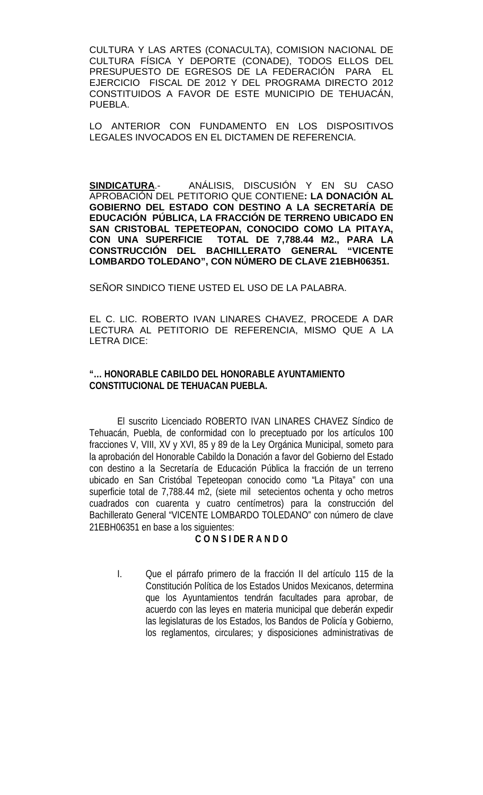CULTURA Y LAS ARTES (CONACULTA), COMISION NACIONAL DE CULTURA FÍSICA Y DEPORTE (CONADE), TODOS ELLOS DEL PRESUPUESTO DE EGRESOS DE LA FEDERACIÓN PARA EL EJERCICIO FISCAL DE 2012 Y DEL PROGRAMA DIRECTO 2012 CONSTITUIDOS A FAVOR DE ESTE MUNICIPIO DE TEHUACÁN, PUEBLA.

LO ANTERIOR CON FUNDAMENTO EN LOS DISPOSITIVOS LEGALES INVOCADOS EN EL DICTAMEN DE REFERENCIA.

**SINDICATURA**.- ANÁLISIS, DISCUSIÓN Y EN SU CASO APROBACIÓN DEL PETITORIO QUE CONTIENE**: LA DONACIÓN AL GOBIERNO DEL ESTADO CON DESTINO A LA SECRETARÍA DE EDUCACIÓN PÚBLICA, LA FRACCIÓN DE TERRENO UBICADO EN SAN CRISTOBAL TEPETEOPAN, CONOCIDO COMO LA PITAYA,**  TOTAL DE 7,788.44 M2., PARA LA<br>ACHILLERATO GENERAL **"VICENTE CONSTRUCCIÓN DEL BACHILLERATO GENERAL LOMBARDO TOLEDANO", CON NÚMERO DE CLAVE 21EBH06351.**

SEÑOR SINDICO TIENE USTED EL USO DE LA PALABRA.

EL C. LIC. ROBERTO IVAN LINARES CHAVEZ, PROCEDE A DAR LECTURA AL PETITORIO DE REFERENCIA, MISMO QUE A LA LETRA DICE:

## **"… HONORABLE CABILDO DEL HONORABLE AYUNTAMIENTO CONSTITUCIONAL DE TEHUACAN PUEBLA.**

El suscrito Licenciado ROBERTO IVAN LINARES CHAVEZ Síndico de Tehuacán, Puebla, de conformidad con lo preceptuado por los artículos 100 fracciones V, VIII, XV y XVI, 85 y 89 de la Ley Orgánica Municipal, someto para la aprobación del Honorable Cabildo la Donación a favor del Gobierno del Estado con destino a la Secretaría de Educación Pública la fracción de un terreno ubicado en San Cristóbal Tepeteopan conocido como "La Pitaya" con una superficie total de 7,788.44 m2, (siete mil setecientos ochenta y ocho metros cuadrados con cuarenta y cuatro centímetros) para la construcción del Bachillerato General "VICENTE LOMBARDO TOLEDANO" con número de clave 21EBH06351 en base a los siguientes:

## **C O N S I DE R A N D O**

I. Que el párrafo primero de la fracción II del artículo 115 de la Constitución Política de los Estados Unidos Mexicanos, determina que los Ayuntamientos tendrán facultades para aprobar, de acuerdo con las leyes en materia municipal que deberán expedir las legislaturas de los Estados, los Bandos de Policía y Gobierno, los reglamentos, circulares; y disposiciones administrativas de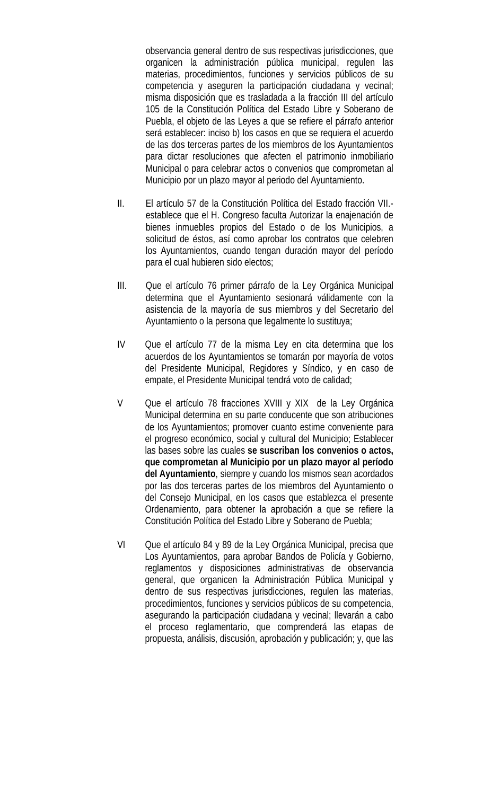observancia general dentro de sus respectivas jurisdicciones, que organicen la administración pública municipal, regulen las materias, procedimientos, funciones y servicios públicos de su competencia y aseguren la participación ciudadana y vecinal; misma disposición que es trasladada a la fracción III del artículo 105 de la Constitución Política del Estado Libre y Soberano de Puebla, el objeto de las Leyes a que se refiere el párrafo anterior será establecer: inciso b) los casos en que se requiera el acuerdo de las dos terceras partes de los miembros de los Ayuntamientos para dictar resoluciones que afecten el patrimonio inmobiliario Municipal o para celebrar actos o convenios que comprometan al Municipio por un plazo mayor al periodo del Ayuntamiento.

- II. El artículo 57 de la Constitución Política del Estado fracción VII. establece que el H. Congreso faculta Autorizar la enajenación de bienes inmuebles propios del Estado o de los Municipios, a solicitud de éstos, así como aprobar los contratos que celebren los Ayuntamientos, cuando tengan duración mayor del período para el cual hubieren sido electos;
- III. Que el artículo 76 primer párrafo de la Ley Orgánica Municipal determina que el Ayuntamiento sesionará válidamente con la asistencia de la mayoría de sus miembros y del Secretario del Ayuntamiento o la persona que legalmente lo sustituya;
- IV Que el artículo 77 de la misma Ley en cita determina que los acuerdos de los Ayuntamientos se tomarán por mayoría de votos del Presidente Municipal, Regidores y Síndico, y en caso de empate, el Presidente Municipal tendrá voto de calidad;
- V Que el artículo 78 fracciones XVIII y XIX de la Ley Orgánica Municipal determina en su parte conducente que son atribuciones de los Ayuntamientos; promover cuanto estime conveniente para el progreso económico, social y cultural del Municipio; Establecer las bases sobre las cuales **se suscriban los convenios o actos, que comprometan al Municipio por un plazo mayor al período del Ayuntamiento**, siempre y cuando los mismos sean acordados por las dos terceras partes de los miembros del Ayuntamiento o del Consejo Municipal, en los casos que establezca el presente Ordenamiento, para obtener la aprobación a que se refiere la Constitución Política del Estado Libre y Soberano de Puebla;
- VI Que el artículo 84 y 89 de la Ley Orgánica Municipal, precisa que Los Ayuntamientos, para aprobar Bandos de Policía y Gobierno, reglamentos y disposiciones administrativas de observancia general, que organicen la Administración Pública Municipal y dentro de sus respectivas jurisdicciones, regulen las materias, procedimientos, funciones y servicios públicos de su competencia, asegurando la participación ciudadana y vecinal; llevarán a cabo el proceso reglamentario, que comprenderá las etapas de propuesta, análisis, discusión, aprobación y publicación; y, que las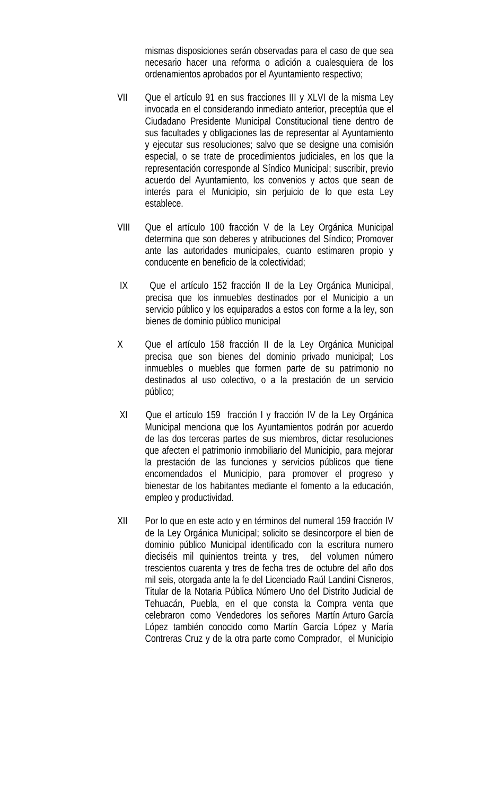mismas disposiciones serán observadas para el caso de que sea necesario hacer una reforma o adición a cualesquiera de los ordenamientos aprobados por el Ayuntamiento respectivo;

- VII Que el artículo 91 en sus fracciones III y XLVI de la misma Ley invocada en el considerando inmediato anterior, preceptúa que el Ciudadano Presidente Municipal Constitucional tiene dentro de sus facultades y obligaciones las de representar al Ayuntamiento y ejecutar sus resoluciones; salvo que se designe una comisión especial, o se trate de procedimientos judiciales, en los que la representación corresponde al Síndico Municipal; suscribir, previo acuerdo del Ayuntamiento, los convenios y actos que sean de interés para el Municipio, sin perjuicio de lo que esta Ley establece.
- VIII Que el artículo 100 fracción V de la Ley Orgánica Municipal determina que son deberes y atribuciones del Síndico; Promover ante las autoridades municipales, cuanto estimaren propio y conducente en beneficio de la colectividad;
- IX Que el artículo 152 fracción II de la Ley Orgánica Municipal, precisa que los inmuebles destinados por el Municipio a un servicio público y los equiparados a estos con forme a la ley, son bienes de dominio público municipal
- X Que el artículo 158 fracción II de la Ley Orgánica Municipal precisa que son bienes del dominio privado municipal; Los inmuebles o muebles que formen parte de su patrimonio no destinados al uso colectivo, o a la prestación de un servicio público;
- XI Que el artículo 159 fracción I y fracción IV de la Ley Orgánica Municipal menciona que los Ayuntamientos podrán por acuerdo de las dos terceras partes de sus miembros, dictar resoluciones que afecten el patrimonio inmobiliario del Municipio, para mejorar la prestación de las funciones y servicios públicos que tiene encomendados el Municipio, para promover el progreso y bienestar de los habitantes mediante el fomento a la educación, empleo y productividad.
- XII Por lo que en este acto y en términos del numeral 159 fracción IV de la Ley Orgánica Municipal; solicito se desincorpore el bien de dominio público Municipal identificado con la escritura numero dieciséis mil quinientos treinta y tres, del volumen número trescientos cuarenta y tres de fecha tres de octubre del año dos mil seis, otorgada ante la fe del Licenciado Raúl Landini Cisneros, Titular de la Notaria Pública Número Uno del Distrito Judicial de Tehuacán, Puebla, en el que consta la Compra venta que celebraron como Vendedores los señores Martín Arturo García López también conocido como Martín García López y María Contreras Cruz y de la otra parte como Comprador, el Municipio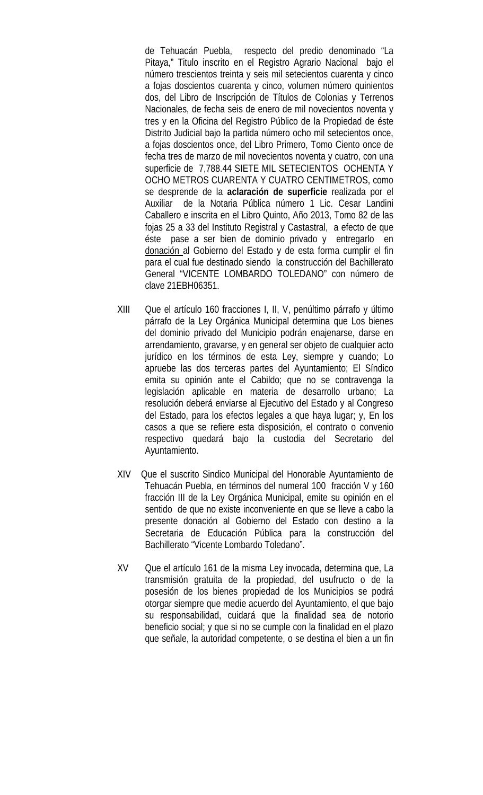de Tehuacán Puebla, respecto del predio denominado "La Pitaya," Titulo inscrito en el Registro Agrario Nacional bajo el número trescientos treinta y seis mil setecientos cuarenta y cinco a fojas doscientos cuarenta y cinco, volumen número quinientos dos, del Libro de Inscripción de Títulos de Colonias y Terrenos Nacionales, de fecha seis de enero de mil novecientos noventa y tres y en la Oficina del Registro Público de la Propiedad de éste Distrito Judicial bajo la partida número ocho mil setecientos once, a fojas doscientos once, del Libro Primero, Tomo Ciento once de fecha tres de marzo de mil novecientos noventa y cuatro, con una superficie de 7,788.44 SIETE MIL SETECIENTOS OCHENTA Y OCHO METROS CUARENTA Y CUATRO CENTIMETROS, como se desprende de la **aclaración de superficie** realizada por el Auxiliar de la Notaria Pública número 1 Lic. Cesar Landini Caballero e inscrita en el Libro Quinto, Año 2013, Tomo 82 de las fojas 25 a 33 del Instituto Registral y Castastral, a efecto de que éste pase a ser bien de dominio privado y entregarlo en donación al Gobierno del Estado y de esta forma cumplir el fin para el cual fue destinado siendo la construcción del Bachillerato General "VICENTE LOMBARDO TOLEDANO" con número de clave 21EBH06351.

- XIII Que el artículo 160 fracciones I, II, V, penúltimo párrafo y último párrafo de la Ley Orgánica Municipal determina que Los bienes del dominio privado del Municipio podrán enajenarse, darse en arrendamiento, gravarse, y en general ser objeto de cualquier acto jurídico en los términos de esta Ley, siempre y cuando; Lo apruebe las dos terceras partes del Ayuntamiento; El Síndico emita su opinión ante el Cabildo; que no se contravenga la legislación aplicable en materia de desarrollo urbano; La resolución deberá enviarse al Ejecutivo del Estado y al Congreso del Estado, para los efectos legales a que haya lugar; y, En los casos a que se refiere esta disposición, el contrato o convenio respectivo quedará bajo la custodia del Secretario del Ayuntamiento.
- XIV Que el suscrito Sindico Municipal del Honorable Ayuntamiento de Tehuacán Puebla, en términos del numeral 100 fracción V y 160 fracción III de la Ley Orgánica Municipal, emite su opinión en el sentido de que no existe inconveniente en que se lleve a cabo la presente donación al Gobierno del Estado con destino a la Secretaria de Educación Pública para la construcción del Bachillerato "Vicente Lombardo Toledano".
- XV Que el artículo 161 de la misma Ley invocada, determina que, La transmisión gratuita de la propiedad, del usufructo o de la posesión de los bienes propiedad de los Municipios se podrá otorgar siempre que medie acuerdo del Ayuntamiento, el que bajo su responsabilidad, cuidará que la finalidad sea de notorio beneficio social; y que si no se cumple con la finalidad en el plazo que señale, la autoridad competente, o se destina el bien a un fin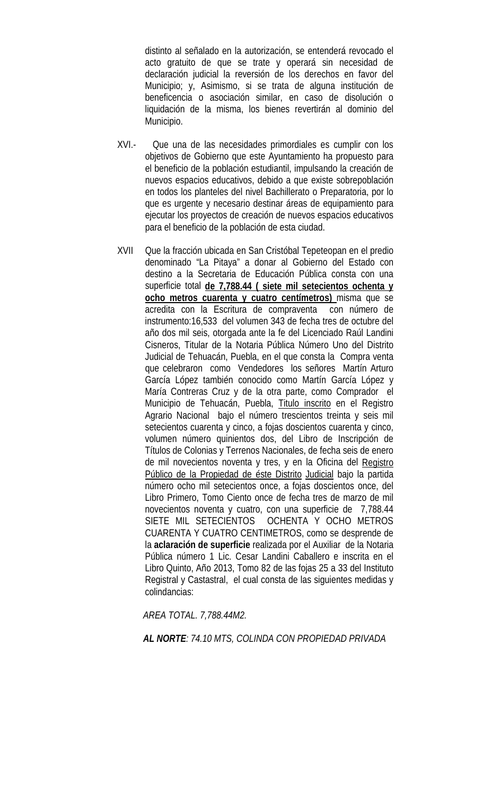distinto al señalado en la autorización, se entenderá revocado el acto gratuito de que se trate y operará sin necesidad de declaración judicial la reversión de los derechos en favor del Municipio; y, Asimismo, si se trata de alguna institución de beneficencia o asociación similar, en caso de disolución o liquidación de la misma, los bienes revertirán al dominio del Municipio.

- XVI.- Que una de las necesidades primordiales es cumplir con los objetivos de Gobierno que este Ayuntamiento ha propuesto para el beneficio de la población estudiantil, impulsando la creación de nuevos espacios educativos, debido a que existe sobrepoblación en todos los planteles del nivel Bachillerato o Preparatoria, por lo que es urgente y necesario destinar áreas de equipamiento para ejecutar los proyectos de creación de nuevos espacios educativos para el beneficio de la población de esta ciudad.
- XVII Que la fracción ubicada en San Cristóbal Tepeteopan en el predio denominado "La Pitaya" a donar al Gobierno del Estado con destino a la Secretaria de Educación Pública consta con una superficie total **de 7,788.44 ( siete mil setecientos ochenta y ocho metros cuarenta y cuatro centímetros)** misma que se acredita con la Escritura de compraventa con número de instrumento:16,533 del volumen 343 de fecha tres de octubre del año dos mil seis, otorgada ante la fe del Licenciado Raúl Landini Cisneros, Titular de la Notaria Pública Número Uno del Distrito Judicial de Tehuacán, Puebla, en el que consta la Compra venta que celebraron como Vendedores los señores Martín Arturo García López también conocido como Martín García López y María Contreras Cruz y de la otra parte, como Comprador el Municipio de Tehuacán, Puebla, Titulo inscrito en el Registro Agrario Nacional bajo el número trescientos treinta y seis mil setecientos cuarenta y cinco, a fojas doscientos cuarenta y cinco, volumen número quinientos dos, del Libro de Inscripción de Títulos de Colonias y Terrenos Nacionales, de fecha seis de enero de mil novecientos noventa y tres, y en la Oficina del Registro Público de la Propiedad de éste Distrito Judicial bajo la partida número ocho mil setecientos once, a fojas doscientos once, del Libro Primero, Tomo Ciento once de fecha tres de marzo de mil novecientos noventa y cuatro, con una superficie de 7,788.44 SIETE MIL SETECIENTOS OCHENTA Y OCHO METROS CUARENTA Y CUATRO CENTIMETROS, como se desprende de la **aclaración de superficie** realizada por el Auxiliar de la Notaria Pública número 1 Lic. Cesar Landini Caballero e inscrita en el Libro Quinto, Año 2013, Tomo 82 de las fojas 25 a 33 del Instituto Registral y Castastral, el cual consta de las siguientes medidas y colindancias:

 *AREA TOTAL. 7,788.44M2.*

 *AL NORTE: 74.10 MTS, COLINDA CON PROPIEDAD PRIVADA*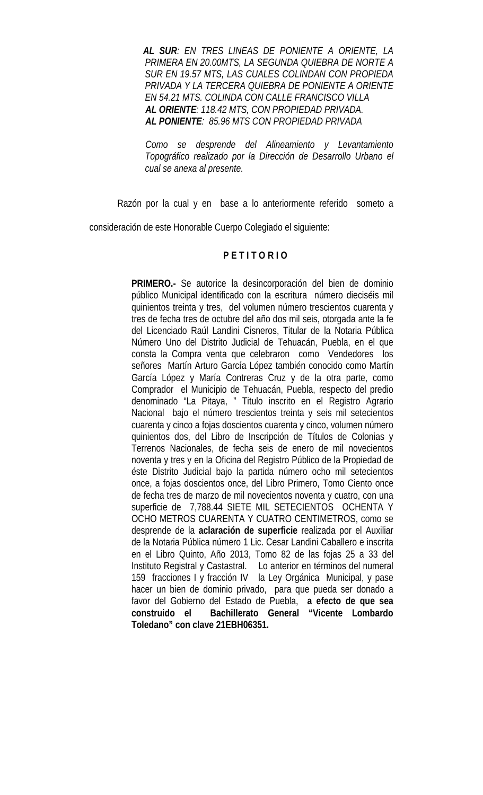*AL SUR: EN TRES LINEAS DE PONIENTE A ORIENTE, LA PRIMERA EN 20.00MTS, LA SEGUNDA QUIEBRA DE NORTE A SUR EN 19.57 MTS, LAS CUALES COLINDAN CON PROPIEDA PRIVADA Y LA TERCERA QUIEBRA DE PONIENTE A ORIENTE EN 54.21 MTS. COLINDA CON CALLE FRANCISCO VILLA AL ORIENTE: 118.42 MTS, CON PROPIEDAD PRIVADA. AL PONIENTE: 85.96 MTS CON PROPIEDAD PRIVADA*

 *Como se desprende del Alineamiento y Levantamiento Topográfico realizado por la Dirección de Desarrollo Urbano el cual se anexa al presente.*

Razón por la cual y en base a lo anteriormente referido someto a

consideración de este Honorable Cuerpo Colegiado el siguiente:

## **P E T I T O R I O**

**PRIMERO.-** Se autorice la desincorporación del bien de dominio público Municipal identificado con la escritura número dieciséis mil quinientos treinta y tres, del volumen número trescientos cuarenta y tres de fecha tres de octubre del año dos mil seis, otorgada ante la fe del Licenciado Raúl Landini Cisneros, Titular de la Notaria Pública Número Uno del Distrito Judicial de Tehuacán, Puebla, en el que consta la Compra venta que celebraron como Vendedores los señores Martín Arturo García López también conocido como Martín García López y María Contreras Cruz y de la otra parte, como Comprador el Municipio de Tehuacán, Puebla, respecto del predio denominado "La Pitaya, " Titulo inscrito en el Registro Agrario Nacional bajo el número trescientos treinta y seis mil setecientos cuarenta y cinco a fojas doscientos cuarenta y cinco, volumen número quinientos dos, del Libro de Inscripción de Títulos de Colonias y Terrenos Nacionales, de fecha seis de enero de mil novecientos noventa y tres y en la Oficina del Registro Público de la Propiedad de éste Distrito Judicial bajo la partida número ocho mil setecientos once, a fojas doscientos once, del Libro Primero, Tomo Ciento once de fecha tres de marzo de mil novecientos noventa y cuatro, con una superficie de 7,788.44 SIETE MIL SETECIENTOS OCHENTA Y OCHO METROS CUARENTA Y CUATRO CENTIMETROS, como se desprende de la **aclaración de superficie** realizada por el Auxiliar de la Notaria Pública número 1 Lic. Cesar Landini Caballero e inscrita en el Libro Quinto, Año 2013, Tomo 82 de las fojas 25 a 33 del Instituto Registral y Castastral. Lo anterior en términos del numeral 159 fracciones I y fracción IV la Ley Orgánica Municipal, y pase hacer un bien de dominio privado, para que pueda ser donado a favor del Gobierno del Estado de Puebla, **a efecto de que sea construido el Bachillerato General "Vicente Lombardo Toledano" con clave 21EBH06351.**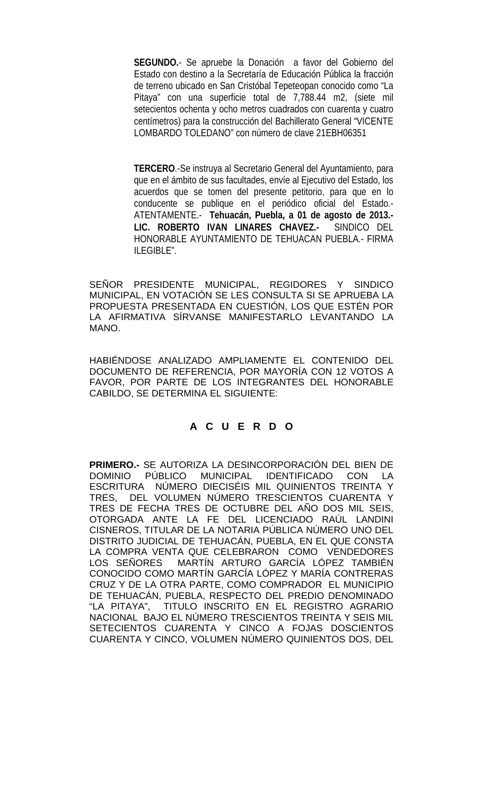**SEGUNDO.**- Se apruebe la Donación a favor del Gobierno del Estado con destino a la Secretaría de Educación Pública la fracción de terreno ubicado en San Cristóbal Tepeteopan conocido como "La Pitaya" con una superficie total de 7,788.44 m2, (siete mil setecientos ochenta y ocho metros cuadrados con cuarenta y cuatro centímetros) para la construcción del Bachillerato General "VICENTE LOMBARDO TOLEDANO" con número de clave 21EBH06351

 **TERCERO**.-Se instruya al Secretario General del Ayuntamiento, para que en el ámbito de sus facultades, envíe al Ejecutivo del Estado, los acuerdos que se tomen del presente petitorio, para que en lo conducente se publique en el periódico oficial del Estado.- ATENTAMENTE.- **Tehuacán, Puebla, a 01 de agosto de 2013.- LIC. ROBERTO IVAN LINARES CHAVEZ.-** SINDICO DEL HONORABLE AYUNTAMIENTO DE TEHUACAN PUEBLA.- FIRMA ILEGIBLE".

SEÑOR PRESIDENTE MUNICIPAL, REGIDORES Y SINDICO MUNICIPAL, EN VOTACIÓN SE LES CONSULTA SI SE APRUEBA LA PROPUESTA PRESENTADA EN CUESTIÓN, LOS QUE ESTÉN POR LA AFIRMATIVA SÍRVANSE MANIFESTARLO LEVANTANDO LA MANO.

HABIÉNDOSE ANALIZADO AMPLIAMENTE EL CONTENIDO DEL DOCUMENTO DE REFERENCIA, POR MAYORÍA CON 12 VOTOS A FAVOR, POR PARTE DE LOS INTEGRANTES DEL HONORABLE CABILDO, SE DETERMINA EL SIGUIENTE:

# **A C U E R D O**

**PRIMERO.-** SE AUTORIZA LA DESINCORPORACIÓN DEL BIEN DE DOMINIO PÚBLICO MUNICIPAL IDENTIFICADO ESCRITURA NÚMERO DIECISÉIS MIL QUINIENTOS TREINTA Y TRES, DEL VOLUMEN NÚMERO TRESCIENTOS CUARENTA Y TRES DE FECHA TRES DE OCTUBRE DEL AÑO DOS MIL SEIS, OTORGADA ANTE LA FE DEL LICENCIADO RAÚL LANDINI CISNEROS, TITULAR DE LA NOTARIA PÚBLICA NÚMERO UNO DEL DISTRITO JUDICIAL DE TEHUACÁN, PUEBLA, EN EL QUE CONSTA LA COMPRA VENTA QUE CELEBRARON COMO VENDEDORES<br>LOS SEÑORES MARTÍN ARTURO GARCÍA LÓPEZ TAMBIÉN MARTÍN ARTURO GARCÍA LÓPEZ TAMBIÉN CONOCIDO COMO MARTÍN GARCÍA LÓPEZ Y MARÍA CONTRERAS CRUZ Y DE LA OTRA PARTE, COMO COMPRADOR EL MUNICIPIO DE TEHUACÁN, PUEBLA, RESPECTO DEL PREDIO DENOMINADO "LA PITAYA", TITULO INSCRITO EN EL REGISTRO AGRARIO NACIONAL BAJO EL NÚMERO TRESCIENTOS TREINTA Y SEIS MIL SETECIENTOS CUARENTA Y CINCO A FOJAS DOSCIENTOS CUARENTA Y CINCO, VOLUMEN NÚMERO QUINIENTOS DOS, DEL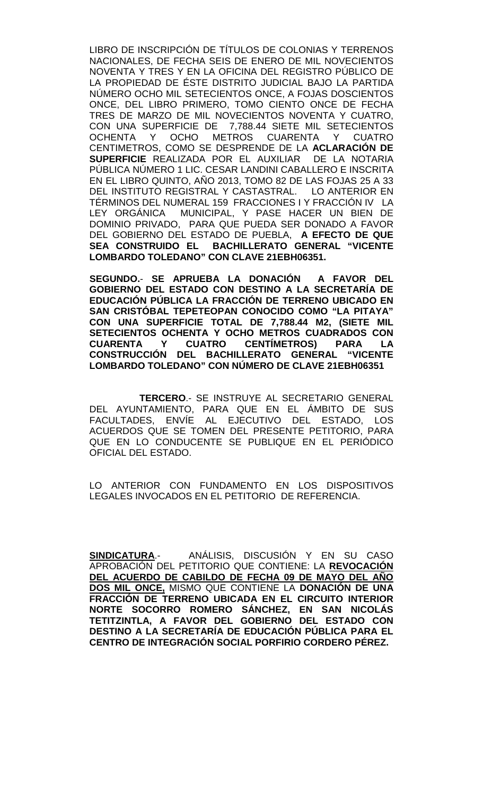LIBRO DE INSCRIPCIÓN DE TÍTULOS DE COLONIAS Y TERRENOS NACIONALES, DE FECHA SEIS DE ENERO DE MIL NOVECIENTOS NOVENTA Y TRES Y EN LA OFICINA DEL REGISTRO PÚBLICO DE LA PROPIEDAD DE ÉSTE DISTRITO JUDICIAL BAJO LA PARTIDA NÚMERO OCHO MIL SETECIENTOS ONCE, A FOJAS DOSCIENTOS ONCE, DEL LIBRO PRIMERO, TOMO CIENTO ONCE DE FECHA TRES DE MARZO DE MIL NOVECIENTOS NOVENTA Y CUATRO, CON UNA SUPERFICIE DE 7,788.44 SIETE MIL SETECIENTOS OCHENTA Y OCHO METROS CUARENTA Y CUATRO CENTIMETROS, COMO SE DESPRENDE DE LA **ACLARACIÓN DE SUPERFICIE** REALIZADA POR EL AUXILIAR DE LA NOTARIA PÚBLICA NÚMERO 1 LIC. CESAR LANDINI CABALLERO E INSCRITA EN EL LIBRO QUINTO, AÑO 2013, TOMO 82 DE LAS FOJAS 25 A 33 DEL INSTITUTO REGISTRAL Y CASTASTRAL. LO ANTERIOR EN TÉRMINOS DEL NUMERAL 159 FRACCIONES I Y FRACCIÓN IV LA LEY ORGÁNICA MUNICIPAL, Y PASE HACER UN BIEN DE DOMINIO PRIVADO, PARA QUE PUEDA SER DONADO A FAVOR DEL GOBIERNO DEL ESTADO DE PUEBLA, **A EFECTO DE QUE SEA CONSTRUIDO EL BACHILLERATO GENERAL "VICENTE LOMBARDO TOLEDANO" CON CLAVE 21EBH06351.** 

 **SEGUNDO.**- **SE APRUEBA LA DONACIÓN A FAVOR DEL GOBIERNO DEL ESTADO CON DESTINO A LA SECRETARÍA DE EDUCACIÓN PÚBLICA LA FRACCIÓN DE TERRENO UBICADO EN SAN CRISTÓBAL TEPETEOPAN CONOCIDO COMO "LA PITAYA" CON UNA SUPERFICIE TOTAL DE 7,788.44 M2, (SIETE MIL SETECIENTOS OCHENTA Y OCHO METROS CUADRADOS CON CUARENTA Y CUATRO CENTÍMETROS) PARA LA CONSTRUCCIÓN DEL BACHILLERATO GENERAL "VICENTE LOMBARDO TOLEDANO" CON NÚMERO DE CLAVE 21EBH06351**

 **TERCERO**.- SE INSTRUYE AL SECRETARIO GENERAL DEL AYUNTAMIENTO, PARA QUE EN EL ÁMBITO DE SUS FACULTADES, ENVÍE AL EJECUTIVO DEL ESTADO, LOS ACUERDOS QUE SE TOMEN DEL PRESENTE PETITORIO, PARA QUE EN LO CONDUCENTE SE PUBLIQUE EN EL PERIÓDICO OFICIAL DEL ESTADO.

LO ANTERIOR CON FUNDAMENTO EN LOS DISPOSITIVOS LEGALES INVOCADOS EN EL PETITORIO DE REFERENCIA.

**SINDICATURA**.- ANÁLISIS, DISCUSIÓN Y EN SU CASO APROBACIÓN DEL PETITORIO QUE CONTIENE: LA **REVOCACIÓN DEL ACUERDO DE CABILDO DE FECHA 09 DE MAYO DEL AÑO DOS MIL ONCE,** MISMO QUE CONTIENE LA **DONACIÓN DE UNA FRACCIÓN DE TERRENO UBICADA EN EL CIRCUITO INTERIOR NORTE SOCORRO ROMERO SÁNCHEZ, EN SAN NICOLÁS TETITZINTLA, A FAVOR DEL GOBIERNO DEL ESTADO CON DESTINO A LA SECRETARÍA DE EDUCACIÓN PÚBLICA PARA EL CENTRO DE INTEGRACIÓN SOCIAL PORFIRIO CORDERO PÉREZ.**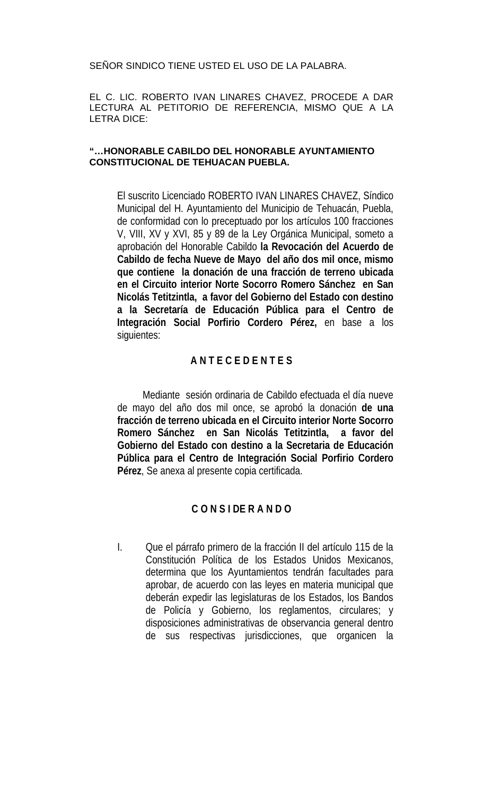SEÑOR SINDICO TIENE USTED EL USO DE LA PALABRA.

EL C. LIC. ROBERTO IVAN LINARES CHAVEZ, PROCEDE A DAR LECTURA AL PETITORIO DE REFERENCIA, MISMO QUE A LA LETRA DICE:

#### **"…HONORABLE CABILDO DEL HONORABLE AYUNTAMIENTO CONSTITUCIONAL DE TEHUACAN PUEBLA.**

El suscrito Licenciado ROBERTO IVAN LINARES CHAVEZ, Síndico Municipal del H. Ayuntamiento del Municipio de Tehuacán, Puebla, de conformidad con lo preceptuado por los artículos 100 fracciones V, VIII, XV y XVI, 85 y 89 de la Ley Orgánica Municipal, someto a aprobación del Honorable Cabildo **la Revocación del Acuerdo de Cabildo de fecha Nueve de Mayo del año dos mil once, mismo que contiene la donación de una fracción de terreno ubicada en el Circuito interior Norte Socorro Romero Sánchez en San Nicolás Tetitzintla, a favor del Gobierno del Estado con destino a la Secretaría de Educación Pública para el Centro de Integración Social Porfirio Cordero Pérez,** en base a los siguientes:

# **A N T E C E D E N T E S**

 Mediante sesión ordinaria de Cabildo efectuada el día nueve de mayo del año dos mil once, se aprobó la donación **de una fracción de terreno ubicada en el Circuito interior Norte Socorro Romero Sánchez en San Nicolás Tetitzintla, a favor del Gobierno del Estado con destino a la Secretaria de Educación Pública para el Centro de Integración Social Porfirio Cordero Pérez**, Se anexa al presente copia certificada.

# **C O N S I DE R A N D O**

I. Que el párrafo primero de la fracción II del artículo 115 de la Constitución Política de los Estados Unidos Mexicanos, determina que los Ayuntamientos tendrán facultades para aprobar, de acuerdo con las leyes en materia municipal que deberán expedir las legislaturas de los Estados, los Bandos de Policía y Gobierno, los reglamentos, circulares; y disposiciones administrativas de observancia general dentro de sus respectivas jurisdicciones, que organicen la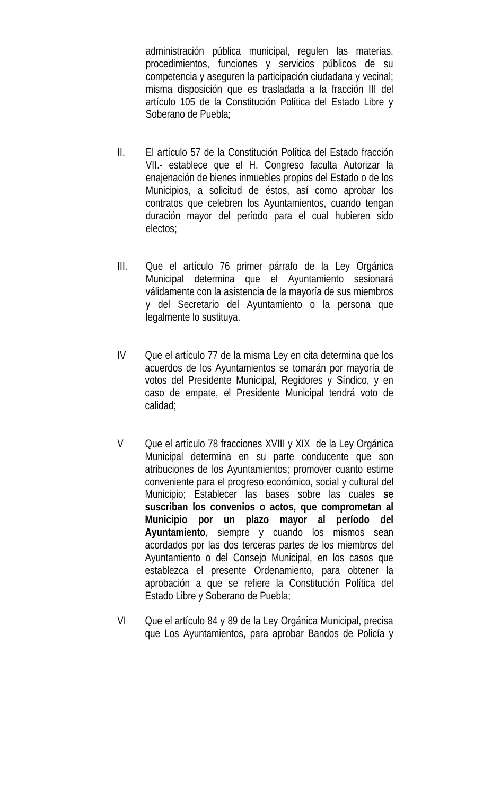administración pública municipal, regulen las materias, procedimientos, funciones y servicios públicos de su competencia y aseguren la participación ciudadana y vecinal; misma disposición que es trasladada a la fracción III del artículo 105 de la Constitución Política del Estado Libre y Soberano de Puebla;

- II. El artículo 57 de la Constitución Política del Estado fracción VII.- establece que el H. Congreso faculta Autorizar la enajenación de bienes inmuebles propios del Estado o de los Municipios, a solicitud de éstos, así como aprobar los contratos que celebren los Ayuntamientos, cuando tengan duración mayor del período para el cual hubieren sido electos;
- III. Que el artículo 76 primer párrafo de la Ley Orgánica Municipal determina que el Ayuntamiento sesionará válidamente con la asistencia de la mayoría de sus miembros y del Secretario del Ayuntamiento o la persona que legalmente lo sustituya.
- IV Que el artículo 77 de la misma Ley en cita determina que los acuerdos de los Ayuntamientos se tomarán por mayoría de votos del Presidente Municipal, Regidores y Síndico, y en caso de empate, el Presidente Municipal tendrá voto de calidad;
- V Que el artículo 78 fracciones XVIII y XIX de la Ley Orgánica Municipal determina en su parte conducente que son atribuciones de los Ayuntamientos; promover cuanto estime conveniente para el progreso económico, social y cultural del Municipio; Establecer las bases sobre las cuales **se suscriban los convenios o actos, que comprometan al Municipio por un plazo mayor al período del Ayuntamiento**, siempre y cuando los mismos sean acordados por las dos terceras partes de los miembros del Ayuntamiento o del Consejo Municipal, en los casos que establezca el presente Ordenamiento, para obtener la aprobación a que se refiere la Constitución Política del Estado Libre y Soberano de Puebla;
- VI Que el artículo 84 y 89 de la Ley Orgánica Municipal, precisa que Los Ayuntamientos, para aprobar Bandos de Policía y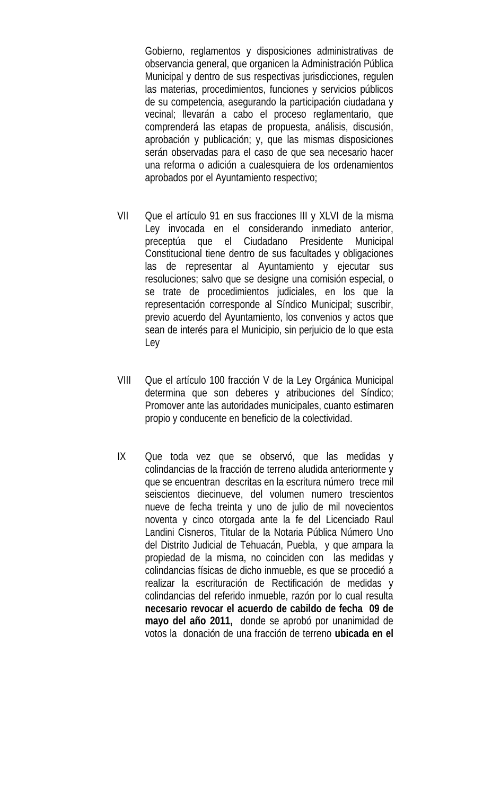Gobierno, reglamentos y disposiciones administrativas de observancia general, que organicen la Administración Pública Municipal y dentro de sus respectivas jurisdicciones, regulen las materias, procedimientos, funciones y servicios públicos de su competencia, asegurando la participación ciudadana y vecinal; llevarán a cabo el proceso reglamentario, que comprenderá las etapas de propuesta, análisis, discusión, aprobación y publicación; y, que las mismas disposiciones serán observadas para el caso de que sea necesario hacer una reforma o adición a cualesquiera de los ordenamientos aprobados por el Ayuntamiento respectivo;

- VII Que el artículo 91 en sus fracciones III y XLVI de la misma Ley invocada en el considerando inmediato anterior, preceptúa que el Ciudadano Presidente Municipal Constitucional tiene dentro de sus facultades y obligaciones las de representar al Ayuntamiento y ejecutar sus resoluciones; salvo que se designe una comisión especial, o se trate de procedimientos judiciales, en los que la representación corresponde al Síndico Municipal; suscribir, previo acuerdo del Ayuntamiento, los convenios y actos que sean de interés para el Municipio, sin perjuicio de lo que esta Ley
- VIII Que el artículo 100 fracción V de la Ley Orgánica Municipal determina que son deberes y atribuciones del Síndico; Promover ante las autoridades municipales, cuanto estimaren propio y conducente en beneficio de la colectividad.
- IX Que toda vez que se observó, que las medidas y colindancias de la fracción de terreno aludida anteriormente y que se encuentran descritas en la escritura número trece mil seiscientos diecinueve, del volumen numero trescientos nueve de fecha treinta y uno de julio de mil novecientos noventa y cinco otorgada ante la fe del Licenciado Raul Landini Cisneros, Titular de la Notaria Pública Número Uno del Distrito Judicial de Tehuacán, Puebla, y que ampara la propiedad de la misma, no coinciden con las medidas y colindancias físicas de dicho inmueble, es que se procedió a realizar la escrituración de Rectificación de medidas y colindancias del referido inmueble, razón por lo cual resulta **necesario revocar el acuerdo de cabildo de fecha 09 de mayo del año 2011,** donde se aprobó por unanimidad de votos la donación de una fracción de terreno **ubicada en el**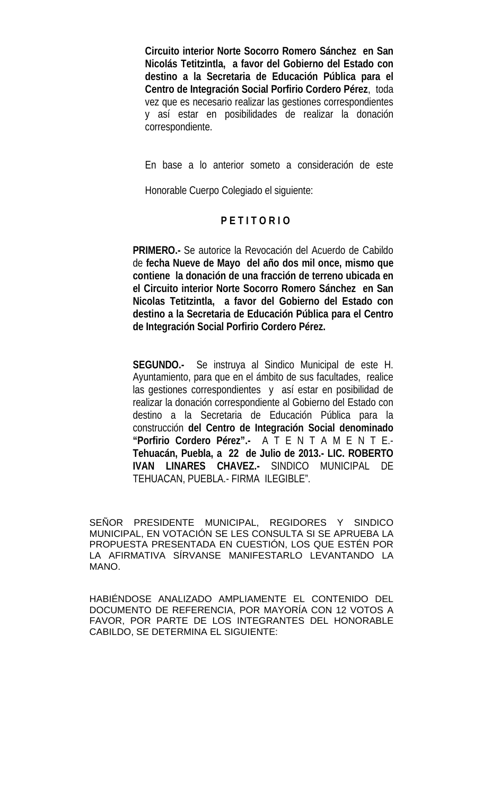**Circuito interior Norte Socorro Romero Sánchez en San Nicolás Tetitzintla, a favor del Gobierno del Estado con destino a la Secretaria de Educación Pública para el Centro de Integración Social Porfirio Cordero Pérez**, toda vez que es necesario realizar las gestiones correspondientes y así estar en posibilidades de realizar la donación correspondiente.

En base a lo anterior someto a consideración de este

Honorable Cuerpo Colegiado el siguiente:

# **P E T I T O R I O**

**PRIMERO.-** Se autorice la Revocación del Acuerdo de Cabildo de **fecha Nueve de Mayo del año dos mil once, mismo que contiene la donación de una fracción de terreno ubicada en el Circuito interior Norte Socorro Romero Sánchez en San Nicolas Tetitzintla, a favor del Gobierno del Estado con destino a la Secretaria de Educación Pública para el Centro de Integración Social Porfirio Cordero Pérez.**

 **SEGUNDO.-** Se instruya al Sindico Municipal de este H. Ayuntamiento, para que en el ámbito de sus facultades, realice las gestiones correspondientes y así estar en posibilidad de realizar la donación correspondiente al Gobierno del Estado con destino a la Secretaria de Educación Pública para la construcción **del Centro de Integración Social denominado "Porfirio Cordero Pérez".-** A T E N T A M E N T E.- **Tehuacán, Puebla, a 22 de Julio de 2013.- LIC. ROBERTO IVAN LINARES CHAVEZ.-** SINDICO MUNICIPAL DE TEHUACAN, PUEBLA.- FIRMA ILEGIBLE".

SEÑOR PRESIDENTE MUNICIPAL, REGIDORES Y SINDICO MUNICIPAL, EN VOTACIÓN SE LES CONSULTA SI SE APRUEBA LA PROPUESTA PRESENTADA EN CUESTIÓN, LOS QUE ESTÉN POR LA AFIRMATIVA SÍRVANSE MANIFESTARLO LEVANTANDO LA MANO.

HABIÉNDOSE ANALIZADO AMPLIAMENTE EL CONTENIDO DEL DOCUMENTO DE REFERENCIA, POR MAYORÍA CON 12 VOTOS A FAVOR, POR PARTE DE LOS INTEGRANTES DEL HONORABLE CABILDO, SE DETERMINA EL SIGUIENTE: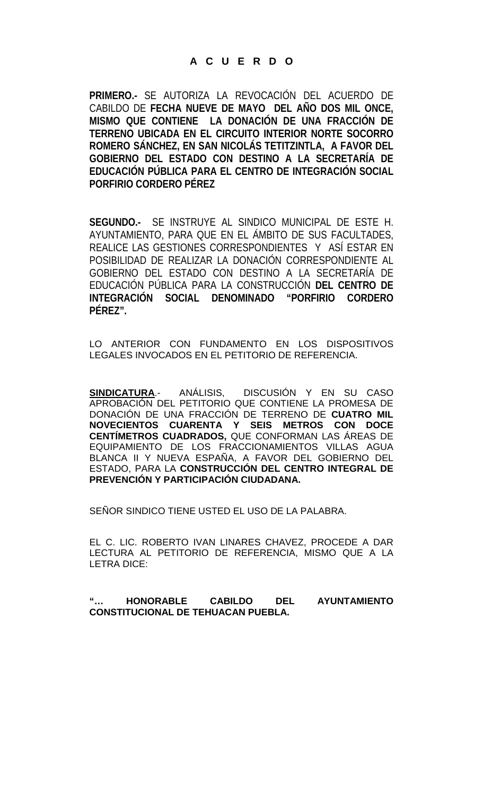**PRIMERO.-** SE AUTORIZA LA REVOCACIÓN DEL ACUERDO DE CABILDO DE **FECHA NUEVE DE MAYO DEL AÑO DOS MIL ONCE, MISMO QUE CONTIENE LA DONACIÓN DE UNA FRACCIÓN DE TERRENO UBICADA EN EL CIRCUITO INTERIOR NORTE SOCORRO ROMERO SÁNCHEZ, EN SAN NICOLÁS TETITZINTLA, A FAVOR DEL GOBIERNO DEL ESTADO CON DESTINO A LA SECRETARÍA DE EDUCACIÓN PÚBLICA PARA EL CENTRO DE INTEGRACIÓN SOCIAL PORFIRIO CORDERO PÉREZ**

**SEGUNDO.-** SE INSTRUYE AL SINDICO MUNICIPAL DE ESTE H. AYUNTAMIENTO, PARA QUE EN EL ÁMBITO DE SUS FACULTADES, REALICE LAS GESTIONES CORRESPONDIENTES Y ASÍ ESTAR EN POSIBILIDAD DE REALIZAR LA DONACIÓN CORRESPONDIENTE AL GOBIERNO DEL ESTADO CON DESTINO A LA SECRETARÍA DE EDUCACIÓN PÚBLICA PARA LA CONSTRUCCIÓN **DEL CENTRO DE INTEGRACIÓN SOCIAL DENOMINADO "PORFIRIO CORDERO PÉREZ".**

LO ANTERIOR CON FUNDAMENTO EN LOS DISPOSITIVOS LEGALES INVOCADOS EN EL PETITORIO DE REFERENCIA.

**SINDICATURA**.- ANÁLISIS, DISCUSIÓN Y EN SU CASO APROBACIÓN DEL PETITORIO QUE CONTIENE LA PROMESA DE DONACIÓN DE UNA FRACCIÓN DE TERRENO DE **CUATRO MIL NOVECIENTOS CUARENTA Y SEIS METROS CON DOCE CENTÍMETROS CUADRADOS,** QUE CONFORMAN LAS ÁREAS DE EQUIPAMIENTO DE LOS FRACCIONAMIENTOS VILLAS AGUA BLANCA II Y NUEVA ESPAÑA, A FAVOR DEL GOBIERNO DEL ESTADO, PARA LA **CONSTRUCCIÓN DEL CENTRO INTEGRAL DE PREVENCIÓN Y PARTICIPACIÓN CIUDADANA.**

SEÑOR SINDICO TIENE USTED EL USO DE LA PALABRA.

EL C. LIC. ROBERTO IVAN LINARES CHAVEZ, PROCEDE A DAR LECTURA AL PETITORIO DE REFERENCIA, MISMO QUE A LA LETRA DICE:

**"… HONORABLE CABILDO DEL AYUNTAMIENTO CONSTITUCIONAL DE TEHUACAN PUEBLA.**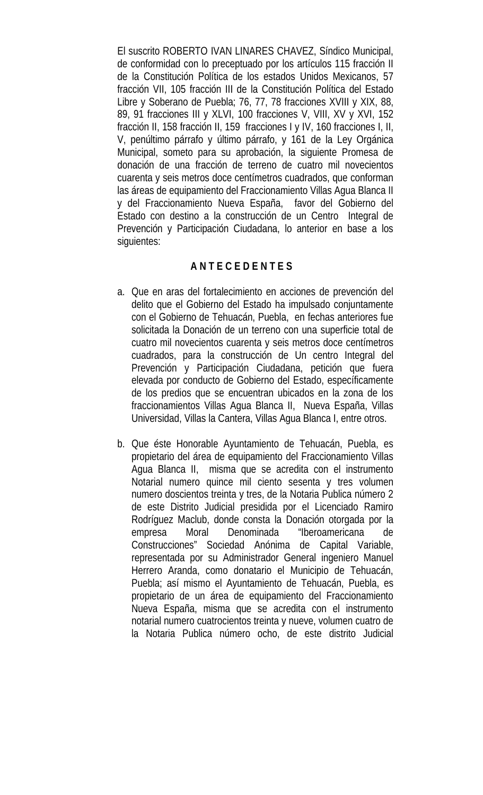El suscrito ROBERTO IVAN LINARES CHAVEZ, Síndico Municipal, de conformidad con lo preceptuado por los artículos 115 fracción II de la Constitución Política de los estados Unidos Mexicanos, 57 fracción VII, 105 fracción III de la Constitución Política del Estado Libre y Soberano de Puebla; 76, 77, 78 fracciones XVIII y XIX, 88, 89, 91 fracciones III y XLVI, 100 fracciones V, VIII, XV y XVI, 152 fracción II, 158 fracción II, 159 fracciones I y IV, 160 fracciones I, II, V, penúltimo párrafo y último párrafo, y 161 de la Ley Orgánica Municipal, someto para su aprobación, la siguiente Promesa de donación de una fracción de terreno de cuatro mil novecientos cuarenta y seis metros doce centímetros cuadrados, que conforman las áreas de equipamiento del Fraccionamiento Villas Agua Blanca II y del Fraccionamiento Nueva España, favor del Gobierno del Estado con destino a la construcción de un Centro Integral de Prevención y Participación Ciudadana, lo anterior en base a los siguientes:

# **A N T E C E D E N T E S**

- a. Que en aras del fortalecimiento en acciones de prevención del delito que el Gobierno del Estado ha impulsado conjuntamente con el Gobierno de Tehuacán, Puebla, en fechas anteriores fue solicitada la Donación de un terreno con una superficie total de cuatro mil novecientos cuarenta y seis metros doce centímetros cuadrados, para la construcción de Un centro Integral del Prevención y Participación Ciudadana, petición que fuera elevada por conducto de Gobierno del Estado, específicamente de los predios que se encuentran ubicados en la zona de los fraccionamientos Villas Agua Blanca II, Nueva España, Villas Universidad, Villas la Cantera, Villas Agua Blanca I, entre otros.
- b. Que éste Honorable Ayuntamiento de Tehuacán, Puebla, es propietario del área de equipamiento del Fraccionamiento Villas Agua Blanca II, misma que se acredita con el instrumento Notarial numero quince mil ciento sesenta y tres volumen numero doscientos treinta y tres, de la Notaria Publica número 2 de este Distrito Judicial presidida por el Licenciado Ramiro Rodríguez Maclub, donde consta la Donación otorgada por la empresa Moral Denominada "Iberoamericana de Construcciones" Sociedad Anónima de Capital Variable, representada por su Administrador General ingeniero Manuel Herrero Aranda, como donatario el Municipio de Tehuacán, Puebla; así mismo el Ayuntamiento de Tehuacán, Puebla, es propietario de un área de equipamiento del Fraccionamiento Nueva España, misma que se acredita con el instrumento notarial numero cuatrocientos treinta y nueve, volumen cuatro de la Notaria Publica número ocho, de este distrito Judicial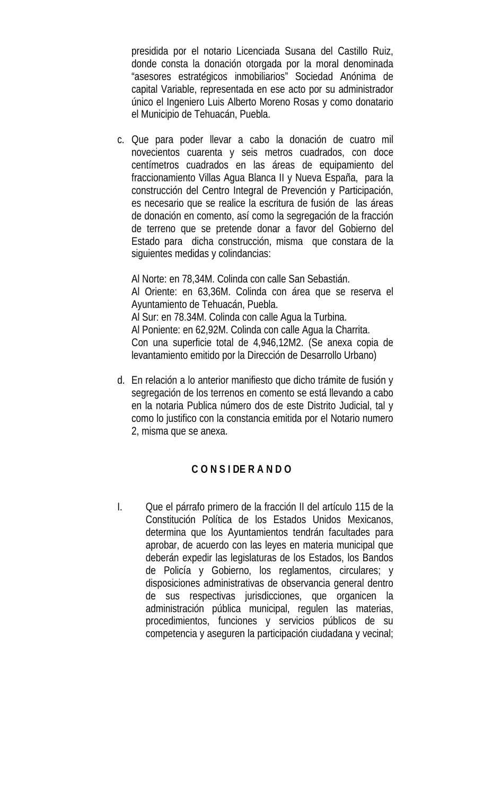presidida por el notario Licenciada Susana del Castillo Ruiz, donde consta la donación otorgada por la moral denominada "asesores estratégicos inmobiliarios" Sociedad Anónima de capital Variable, representada en ese acto por su administrador único el Ingeniero Luis Alberto Moreno Rosas y como donatario el Municipio de Tehuacán, Puebla.

c. Que para poder llevar a cabo la donación de cuatro mil novecientos cuarenta y seis metros cuadrados, con doce centímetros cuadrados en las áreas de equipamiento del fraccionamiento Villas Agua Blanca II y Nueva España, para la construcción del Centro Integral de Prevención y Participación, es necesario que se realice la escritura de fusión de las áreas de donación en comento, así como la segregación de la fracción de terreno que se pretende donar a favor del Gobierno del Estado para dicha construcción, misma que constara de la siguientes medidas y colindancias:

Al Norte: en 78,34M. Colinda con calle San Sebastián. Al Oriente: en 63,36M. Colinda con área que se reserva el Ayuntamiento de Tehuacán, Puebla. Al Sur: en 78.34M. Colinda con calle Agua la Turbina. Al Poniente: en 62,92M. Colinda con calle Agua la Charrita. Con una superficie total de 4,946,12M2. (Se anexa copia de levantamiento emitido por la Dirección de Desarrollo Urbano)

d. En relación a lo anterior manifiesto que dicho trámite de fusión y segregación de los terrenos en comento se está llevando a cabo en la notaria Publica número dos de este Distrito Judicial, tal y como lo justifico con la constancia emitida por el Notario numero 2, misma que se anexa.

# **C O N S I DE R A N D O**

I. Que el párrafo primero de la fracción II del artículo 115 de la Constitución Política de los Estados Unidos Mexicanos, determina que los Ayuntamientos tendrán facultades para aprobar, de acuerdo con las leyes en materia municipal que deberán expedir las legislaturas de los Estados, los Bandos de Policía y Gobierno, los reglamentos, circulares; y disposiciones administrativas de observancia general dentro de sus respectivas jurisdicciones, que organicen la administración pública municipal, regulen las materias, procedimientos, funciones y servicios públicos de su competencia y aseguren la participación ciudadana y vecinal;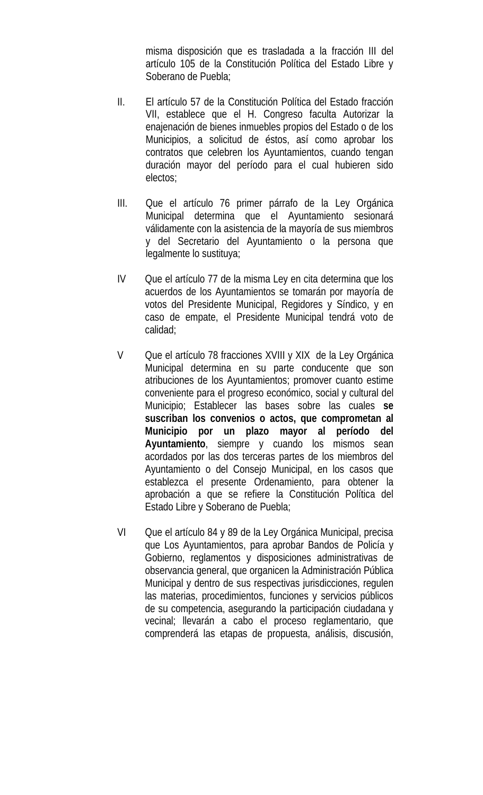misma disposición que es trasladada a la fracción III del artículo 105 de la Constitución Política del Estado Libre y Soberano de Puebla;

- II. El artículo 57 de la Constitución Política del Estado fracción VII, establece que el H. Congreso faculta Autorizar la enajenación de bienes inmuebles propios del Estado o de los Municipios, a solicitud de éstos, así como aprobar los contratos que celebren los Ayuntamientos, cuando tengan duración mayor del período para el cual hubieren sido electos;
- III. Que el artículo 76 primer párrafo de la Ley Orgánica Municipal determina que el Ayuntamiento sesionará válidamente con la asistencia de la mayoría de sus miembros y del Secretario del Ayuntamiento o la persona que legalmente lo sustituya;
- IV Que el artículo 77 de la misma Ley en cita determina que los acuerdos de los Ayuntamientos se tomarán por mayoría de votos del Presidente Municipal, Regidores y Síndico, y en caso de empate, el Presidente Municipal tendrá voto de calidad;
- V Que el artículo 78 fracciones XVIII y XIX de la Ley Orgánica Municipal determina en su parte conducente que son atribuciones de los Ayuntamientos; promover cuanto estime conveniente para el progreso económico, social y cultural del Municipio; Establecer las bases sobre las cuales **se suscriban los convenios o actos, que comprometan al Municipio por un plazo mayor al período del Ayuntamiento**, siempre y cuando los mismos sean acordados por las dos terceras partes de los miembros del Ayuntamiento o del Consejo Municipal, en los casos que establezca el presente Ordenamiento, para obtener la aprobación a que se refiere la Constitución Política del Estado Libre y Soberano de Puebla;
- VI Que el artículo 84 y 89 de la Ley Orgánica Municipal, precisa que Los Ayuntamientos, para aprobar Bandos de Policía y Gobierno, reglamentos y disposiciones administrativas de observancia general, que organicen la Administración Pública Municipal y dentro de sus respectivas jurisdicciones, regulen las materias, procedimientos, funciones y servicios públicos de su competencia, asegurando la participación ciudadana y vecinal; llevarán a cabo el proceso reglamentario, que comprenderá las etapas de propuesta, análisis, discusión,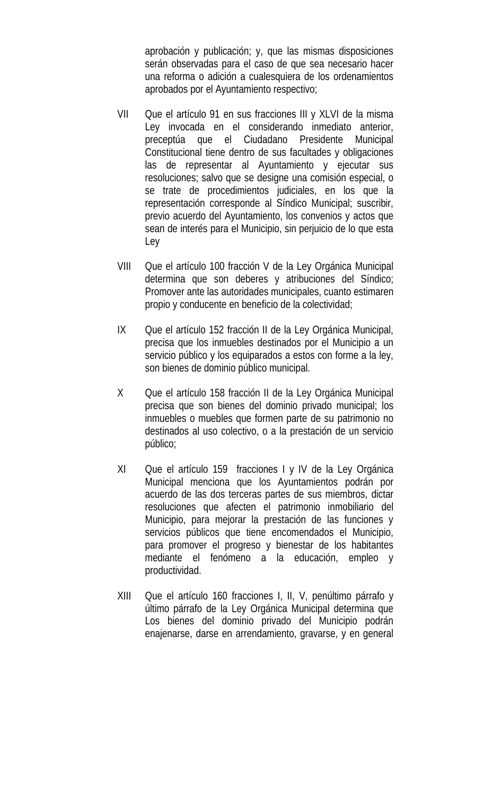aprobación y publicación; y, que las mismas disposiciones serán observadas para el caso de que sea necesario hacer una reforma o adición a cualesquiera de los ordenamientos aprobados por el Ayuntamiento respectivo;

- VII Que el artículo 91 en sus fracciones III y XLVI de la misma Ley invocada en el considerando inmediato anterior, preceptúa que el Ciudadano Presidente Municipal Constitucional tiene dentro de sus facultades y obligaciones las de representar al Ayuntamiento y ejecutar sus resoluciones; salvo que se designe una comisión especial, o se trate de procedimientos judiciales, en los que la representación corresponde al Síndico Municipal; suscribir, previo acuerdo del Ayuntamiento, los convenios y actos que sean de interés para el Municipio, sin perjuicio de lo que esta Ley
- VIII Que el artículo 100 fracción V de la Ley Orgánica Municipal determina que son deberes y atribuciones del Síndico; Promover ante las autoridades municipales, cuanto estimaren propio y conducente en beneficio de la colectividad;
- IX Que el artículo 152 fracción II de la Ley Orgánica Municipal, precisa que los inmuebles destinados por el Municipio a un servicio público y los equiparados a estos con forme a la ley, son bienes de dominio público municipal.
- X Que el artículo 158 fracción II de la Ley Orgánica Municipal precisa que son bienes del dominio privado municipal; los inmuebles o muebles que formen parte de su patrimonio no destinados al uso colectivo, o a la prestación de un servicio público;
- XI Que el artículo 159 fracciones I y IV de la Ley Orgánica Municipal menciona que los Ayuntamientos podrán por acuerdo de las dos terceras partes de sus miembros, dictar resoluciones que afecten el patrimonio inmobiliario del Municipio, para mejorar la prestación de las funciones y servicios públicos que tiene encomendados el Municipio, para promover el progreso y bienestar de los habitantes mediante el fenómeno a la educación, empleo y productividad.
- XIII Que el artículo 160 fracciones I, II, V, penúltimo párrafo y último párrafo de la Ley Orgánica Municipal determina que Los bienes del dominio privado del Municipio podrán enajenarse, darse en arrendamiento, gravarse, y en general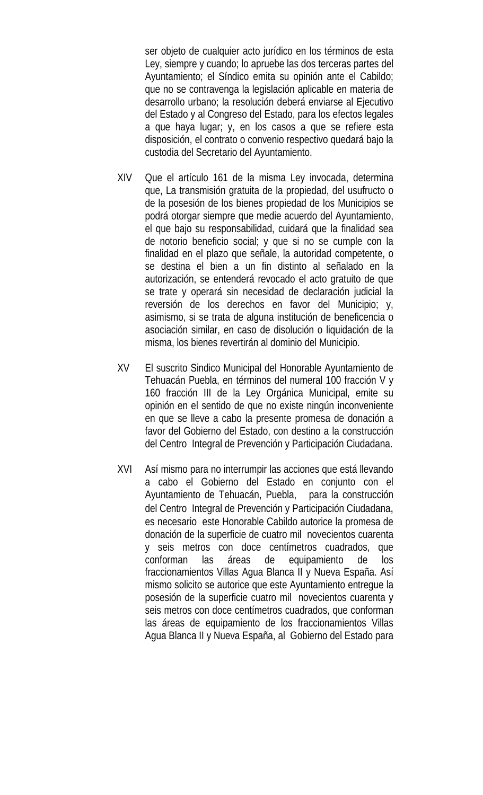ser objeto de cualquier acto jurídico en los términos de esta Ley, siempre y cuando; lo apruebe las dos terceras partes del Ayuntamiento; el Síndico emita su opinión ante el Cabildo; que no se contravenga la legislación aplicable en materia de desarrollo urbano; la resolución deberá enviarse al Ejecutivo del Estado y al Congreso del Estado, para los efectos legales a que haya lugar; y, en los casos a que se refiere esta disposición, el contrato o convenio respectivo quedará bajo la custodia del Secretario del Ayuntamiento.

- XIV Que el artículo 161 de la misma Ley invocada, determina que, La transmisión gratuita de la propiedad, del usufructo o de la posesión de los bienes propiedad de los Municipios se podrá otorgar siempre que medie acuerdo del Ayuntamiento, el que bajo su responsabilidad, cuidará que la finalidad sea de notorio beneficio social; y que si no se cumple con la finalidad en el plazo que señale, la autoridad competente, o se destina el bien a un fin distinto al señalado en la autorización, se entenderá revocado el acto gratuito de que se trate y operará sin necesidad de declaración judicial la reversión de los derechos en favor del Municipio; y, asimismo, si se trata de alguna institución de beneficencia o asociación similar, en caso de disolución o liquidación de la misma, los bienes revertirán al dominio del Municipio.
- XV El suscrito Sindico Municipal del Honorable Ayuntamiento de Tehuacán Puebla, en términos del numeral 100 fracción V y 160 fracción III de la Ley Orgánica Municipal, emite su opinión en el sentido de que no existe ningún inconveniente en que se lleve a cabo la presente promesa de donación a favor del Gobierno del Estado, con destino a la construcción del Centro Integral de Prevención y Participación Ciudadana.
- XVI Así mismo para no interrumpir las acciones que está llevando a cabo el Gobierno del Estado en conjunto con el Ayuntamiento de Tehuacán, Puebla, para la construcción del Centro Integral de Prevención y Participación Ciudadana, es necesario este Honorable Cabildo autorice la promesa de donación de la superficie de cuatro mil novecientos cuarenta y seis metros con doce centímetros cuadrados, que conforman las áreas de equipamiento de los fraccionamientos Villas Agua Blanca II y Nueva España. Así mismo solicito se autorice que este Ayuntamiento entregue la posesión de la superficie cuatro mil novecientos cuarenta y seis metros con doce centímetros cuadrados, que conforman las áreas de equipamiento de los fraccionamientos Villas Agua Blanca II y Nueva España, al Gobierno del Estado para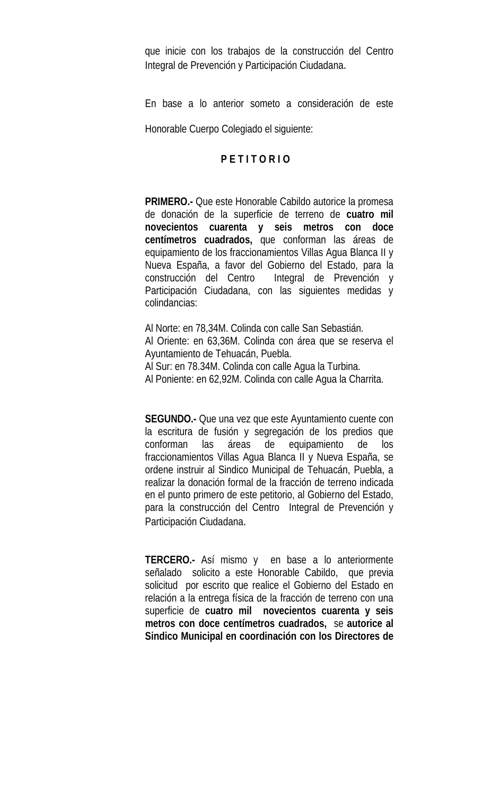que inicie con los trabajos de la construcción del Centro Integral de Prevención y Participación Ciudadana.

En base a lo anterior someto a consideración de este

Honorable Cuerpo Colegiado el siguiente:

# **P E T I T O R I O**

**PRIMERO.-** Que este Honorable Cabildo autorice la promesa de donación de la superficie de terreno de **cuatro mil novecientos cuarenta y seis metros con doce centímetros cuadrados,** que conforman las áreas de equipamiento de los fraccionamientos Villas Agua Blanca II y Nueva España, a favor del Gobierno del Estado, para la construcción del Centro Integral de Prevención y Participación Ciudadana, con las siguientes medidas y colindancias:

Al Norte: en 78,34M. Colinda con calle San Sebastián. Al Oriente: en 63,36M. Colinda con área que se reserva el Ayuntamiento de Tehuacán, Puebla. Al Sur: en 78.34M. Colinda con calle Agua la Turbina. Al Poniente: en 62,92M. Colinda con calle Agua la Charrita.

**SEGUNDO.-** Que una vez que este Ayuntamiento cuente con la escritura de fusión y segregación de los predios que conforman las áreas de equipamiento de los fraccionamientos Villas Agua Blanca II y Nueva España, se ordene instruir al Sindico Municipal de Tehuacán, Puebla, a realizar la donación formal de la fracción de terreno indicada en el punto primero de este petitorio, al Gobierno del Estado, para la construcción del Centro Integral de Prevención y Participación Ciudadana.

**TERCERO.-** Así mismo y en base a lo anteriormente señalado solicito a este Honorable Cabildo, que previa solicitud por escrito que realice el Gobierno del Estado en relación a la entrega física de la fracción de terreno con una superficie de **cuatro mil novecientos cuarenta y seis metros con doce centímetros cuadrados,** se **autorice al Sindico Municipal en coordinación con los Directores de**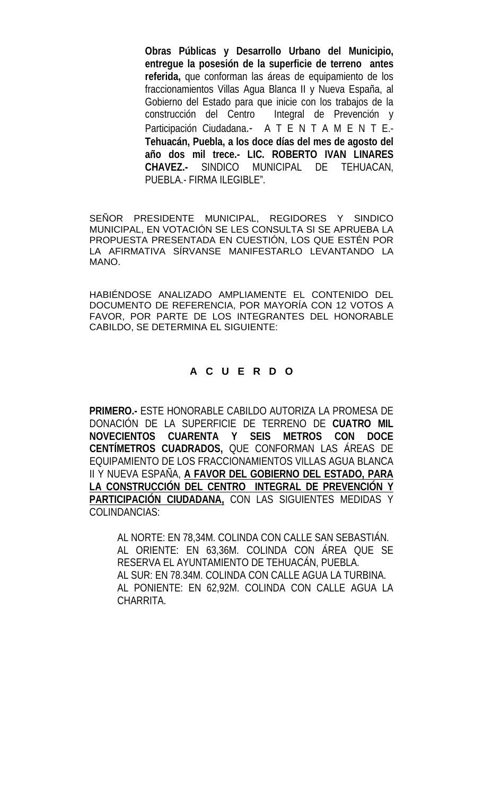**Obras Públicas y Desarrollo Urbano del Municipio, entregue la posesión de la superficie de terreno antes referida,** que conforman las áreas de equipamiento de los fraccionamientos Villas Agua Blanca II y Nueva España, al Gobierno del Estado para que inicie con los trabajos de la construcción del Centro Integral de Prevención y Participación Ciudadana.- A T E N T A M E N T E.-**Tehuacán, Puebla, a los doce días del mes de agosto del año dos mil trece.- LIC. ROBERTO IVAN LINARES CHAVEZ.-** SINDICO MUNICIPAL DE TEHUACAN, PUEBLA.- FIRMA ILEGIBLE".

SEÑOR PRESIDENTE MUNICIPAL, REGIDORES Y SINDICO MUNICIPAL, EN VOTACIÓN SE LES CONSULTA SI SE APRUEBA LA PROPUESTA PRESENTADA EN CUESTIÓN, LOS QUE ESTÉN POR LA AFIRMATIVA SÍRVANSE MANIFESTARLO LEVANTANDO LA MANO.

HABIÉNDOSE ANALIZADO AMPLIAMENTE EL CONTENIDO DEL DOCUMENTO DE REFERENCIA, POR MAYORÍA CON 12 VOTOS A FAVOR, POR PARTE DE LOS INTEGRANTES DEL HONORABLE CABILDO, SE DETERMINA EL SIGUIENTE:

# **A C U E R D O**

**PRIMERO.-** ESTE HONORABLE CABILDO AUTORIZA LA PROMESA DE DONACIÓN DE LA SUPERFICIE DE TERRENO DE **CUATRO MIL NOVECIENTOS CUARENTA Y SEIS METROS CON DOCE CENTÍMETROS CUADRADOS,** QUE CONFORMAN LAS ÁREAS DE EQUIPAMIENTO DE LOS FRACCIONAMIENTOS VILLAS AGUA BLANCA II Y NUEVA ESPAÑA, **A FAVOR DEL GOBIERNO DEL ESTADO, PARA LA CONSTRUCCIÓN DEL CENTRO INTEGRAL DE PREVENCIÓN Y PARTICIPACIÓN CIUDADANA,** CON LAS SIGUIENTES MEDIDAS Y COLINDANCIAS:

AL NORTE: EN 78,34M. COLINDA CON CALLE SAN SEBASTIÁN. AL ORIENTE: EN 63,36M. COLINDA CON ÁREA QUE SE RESERVA EL AYUNTAMIENTO DE TEHUACÁN, PUEBLA. AL SUR: EN 78.34M. COLINDA CON CALLE AGUA LA TURBINA. AL PONIENTE: EN 62,92M. COLINDA CON CALLE AGUA LA CHARRITA.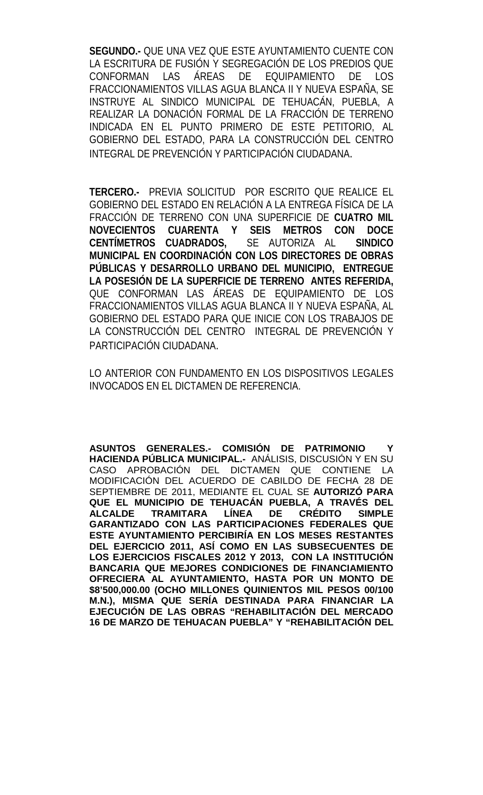**SEGUNDO.-** QUE UNA VEZ QUE ESTE AYUNTAMIENTO CUENTE CON LA ESCRITURA DE FUSIÓN Y SEGREGACIÓN DE LOS PREDIOS QUE CONFORMAN LAS ÁREAS DE EQUIPAMIENTO DE LOS FRACCIONAMIENTOS VILLAS AGUA BLANCA II Y NUEVA ESPAÑA, SE INSTRUYE AL SINDICO MUNICIPAL DE TEHUACÁN, PUEBLA, A REALIZAR LA DONACIÓN FORMAL DE LA FRACCIÓN DE TERRENO INDICADA EN EL PUNTO PRIMERO DE ESTE PETITORIO, AL GOBIERNO DEL ESTADO, PARA LA CONSTRUCCIÓN DEL CENTRO INTEGRAL DE PREVENCIÓN Y PARTICIPACIÓN CIUDADANA.

**TERCERO.-** PREVIA SOLICITUD POR ESCRITO QUE REALICE EL GOBIERNO DEL ESTADO EN RELACIÓN A LA ENTREGA FÍSICA DE LA FRACCIÓN DE TERRENO CON UNA SUPERFICIE DE **CUATRO MIL NOVECIENTOS CUARENTA Y SEIS METROS CON DOCE CENTÍMETROS CUADRADOS,** SE AUTORIZA AL **SINDICO MUNICIPAL EN COORDINACIÓN CON LOS DIRECTORES DE OBRAS PÚBLICAS Y DESARROLLO URBANO DEL MUNICIPIO, ENTREGUE LA POSESIÓN DE LA SUPERFICIE DE TERRENO ANTES REFERIDA,**  QUE CONFORMAN LAS ÁREAS DE EQUIPAMIENTO DE LOS FRACCIONAMIENTOS VILLAS AGUA BLANCA II Y NUEVA ESPAÑA, AL GOBIERNO DEL ESTADO PARA QUE INICIE CON LOS TRABAJOS DE LA CONSTRUCCIÓN DEL CENTRO INTEGRAL DE PREVENCIÓN Y PARTICIPACIÓN CIUDADANA.

LO ANTERIOR CON FUNDAMENTO EN LOS DISPOSITIVOS LEGALES INVOCADOS EN EL DICTAMEN DE REFERENCIA.

**ASUNTOS GENERALES.- COMISIÓN DE PATRIMONIO Y HACIENDA PÚBLICA MUNICIPAL.-** ANÁLISIS, DISCUSIÓN Y EN SU CASO APROBACIÓN DEL DICTAMEN QUE CONTIENE LA MODIFICACIÓN DEL ACUERDO DE CABILDO DE FECHA 28 DE SEPTIEMBRE DE 2011, MEDIANTE EL CUAL SE **AUTORIZÓ PARA QUE EL MUNICIPIO DE TEHUACÁN PUEBLA, A TRAVÉS DEL ALCALDE TRAMITARA LÍNEA DE CRÉDITO SIMPLE GARANTIZADO CON LAS PARTICIPACIONES FEDERALES QUE ESTE AYUNTAMIENTO PERCIBIRÍA EN LOS MESES RESTANTES DEL EJERCICIO 2011, ASÍ COMO EN LAS SUBSECUENTES DE LOS EJERCICIOS FISCALES 2012 Y 2013, CON LA INSTITUCIÓN BANCARIA QUE MEJORES CONDICIONES DE FINANCIAMIENTO OFRECIERA AL AYUNTAMIENTO, HASTA POR UN MONTO DE \$8'500,000.00 (OCHO MILLONES QUINIENTOS MIL PESOS 00/100 M.N.), MISMA QUE SERÍA DESTINADA PARA FINANCIAR LA EJECUCIÓN DE LAS OBRAS "REHABILITACIÓN DEL MERCADO 16 DE MARZO DE TEHUACAN PUEBLA" Y "REHABILITACIÓN DEL**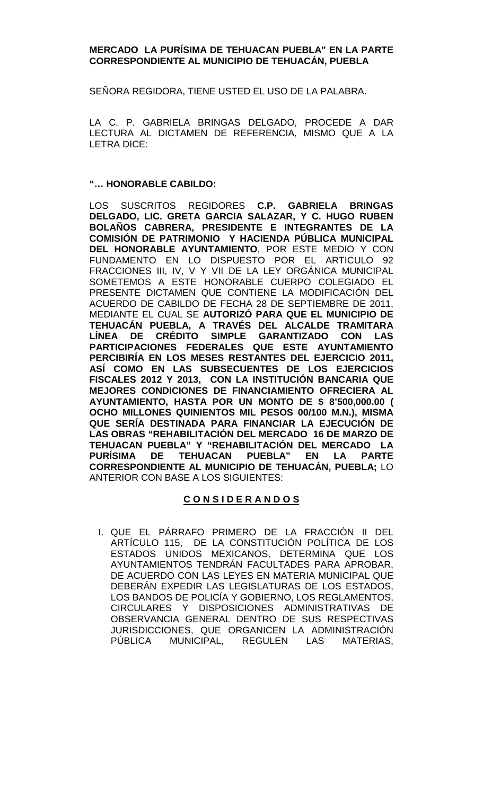### **MERCADO LA PURÍSIMA DE TEHUACAN PUEBLA" EN LA PARTE CORRESPONDIENTE AL MUNICIPIO DE TEHUACÁN, PUEBLA**

SEÑORA REGIDORA, TIENE USTED EL USO DE LA PALABRA.

LA C. P. GABRIELA BRINGAS DELGADO, PROCEDE A DAR LECTURA AL DICTAMEN DE REFERENCIA, MISMO QUE A LA LETRA DICE:

### **"… HONORABLE CABILDO:**

LOS SUSCRITOS REGIDORES **C.P. GABRIELA BRINGAS DELGADO, LIC. GRETA GARCIA SALAZAR, Y C. HUGO RUBEN BOLAÑOS CABRERA, PRESIDENTE E INTEGRANTES DE LA COMISIÓN DE PATRIMONIO Y HACIENDA PÚBLICA MUNICIPAL DEL HONORABLE AYUNTAMIENTO**, POR ESTE MEDIO Y CON FUNDAMENTO EN LO DISPUESTO POR EL ARTICULO 92 FRACCIONES III, IV, V Y VII DE LA LEY ORGÁNICA MUNICIPAL SOMETEMOS A ESTE HONORABLE CUERPO COLEGIADO EL PRESENTE DICTAMEN QUE CONTIENE LA MODIFICACIÓN DEL ACUERDO DE CABILDO DE FECHA 28 DE SEPTIEMBRE DE 2011, MEDIANTE EL CUAL SE **AUTORIZÓ PARA QUE EL MUNICIPIO DE TEHUACÁN PUEBLA, A TRAVÉS DEL ALCALDE TRAMITARA LÍNEA DE CRÉDITO SIMPLE GARANTIZADO CON LAS PARTICIPACIONES FEDERALES QUE ESTE AYUNTAMIENTO PERCIBIRÍA EN LOS MESES RESTANTES DEL EJERCICIO 2011, ASÍ COMO EN LAS SUBSECUENTES DE LOS EJERCICIOS FISCALES 2012 Y 2013, CON LA INSTITUCIÓN BANCARIA QUE MEJORES CONDICIONES DE FINANCIAMIENTO OFRECIERA AL AYUNTAMIENTO, HASTA POR UN MONTO DE \$ 8'500,000.00 ( OCHO MILLONES QUINIENTOS MIL PESOS 00/100 M.N.), MISMA QUE SERÍA DESTINADA PARA FINANCIAR LA EJECUCIÓN DE LAS OBRAS "REHABILITACIÓN DEL MERCADO 16 DE MARZO DE TEHUACAN PUEBLA" Y "REHABILITACIÓN DEL MERCADO LA PURÍSIMA DE TEHUACAN PUEBLA" EN LA PARTE CORRESPONDIENTE AL MUNICIPIO DE TEHUACÁN, PUEBLA;** LO ANTERIOR CON BASE A LOS SIGUIENTES:

## **C O N S I D E R A N D O S**

I. QUE EL PÁRRAFO PRIMERO DE LA FRACCIÓN II DEL ARTÍCULO 115, DE LA CONSTITUCIÓN POLÍTICA DE LOS ESTADOS UNIDOS MEXICANOS, DETERMINA QUE LOS AYUNTAMIENTOS TENDRÁN FACULTADES PARA APROBAR, DE ACUERDO CON LAS LEYES EN MATERIA MUNICIPAL QUE DEBERÁN EXPEDIR LAS LEGISLATURAS DE LOS ESTADOS, LOS BANDOS DE POLICÍA Y GOBIERNO, LOS REGLAMENTOS, CIRCULARES Y DISPOSICIONES ADMINISTRATIVAS DE OBSERVANCIA GENERAL DENTRO DE SUS RESPECTIVAS JURISDICCIONES, QUE ORGANICEN LA ADMINISTRACIÓN PÚBLICA MUNICIPAL, REGULEN LAS MATERIAS,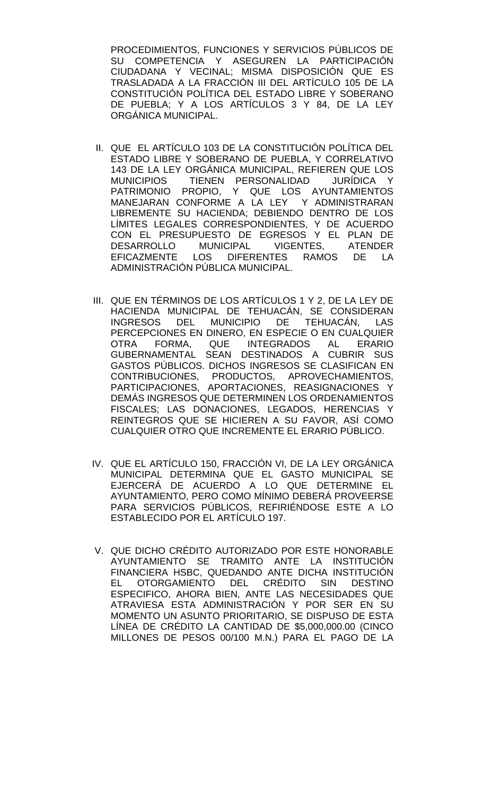PROCEDIMIENTOS, FUNCIONES Y SERVICIOS PÚBLICOS DE SU COMPETENCIA Y ASEGUREN LA PARTICIPACIÓN CIUDADANA Y VECINAL; MISMA DISPOSICIÓN QUE ES TRASLADADA A LA FRACCIÓN III DEL ARTÍCULO 105 DE LA CONSTITUCIÓN POLÍTICA DEL ESTADO LIBRE Y SOBERANO DE PUEBLA; Y A LOS ARTÍCULOS 3 Y 84, DE LA LEY ORGÁNICA MUNICIPAL.

- II. QUE EL ARTÍCULO 103 DE LA CONSTITUCIÓN POLÍTICA DEL ESTADO LIBRE Y SOBERANO DE PUEBLA, Y CORRELATIVO 143 DE LA LEY ORGÁNICA MUNICIPAL, REFIEREN QUE LOS MUNICIPIOS TIENEN PERSONALIDAD JURÍDICA Y PATRIMONIO PROPIO, Y QUE LOS AYUNTAMIENTOS MANEJARAN CONFORME A LA LEY Y ADMINISTRARAN LIBREMENTE SU HACIENDA; DEBIENDO DENTRO DE LOS LÍMITES LEGALES CORRESPONDIENTES, Y DE ACUERDO CON EL PRESUPUESTO DE EGRESOS Y EL PLAN DE DESARROLLO MUNICIPAL VIGENTES, ATENDER EFICAZMENTE LOS DIFERENTES RAMOS DE LA ADMINISTRACIÓN PÚBLICA MUNICIPAL.
- III. QUE EN TÉRMINOS DE LOS ARTÍCULOS 1 Y 2, DE LA LEY DE HACIENDA MUNICIPAL DE TEHUACÁN, SE CONSIDERAN INGRESOS DEL MUNICIPIO DE TEHUACÁN, LAS PERCEPCIONES EN DINERO, EN ESPECIE O EN CUALQUIER OTRA FORMA, QUE INTEGRADOS AL ERARIO GUBERNAMENTAL SEAN DESTINADOS A CUBRIR SUS GASTOS PÚBLICOS. DICHOS INGRESOS SE CLASIFICAN EN CONTRIBUCIONES, PRODUCTOS, APROVECHAMIENTOS, PARTICIPACIONES, APORTACIONES, REASIGNACIONES Y DEMÁS INGRESOS QUE DETERMINEN LOS ORDENAMIENTOS FISCALES; LAS DONACIONES, LEGADOS, HERENCIAS Y REINTEGROS QUE SE HICIEREN A SU FAVOR, ASÍ COMO CUALQUIER OTRO QUE INCREMENTE EL ERARIO PÚBLICO.
- IV. QUE EL ARTÍCULO 150, FRACCIÓN VI, DE LA LEY ORGÁNICA MUNICIPAL DETERMINA QUE EL GASTO MUNICIPAL SE EJERCERÁ DE ACUERDO A LO QUE DETERMINE EL AYUNTAMIENTO, PERO COMO MÍNIMO DEBERÁ PROVEERSE PARA SERVICIOS PÚBLICOS, REFIRIÉNDOSE ESTE A LO ESTABLECIDO POR EL ARTÍCULO 197.
- V. QUE DICHO CRÉDITO AUTORIZADO POR ESTE HONORABLE AYUNTAMIENTO SE TRAMITO ANTE LA INSTITUCIÓN FINANCIERA HSBC, QUEDANDO ANTE DICHA INSTITUCIÓN<br>EL OTORGAMIENTO DEL CRÉDITO SIN DESTINO EL OTORGAMIENTO DEL CRÉDITO SIN ESPECIFICO, AHORA BIEN, ANTE LAS NECESIDADES QUE ATRAVIESA ESTA ADMINISTRACIÓN Y POR SER EN SU MOMENTO UN ASUNTO PRIORITARIO, SE DISPUSO DE ESTA LÍNEA DE CRÉDITO LA CANTIDAD DE \$5,000,000.00 (CINCO MILLONES DE PESOS 00/100 M.N.) PARA EL PAGO DE LA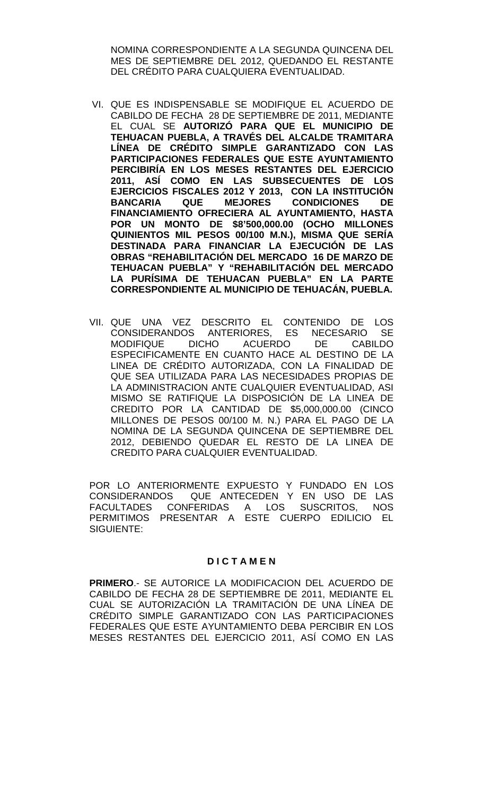NOMINA CORRESPONDIENTE A LA SEGUNDA QUINCENA DEL MES DE SEPTIEMBRE DEL 2012, QUEDANDO EL RESTANTE DEL CRÉDITO PARA CUALQUIERA EVENTUALIDAD.

- VI. QUE ES INDISPENSABLE SE MODIFIQUE EL ACUERDO DE CABILDO DE FECHA 28 DE SEPTIEMBRE DE 2011, MEDIANTE EL CUAL SE **AUTORIZÓ PARA QUE EL MUNICIPIO DE TEHUACAN PUEBLA, A TRAVÉS DEL ALCALDE TRAMITARA LÍNEA DE CRÉDITO SIMPLE GARANTIZADO CON LAS PARTICIPACIONES FEDERALES QUE ESTE AYUNTAMIENTO PERCIBIRÍA EN LOS MESES RESTANTES DEL EJERCICIO 2011, ASÍ COMO EN LAS SUBSECUENTES DE LOS EJERCICIOS FISCALES 2012 Y 2013, CON LA INSTITUCIÓN QUE MEJORES FINANCIAMIENTO OFRECIERA AL AYUNTAMIENTO, HASTA POR UN MONTO DE \$8'500,000.00 (OCHO MILLONES QUINIENTOS MIL PESOS 00/100 M.N.), MISMA QUE SERÍA DESTINADA PARA FINANCIAR LA EJECUCIÓN DE LAS OBRAS "REHABILITACIÓN DEL MERCADO 16 DE MARZO DE TEHUACAN PUEBLA" Y "REHABILITACIÓN DEL MERCADO LA PURÍSIMA DE TEHUACAN PUEBLA" EN LA PARTE CORRESPONDIENTE AL MUNICIPIO DE TEHUACÁN, PUEBLA.**
- VII. QUE UNA VEZ DESCRITO EL CONTENIDO DE LOS CONSIDERANDOS ANTERIORES, ES NECESARIO SE MODIFIQUE DICHO ACUERDO DE CABILDO ESPECIFICAMENTE EN CUANTO HACE AL DESTINO DE LA LINEA DE CRÉDITO AUTORIZADA, CON LA FINALIDAD DE QUE SEA UTILIZADA PARA LAS NECESIDADES PROPIAS DE LA ADMINISTRACION ANTE CUALQUIER EVENTUALIDAD, ASI MISMO SE RATIFIQUE LA DISPOSICIÓN DE LA LINEA DE CREDITO POR LA CANTIDAD DE \$5,000,000.00 (CINCO MILLONES DE PESOS 00/100 M. N.) PARA EL PAGO DE LA NOMINA DE LA SEGUNDA QUINCENA DE SEPTIEMBRE DEL 2012, DEBIENDO QUEDAR EL RESTO DE LA LINEA DE CREDITO PARA CUALQUIER EVENTUALIDAD.

POR LO ANTERIORMENTE EXPUESTO Y FUNDADO EN LOS CONSIDERANDOS QUE ANTECEDEN Y EN USO DE LAS<br>FACULTADES CONFERIDAS A LOS SUSCRITOS. NOS FACULTADES CONFERIDAS A LOS SUSCRITOS, PERMITIMOS PRESENTAR A ESTE CUERPO EDILICIO EL SIGUIENTE:

### **D I C T A M E N**

**PRIMERO**.- SE AUTORICE LA MODIFICACION DEL ACUERDO DE CABILDO DE FECHA 28 DE SEPTIEMBRE DE 2011, MEDIANTE EL CUAL SE AUTORIZACIÓN LA TRAMITACIÓN DE UNA LÍNEA DE CRÉDITO SIMPLE GARANTIZADO CON LAS PARTICIPACIONES FEDERALES QUE ESTE AYUNTAMIENTO DEBA PERCIBIR EN LOS MESES RESTANTES DEL EJERCICIO 2011, ASÍ COMO EN LAS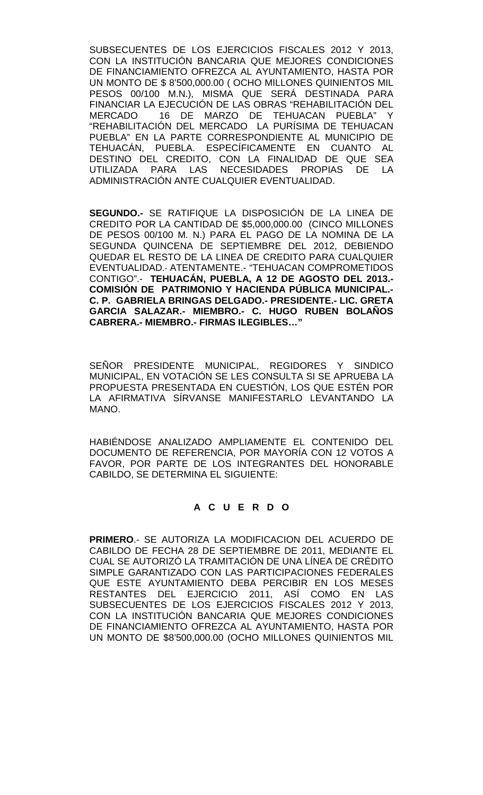SUBSECUENTES DE LOS EJERCICIOS FISCALES 2012 Y 2013, CON LA INSTITUCIÓN BANCARIA QUE MEJORES CONDICIONES DE FINANCIAMIENTO OFREZCA AL AYUNTAMIENTO, HASTA POR UN MONTO DE \$ 8'500,000.00 ( OCHO MILLONES QUINIENTOS MIL PESOS 00/100 M.N.), MISMA QUE SERÁ DESTINADA PARA FINANCIAR LA EJECUCIÓN DE LAS OBRAS "REHABILITACIÓN DEL MERCADO 16 DE MARZO DE TEHUACAN PUEBLA" Y "REHABILITACIÓN DEL MERCADO LA PURÍSIMA DE TEHUACAN PUEBLA" EN LA PARTE CORRESPONDIENTE AL MUNICIPIO DE TEHUACÁN, PUEBLA. ESPECÍFICAMENTE EN CUANTO AL DESTINO DEL CREDITO, CON LA FINALIDAD DE QUE SEA UTILIZADA PARA LAS NECESIDADES PROPIAS DE LA ADMINISTRACIÓN ANTE CUALQUIER EVENTUALIDAD.

**SEGUNDO.-** SE RATIFIQUE LA DISPOSICIÓN DE LA LINEA DE CREDITO POR LA CANTIDAD DE \$5,000,000.00 (CINCO MILLONES DE PESOS 00/100 M. N.) PARA EL PAGO DE LA NOMINA DE LA SEGUNDA QUINCENA DE SEPTIEMBRE DEL 2012, DEBIENDO QUEDAR EL RESTO DE LA LINEA DE CREDITO PARA CUALQUIER EVENTUALIDAD.- ATENTAMENTE.- "TEHUACAN COMPROMETIDOS CONTIGO".- **TEHUACÁN, PUEBLA, A 12 DE AGOSTO DEL 2013.- COMISIÓN DE PATRIMONIO Y HACIENDA PÚBLICA MUNICIPAL.- C. P. GABRIELA BRINGAS DELGADO.- PRESIDENTE.- LIC. GRETA GARCIA SALAZAR.- MIEMBRO.- C. HUGO RUBEN BOLAÑOS CABRERA.- MIEMBRO.- FIRMAS ILEGIBLES…"**

SEÑOR PRESIDENTE MUNICIPAL, REGIDORES Y SINDICO MUNICIPAL, EN VOTACIÓN SE LES CONSULTA SI SE APRUEBA LA PROPUESTA PRESENTADA EN CUESTIÓN, LOS QUE ESTÉN POR LA AFIRMATIVA SÍRVANSE MANIFESTARLO LEVANTANDO LA MANO.

HABIÉNDOSE ANALIZADO AMPLIAMENTE EL CONTENIDO DEL DOCUMENTO DE REFERENCIA, POR MAYORÍA CON 12 VOTOS A FAVOR, POR PARTE DE LOS INTEGRANTES DEL HONORABLE CABILDO, SE DETERMINA EL SIGUIENTE:

# **A C U E R D O**

**PRIMERO**.- SE AUTORIZA LA MODIFICACION DEL ACUERDO DE CABILDO DE FECHA 28 DE SEPTIEMBRE DE 2011, MEDIANTE EL CUAL SE AUTORIZÓ LA TRAMITACIÓN DE UNA LÍNEA DE CRÉDITO SIMPLE GARANTIZADO CON LAS PARTICIPACIONES FEDERALES QUE ESTE AYUNTAMIENTO DEBA PERCIBIR EN LOS MESES RESTANTES DEL EJERCICIO 2011, ASÍ COMO EN LAS SUBSECUENTES DE LOS EJERCICIOS FISCALES 2012 Y 2013, CON LA INSTITUCIÓN BANCARIA QUE MEJORES CONDICIONES DE FINANCIAMIENTO OFREZCA AL AYUNTAMIENTO, HASTA POR UN MONTO DE \$8'500,000.00 (OCHO MILLONES QUINIENTOS MIL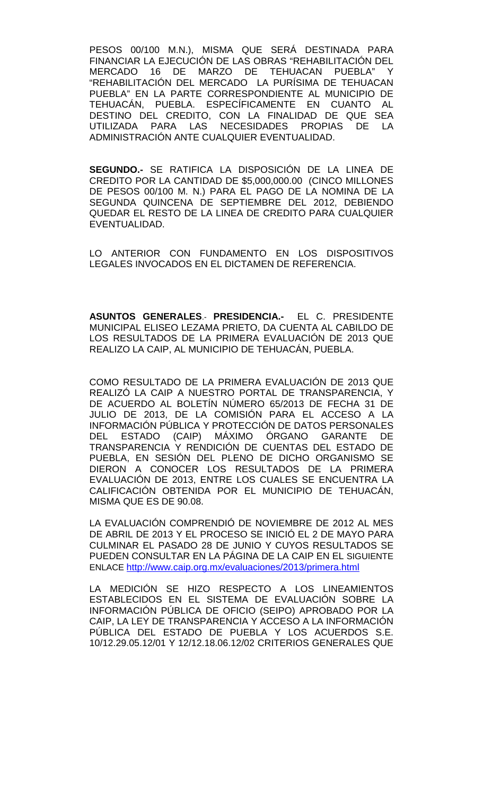PESOS 00/100 M.N.), MISMA QUE SERÁ DESTINADA PARA FINANCIAR LA EJECUCIÓN DE LAS OBRAS "REHABILITACIÓN DEL MERCADO 16 DE MARZO DE TEHUACAN PUEBLA" Y "REHABILITACIÓN DEL MERCADO LA PURÍSIMA DE TEHUACAN PUEBLA" EN LA PARTE CORRESPONDIENTE AL MUNICIPIO DE TEHUACÁN, PUEBLA. ESPECÍFICAMENTE EN CUANTO AL DESTINO DEL CREDITO, CON LA FINALIDAD DE QUE SEA UTILIZADA PARA LAS NECESIDADES PROPIAS DE LA ADMINISTRACIÓN ANTE CUALQUIER EVENTUALIDAD.

**SEGUNDO.-** SE RATIFICA LA DISPOSICIÓN DE LA LINEA DE CREDITO POR LA CANTIDAD DE \$5,000,000.00 (CINCO MILLONES DE PESOS 00/100 M. N.) PARA EL PAGO DE LA NOMINA DE LA SEGUNDA QUINCENA DE SEPTIEMBRE DEL 2012, DEBIENDO QUEDAR EL RESTO DE LA LINEA DE CREDITO PARA CUALQUIER EVENTUALIDAD.

LO ANTERIOR CON FUNDAMENTO EN LOS DISPOSITIVOS LEGALES INVOCADOS EN EL DICTAMEN DE REFERENCIA.

**ASUNTOS GENERALES**.- **PRESIDENCIA.-** EL C. PRESIDENTE MUNICIPAL ELISEO LEZAMA PRIETO, DA CUENTA AL CABILDO DE LOS RESULTADOS DE LA PRIMERA EVALUACIÓN DE 2013 QUE REALIZO LA CAIP, AL MUNICIPIO DE TEHUACÁN, PUEBLA.

COMO RESULTADO DE LA PRIMERA EVALUACIÓN DE 2013 QUE REALIZÓ LA CAIP A NUESTRO PORTAL DE TRANSPARENCIA, Y DE ACUERDO AL BOLETÍN NÚMERO 65/2013 DE FECHA 31 DE JULIO DE 2013, DE LA COMISIÓN PARA EL ACCESO A LA INFORMACIÓN PÚBLICA Y PROTECCIÓN DE DATOS PERSONALES DEL ESTADO (CAIP) MÁXIMO ÓRGANO GARANTE DE TRANSPARENCIA Y RENDICIÓN DE CUENTAS DEL ESTADO DE PUEBLA, EN SESIÓN DEL PLENO DE DICHO ORGANISMO SE DIERON A CONOCER LOS RESULTADOS DE LA PRIMERA EVALUACIÓN DE 2013, ENTRE LOS CUALES SE ENCUENTRA LA CALIFICACIÓN OBTENIDA POR EL MUNICIPIO DE TEHUACÁN, MISMA QUE ES DE 90.08.

LA EVALUACIÓN COMPRENDIÓ DE NOVIEMBRE DE 2012 AL MES DE ABRIL DE 2013 Y EL PROCESO SE INICIÓ EL 2 DE MAYO PARA CULMINAR EL PASADO 28 DE JUNIO Y CUYOS RESULTADOS SE PUEDEN CONSULTAR EN LA PÁGINA DE LA CAIP EN EL SIGUIENTE ENLACE<http://www.caip.org.mx/evaluaciones/2013/primera.html>

LA MEDICIÓN SE HIZO RESPECTO A LOS LINEAMIENTOS ESTABLECIDOS EN EL SISTEMA DE EVALUACIÓN SOBRE LA INFORMACIÓN PÚBLICA DE OFICIO (SEIPO) APROBADO POR LA CAIP, LA LEY DE TRANSPARENCIA Y ACCESO A LA INFORMACIÓN PÚBLICA DEL ESTADO DE PUEBLA Y LOS ACUERDOS S.E. 10/12.29.05.12/01 Y 12/12.18.06.12/02 CRITERIOS GENERALES QUE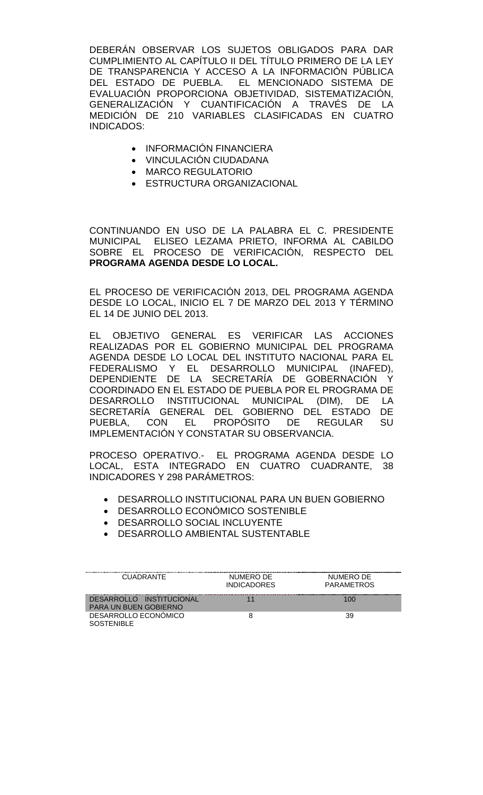DEBERÁN OBSERVAR LOS SUJETOS OBLIGADOS PARA DAR CUMPLIMIENTO AL CAPÍTULO II DEL TÍTULO PRIMERO DE LA LEY DE TRANSPARENCIA Y ACCESO A LA INFORMACIÓN PÚBLICA DEL ESTADO DE PUEBLA. EL MENCIONADO SISTEMA DE EVALUACIÓN PROPORCIONA OBJETIVIDAD, SISTEMATIZACIÓN, GENERALIZACIÓN Y CUANTIFICACIÓN A TRAVÉS DE LA MEDICIÓN DE 210 VARIABLES CLASIFICADAS EN CUATRO INDICADOS:

- INFORMACIÓN FINANCIERA
- VINCULACIÓN CIUDADANA
- MARCO REGULATORIO
- ESTRUCTURA ORGANIZACIONAL

CONTINUANDO EN USO DE LA PALABRA EL C. PRESIDENTE MUNICIPAL ELISEO LEZAMA PRIETO, INFORMA AL CABILDO SOBRE EL PROCESO DE VERIFICACIÓN, RESPECTO DEL **PROGRAMA AGENDA DESDE LO LOCAL.**

EL PROCESO DE VERIFICACIÓN 2013, DEL PROGRAMA AGENDA DESDE LO LOCAL, INICIO EL 7 DE MARZO DEL 2013 Y TÉRMINO EL 14 DE JUNIO DEL 2013.

EL OBJETIVO GENERAL ES VERIFICAR LAS ACCIONES REALIZADAS POR EL GOBIERNO MUNICIPAL DEL PROGRAMA AGENDA DESDE LO LOCAL DEL INSTITUTO NACIONAL PARA EL FEDERALISMO Y EL DESARROLLO MUNICIPAL (INAFED), DEPENDIENTE DE LA SECRETARÍA DE GOBERNACIÓN Y COORDINADO EN EL ESTADO DE PUEBLA POR EL PROGRAMA DE DESARROLLO INSTITUCIONAL MUNICIPAL (DIM), DE LA SECRETARÍA GENERAL DEL GOBIERNO DEL ESTADO DE PUEBLA, CON EL PROPÓSITO DE REGULAR SU IMPLEMENTACIÓN Y CONSTATAR SU OBSERVANCIA.

PROCESO OPERATIVO.- EL PROGRAMA AGENDA DESDE LO LOCAL, ESTA INTEGRADO EN CUATRO CUADRANTE, 38 INDICADORES Y 298 PARÁMETROS:

- DESARROLLO INSTITUCIONAL PARA UN BUEN GOBIERNO
- DESARROLLO ECONÓMICO SOSTENIBLE
- DESARROLLO SOCIAL INCLUYENTE
- DESARROLLO AMBIENTAL SUSTENTABLE

| <b>CUADRANTE</b>                                         | NUMERO DE<br><b>INDICADORES</b> | NUMERO DE<br><b>PARAMETROS</b> |
|----------------------------------------------------------|---------------------------------|--------------------------------|
| DESARROLLO INSTITUCIONAL<br><b>PARA UN BUEN GOBIERNO</b> |                                 | 100                            |
| DESARROLLO ECONÓMICO<br>SOSTENIBLE                       |                                 | 39                             |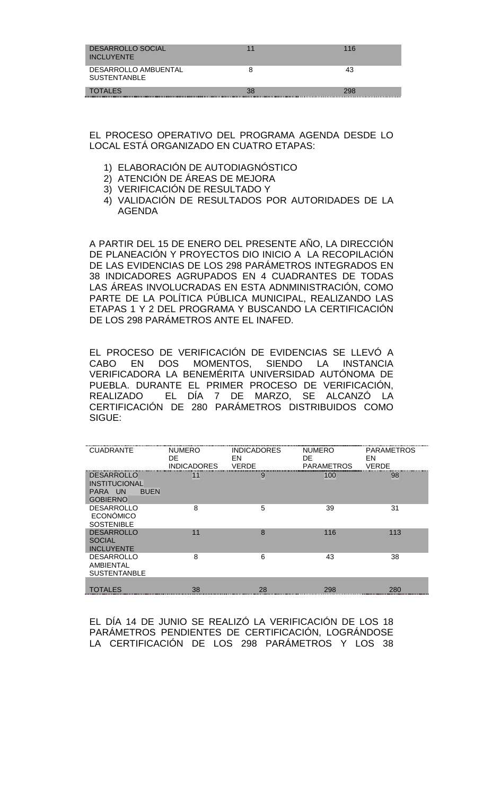| DESARROLLO SOCIAL<br><b>INCLUYENTE</b>      |    | 116 |
|---------------------------------------------|----|-----|
| DESARROLLO AMBUENTAL<br><b>SUSTENTANBLE</b> |    | 43  |
| <b>TOTALES</b>                              | 38 | 298 |

EL PROCESO OPERATIVO DEL PROGRAMA AGENDA DESDE LO LOCAL ESTÁ ORGANIZADO EN CUATRO ETAPAS:

- 1) ELABORACIÓN DE AUTODIAGNÓSTICO
- 2) ATENCIÓN DE ÁREAS DE MEJORA
- 3) VERIFICACIÓN DE RESULTADO Y
- 4) VALIDACIÓN DE RESULTADOS POR AUTORIDADES DE LA AGENDA

A PARTIR DEL 15 DE ENERO DEL PRESENTE AÑO, LA DIRECCIÓN DE PLANEACIÓN Y PROYECTOS DIO INICIO A LA RECOPILACIÓN DE LAS EVIDENCIAS DE LOS 298 PARÁMETROS INTEGRADOS EN 38 INDICADORES AGRUPADOS EN 4 CUADRANTES DE TODAS LAS ÁREAS INVOLUCRADAS EN ESTA ADNMINISTRACIÓN, COMO PARTE DE LA POLÍTICA PÚBLICA MUNICIPAL, REALIZANDO LAS ETAPAS 1 Y 2 DEL PROGRAMA Y BUSCANDO LA CERTIFICACIÓN DE LOS 298 PARÁMETROS ANTE EL INAFED.

EL PROCESO DE VERIFICACIÓN DE EVIDENCIAS SE LLEVÓ A CABO EN DOS MOMENTOS, SIENDO LA INSTANCIA VERIFICADORA LA BENEMÉRITA UNIVERSIDAD AUTÓNOMA DE PUEBLA. DURANTE EL PRIMER PROCESO DE VERIFICACIÓN, REALIZADO EL DÍA 7 DE MARZO, SE ALCANZÓ LA CERTIFICACIÓN DE 280 PARÁMETROS DISTRIBUIDOS COMO SIGUE:

| <b>CUADRANTE</b>                                                                       | <b>NUMERO</b><br>DE | <b>INDICADORES</b><br>EN | <b>NUMERO</b><br>DE | <b>PARAMETROS</b><br>EN |
|----------------------------------------------------------------------------------------|---------------------|--------------------------|---------------------|-------------------------|
|                                                                                        | <b>INDICADORES</b>  | <b>VERDE</b>             | <b>PARAMETROS</b>   | <b>VERDE</b>            |
| <b>DESARROLLO</b><br><b>INSTITUCIONAL</b><br>PARA UN<br><b>BUEN</b><br><b>GOBIERNO</b> | 11                  | 9                        | 100                 | 98                      |
| <b>DESARROLLO</b><br><b>ECONÓMICO</b><br><b>SOSTENIBLE</b>                             | 8                   | 5                        | 39                  | 31                      |
| <b>DESARROLLO</b><br><b>SOCIAL</b><br><b>INCLUYENTE</b>                                | 11                  | 8                        | 116                 | 113                     |
| <b>DESARROLLO</b><br>AMBIENTAL<br><b>SUSTENTANBLE</b>                                  | 8                   | 6                        | 43                  | 38                      |
| <b>TOTALES</b>                                                                         | 38                  | 28                       | 298                 | 280                     |

EL DÍA 14 DE JUNIO SE REALIZÓ LA VERIFICACIÓN DE LOS 18 PARÁMETROS PENDIENTES DE CERTIFICACIÓN, LOGRÁNDOSE LA CERTIFICACIÓN DE LOS 298 PARÁMETROS Y LOS 38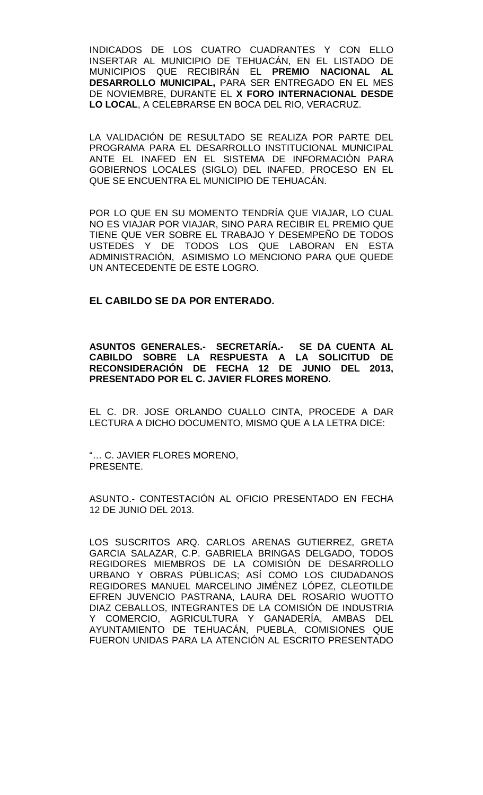INDICADOS DE LOS CUATRO CUADRANTES Y CON ELLO INSERTAR AL MUNICIPIO DE TEHUACÁN, EN EL LISTADO DE MUNICIPIOS QUE RECIBIRÁN EL **PREMIO NACIONAL AL DESARROLLO MUNICIPAL,** PARA SER ENTREGADO EN EL MES DE NOVIEMBRE, DURANTE EL **X FORO INTERNACIONAL DESDE LO LOCAL**, A CELEBRARSE EN BOCA DEL RIO, VERACRUZ.

LA VALIDACIÓN DE RESULTADO SE REALIZA POR PARTE DEL PROGRAMA PARA EL DESARROLLO INSTITUCIONAL MUNICIPAL ANTE EL INAFED EN EL SISTEMA DE INFORMACIÓN PARA GOBIERNOS LOCALES (SIGLO) DEL INAFED, PROCESO EN EL QUE SE ENCUENTRA EL MUNICIPIO DE TEHUACÁN.

POR LO QUE EN SU MOMENTO TENDRÍA QUE VIAJAR, LO CUAL NO ES VIAJAR POR VIAJAR, SINO PARA RECIBIR EL PREMIO QUE TIENE QUE VER SOBRE EL TRABAJO Y DESEMPEÑO DE TODOS USTEDES Y DE TODOS LOS QUE LABORAN EN ESTA ADMINISTRACIÓN, ASIMISMO LO MENCIONO PARA QUE QUEDE UN ANTECEDENTE DE ESTE LOGRO.

# **EL CABILDO SE DA POR ENTERADO.**

**ASUNTOS GENERALES.- SECRETARÍA.- SE DA CUENTA AL CABILDO SOBRE LA RESPUESTA A LA SOLICITUD DE RECONSIDERACIÓN DE FECHA 12 DE JUNIO DEL 2013, PRESENTADO POR EL C. JAVIER FLORES MORENO.**

EL C. DR. JOSE ORLANDO CUALLO CINTA, PROCEDE A DAR LECTURA A DICHO DOCUMENTO, MISMO QUE A LA LETRA DICE:

"… C. JAVIER FLORES MORENO, PRESENTE.

ASUNTO.- CONTESTACIÓN AL OFICIO PRESENTADO EN FECHA 12 DE JUNIO DEL 2013.

LOS SUSCRITOS ARQ. CARLOS ARENAS GUTIERREZ, GRETA GARCIA SALAZAR, C.P. GABRIELA BRINGAS DELGADO, TODOS REGIDORES MIEMBROS DE LA COMISIÓN DE DESARROLLO URBANO Y OBRAS PÚBLICAS; ASÍ COMO LOS CIUDADANOS REGIDORES MANUEL MARCELINO JIMÉNEZ LÓPEZ, CLEOTILDE EFREN JUVENCIO PASTRANA, LAURA DEL ROSARIO WUOTTO DIAZ CEBALLOS, INTEGRANTES DE LA COMISIÓN DE INDUSTRIA Y COMERCIO, AGRICULTURA Y GANADERÍA, AMBAS DEL AYUNTAMIENTO DE TEHUACÁN, PUEBLA, COMISIONES QUE FUERON UNIDAS PARA LA ATENCIÓN AL ESCRITO PRESENTADO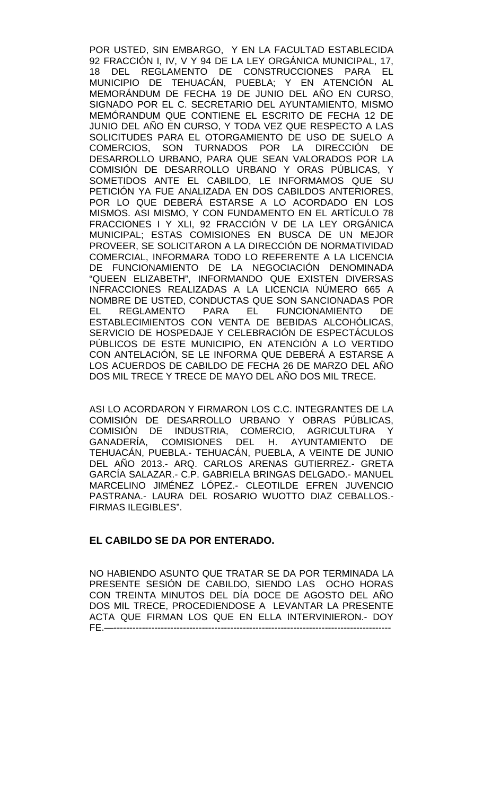POR USTED, SIN EMBARGO, Y EN LA FACULTAD ESTABLECIDA 92 FRACCIÓN I, IV, V Y 94 DE LA LEY ORGÁNICA MUNICIPAL, 17, 18 DEL REGLAMENTO DE CONSTRUCCIONES PARA EL MUNICIPIO DE TEHUACÁN, PUEBLA; Y EN ATENCIÓN AL MEMORÁNDUM DE FECHA 19 DE JUNIO DEL AÑO EN CURSO, SIGNADO POR EL C. SECRETARIO DEL AYUNTAMIENTO, MISMO MEMÓRANDUM QUE CONTIENE EL ESCRITO DE FECHA 12 DE JUNIO DEL AÑO EN CURSO, Y TODA VEZ QUE RESPECTO A LAS SOLICITUDES PARA EL OTORGAMIENTO DE USO DE SUELO A COMERCIOS, SON TURNADOS POR LA DIRECCIÓN DE DESARROLLO URBANO, PARA QUE SEAN VALORADOS POR LA COMISIÓN DE DESARROLLO URBANO Y ORAS PÚBLICAS, Y SOMETIDOS ANTE EL CABILDO, LE INFORMAMOS QUE SU PETICIÓN YA FUE ANALIZADA EN DOS CABILDOS ANTERIORES, POR LO QUE DEBERÁ ESTARSE A LO ACORDADO EN LOS MISMOS. ASI MISMO, Y CON FUNDAMENTO EN EL ARTÍCULO 78 FRACCIONES I Y XLI, 92 FRACCIÓN V DE LA LEY ORGÁNICA MUNICIPAL; ESTAS COMISIONES EN BUSCA DE UN MEJOR PROVEER, SE SOLICITARON A LA DIRECCIÓN DE NORMATIVIDAD COMERCIAL, INFORMARA TODO LO REFERENTE A LA LICENCIA DE FUNCIONAMIENTO DE LA NEGOCIACIÓN DENOMINADA "QUEEN ELIZABETH", INFORMANDO QUE EXISTEN DIVERSAS INFRACCIONES REALIZADAS A LA LICENCIA NÚMERO 665 A NOMBRE DE USTED, CONDUCTAS QUE SON SANCIONADAS POR EL REGLAMENTO PARA EL FUNCIONAMIENTO DE ESTABLECIMIENTOS CON VENTA DE BEBIDAS ALCOHÓLICAS, SERVICIO DE HOSPEDAJE Y CELEBRACIÓN DE ESPECTÁCULOS PÚBLICOS DE ESTE MUNICIPIO, EN ATENCIÓN A LO VERTIDO CON ANTELACIÓN, SE LE INFORMA QUE DEBERÁ A ESTARSE A LOS ACUERDOS DE CABILDO DE FECHA 26 DE MARZO DEL AÑO DOS MIL TRECE Y TRECE DE MAYO DEL AÑO DOS MIL TRECE.

ASI LO ACORDARON Y FIRMARON LOS C.C. INTEGRANTES DE LA COMISIÓN DE DESARROLLO URBANO Y OBRAS PÚBLICAS, COMISIÓN<sub>,</sub> DE INDUSTRIA, COMERCIO, AGRICULTURA Y GANADERÍA, COMISIONES DEL H. AYUNTAMIENTO DE TEHUACÁN, PUEBLA.- TEHUACÁN, PUEBLA, A VEINTE DE JUNIO DEL AÑO 2013.- ARQ. CARLOS ARENAS GUTIERREZ.- GRETA GARCÍA SALAZAR.- C.P. GABRIELA BRINGAS DELGADO.- MANUEL MARCELINO JIMÉNEZ LÓPEZ.- CLEOTILDE EFREN JUVENCIO PASTRANA.- LAURA DEL ROSARIO WUOTTO DIAZ CEBALLOS.- FIRMAS ILEGIBLES".

## **EL CABILDO SE DA POR ENTERADO.**

NO HABIENDO ASUNTO QUE TRATAR SE DA POR TERMINADA LA PRESENTE SESIÓN DE CABILDO, SIENDO LAS OCHO HORAS CON TREINTA MINUTOS DEL DÍA DOCE DE AGOSTO DEL AÑO DOS MIL TRECE, PROCEDIENDOSE A LEVANTAR LA PRESENTE ACTA QUE FIRMAN LOS QUE EN ELLA INTERVINIERON.- DOY FE.—----------------------------------------------------------------------------------------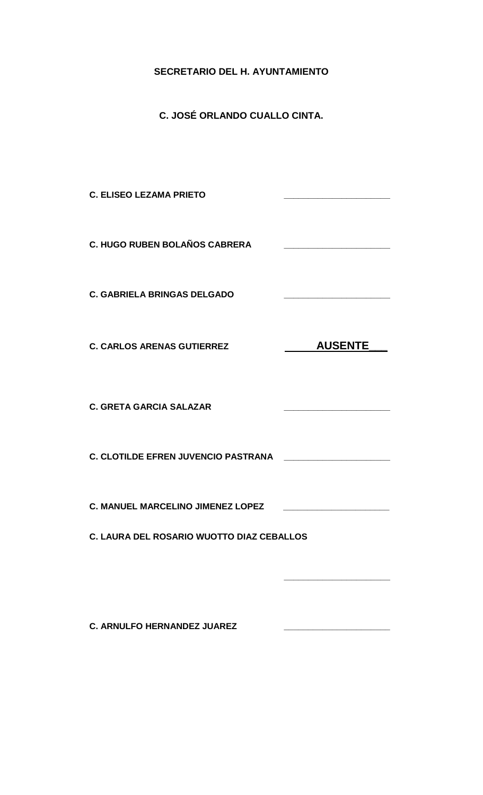## **SECRETARIO DEL H. AYUNTAMIENTO**

**C. JOSÉ ORLANDO CUALLO CINTA.**

**C. ELISEO LEZAMA PRIETO \_\_\_\_\_\_\_\_\_\_\_\_\_\_\_\_\_\_\_\_\_\_ C. HUGO RUBEN BOLAÑOS CABRERA \_\_\_\_\_\_\_\_\_\_\_\_\_\_\_\_\_\_\_\_\_\_ C. GABRIELA BRINGAS DELGADO \_\_\_\_\_\_\_\_\_\_\_\_\_\_\_\_\_\_\_\_\_\_**  C. CARLOS ARENAS GUTIERREZ **AUSENTE C. GRETA GARCIA SALAZAR \_\_\_\_\_\_\_\_\_\_\_\_\_\_\_\_\_\_\_\_\_\_ C. CLOTILDE EFREN JUVENCIO PASTRANA \_\_\_\_\_\_\_\_\_\_\_\_\_\_\_\_\_\_\_\_\_\_ C. MANUEL MARCELINO JIMENEZ LOPEZ \_\_\_\_\_\_\_\_\_\_\_\_\_\_\_\_\_\_\_\_\_\_ C. LAURA DEL ROSARIO WUOTTO DIAZ CEBALLOS \_\_\_\_\_\_\_\_\_\_\_\_\_\_\_\_\_\_\_\_\_\_**

**C. ARNULFO HERNANDEZ JUAREZ \_\_\_\_\_\_\_\_\_\_\_\_\_\_\_\_\_\_\_\_\_\_**